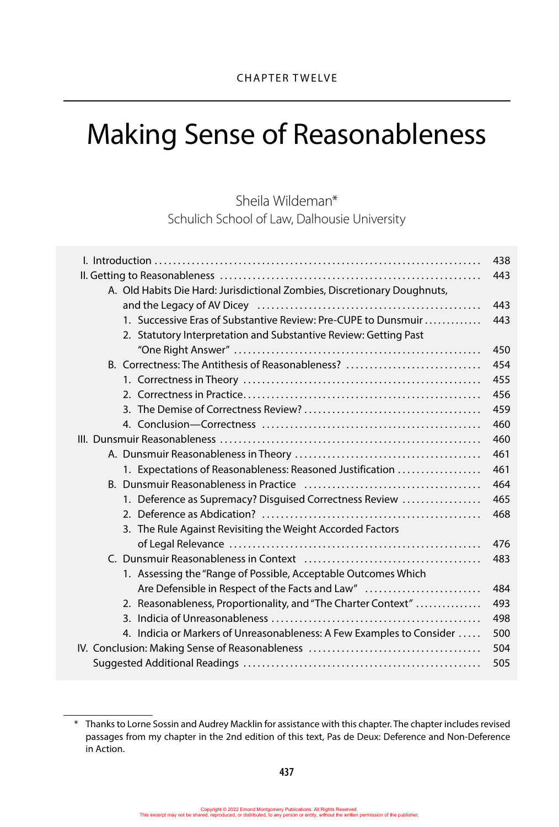# Making Sense of Reasonableness

Sheila Wildeman\* Schulich School of Law, Dalhousie University

|                                                                          | 438 |
|--------------------------------------------------------------------------|-----|
|                                                                          | 443 |
| A. Old Habits Die Hard: Jurisdictional Zombies, Discretionary Doughnuts, |     |
|                                                                          | 443 |
| 1. Successive Eras of Substantive Review: Pre-CUPE to Dunsmuir           | 443 |
| 2. Statutory Interpretation and Substantive Review: Getting Past         |     |
|                                                                          | 450 |
| B. Correctness: The Antithesis of Reasonableness?                        | 454 |
|                                                                          | 455 |
|                                                                          | 456 |
|                                                                          | 459 |
|                                                                          | 460 |
|                                                                          | 460 |
|                                                                          | 461 |
| 1. Expectations of Reasonableness: Reasoned Justification                | 461 |
|                                                                          | 464 |
| 1. Deference as Supremacy? Disguised Correctness Review                  | 465 |
|                                                                          | 468 |
| 3. The Rule Against Revisiting the Weight Accorded Factors               |     |
|                                                                          | 476 |
|                                                                          | 483 |
| 1. Assessing the "Range of Possible, Acceptable Outcomes Which           |     |
| Are Defensible in Respect of the Facts and Law"                          | 484 |
| 2. Reasonableness, Proportionality, and "The Charter Context"            | 493 |
|                                                                          | 498 |
| 4. Indicia or Markers of Unreasonableness: A Few Examples to Consider    | 500 |
|                                                                          | 504 |
|                                                                          | 505 |
|                                                                          |     |

Thanks to Lorne Sossin and Audrey Macklin for assistance with this chapter. The chapter includes revised passages from my chapter in the 2nd edition of this text, Pas de Deux: Deference and Non-Deference in Action.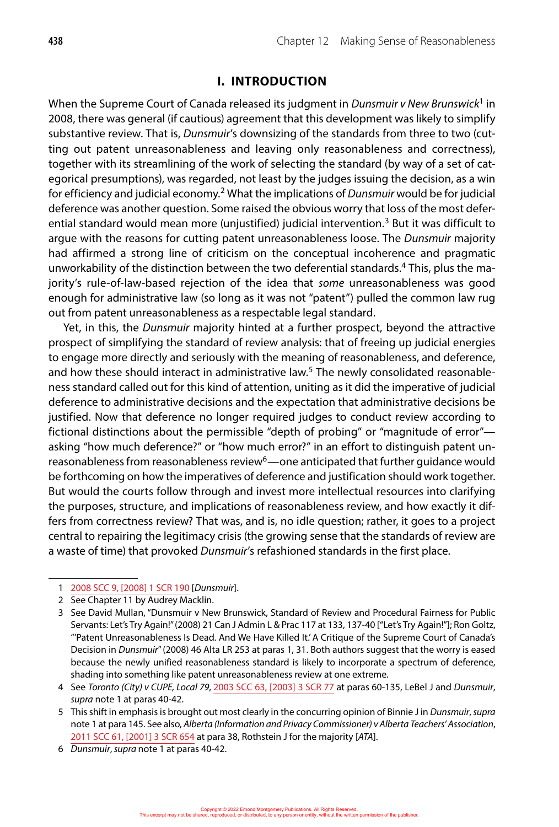## **I. INTRODUCTION**

When the Supreme Court of Canada released its judgment in *Dunsmuir v New Brunswick*1 in 2008, there was general (if cautious) agreement that this development was likely to simplify substantive review. That is, *Dunsmuir*'s downsizing of the standards from three to two (cutting out patent unreasonableness and leaving only reasonableness and correctness), together with its streamlining of the work of selecting the standard (by way of a set of categorical presumptions), was regarded, not least by the judges issuing the decision, as a win for efficiency and judicial economy.2 What the implications of *Dunsmuir* would be for judicial deference was another question. Some raised the obvious worry that loss of the most deferential standard would mean more (unjustified) judicial intervention.<sup>3</sup> But it was difficult to argue with the reasons for cutting patent unreasonableness loose. The *Dunsmuir* majority had affirmed a strong line of criticism on the conceptual incoherence and pragmatic unworkability of the distinction between the two deferential standards.4 This, plus the majority's rule-of-law-based rejection of the idea that *some* unreasonableness was good enough for administrative law (so long as it was not "patent") pulled the common law rug out from patent unreasonableness as a respectable legal standard.

Yet, in this, the *Dunsmuir* majority hinted at a further prospect, beyond the attractive prospect of simplifying the standard of review analysis: that of freeing up judicial energies to engage more directly and seriously with the meaning of reasonableness, and deference, and how these should interact in administrative law.<sup>5</sup> The newly consolidated reasonableness standard called out for this kind of attention, uniting as it did the imperative of judicial deference to administrative decisions and the expectation that administrative decisions be justified. Now that deference no longer required judges to conduct review according to fictional distinctions about the permissible "depth of probing" or "magnitude of error"asking "how much deference?" or "how much error?" in an effort to distinguish patent unreasonableness from reasonableness review<sup>6</sup>—one anticipated that further guidance would be forthcoming on how the imperatives of deference and justification should work together. But would the courts follow through and invest more intellectual resources into clarifying the purposes, structure, and implications of reasonableness review, and how exactly it differs from correctness review? That was, and is, no idle question; rather, it goes to a project central to repairing the legitimacy crisis (the growing sense that the standards of review are a waste of time) that provoked *Dunsmuir*'s refashioned standards in the first place.

<sup>1</sup> [2008 SCC 9, \[2008\] 1 SCR 190](https://www.canlii.org/en/ca/scc/doc/2008/2008scc9/2008scc9.html?autocompleteStr=Dunsmuir v New Brunswick%2C 2008 SCC 9&autocompletePos=1) [*Dunsmuir*].

<sup>2</sup> See Chapter 11 by Audrey Macklin.

<sup>3</sup> See David Mullan, "Dunsmuir v New Brunswick, Standard of Review and Procedural Fairness for Public Servants: Let's Try Again!" (2008) 21 Can J Admin L & Prac 117 at 133, 137-40 ["Let's Try Again!"]; Ron Goltz, "'Patent Unreasonableness Is Dead. And We Have Killed It.' A Critique of the Supreme Court of Canada's Decision in *Dunsmuir*" (2008) 46 Alta LR 253 at paras 1, 31. Both authors suggest that the worry is eased because the newly unified reasonableness standard is likely to incorporate a spectrum of deference, shading into something like patent unreasonableness review at one extreme.

<sup>4</sup> See *Toronto (City) v CUPE, Local 79*, [2003 SCC 63, \[2003\] 3 SCR 77](https://www.canlii.org/en/ca/scc/doc/2003/2003scc63/2003scc63.html?resultIndex=1) at paras 60-135, LeBel J and *Dunsmuir*, *supra* note 1 at paras 40-42.

<sup>5</sup> This shift in emphasis is brought out most clearly in the concurring opinion of Binnie J in *Dunsmuir*, *supra*  note 1 at para 145. See also, *Alberta (Information and Privacy Commissioner) v Alberta Teachers' Association*, [2011 SCC 61, \[2001\] 3 SCR 654](https://www.canlii.org/en/ca/scc/doc/2011/2011scc61/2011scc61.html?autocompleteStr=Alberta (Information and Privacy Commissioner) v Alberta Teachers%27 Association&autocompletePos=1) at para 38, Rothstein J for the majority [*ATA*].

<sup>6</sup> *Dunsmuir*, *supra* note 1 at paras 40-42.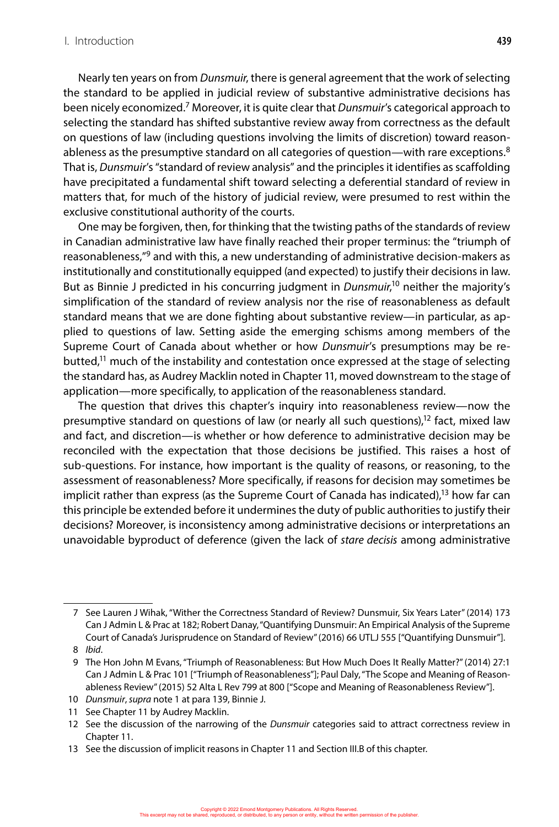Nearly ten years on from *Dunsmuir*, there is general agreement that the work of selecting the standard to be applied in judicial review of substantive administrative decisions has been nicely economized.7 Moreover, it is quite clear that *Dunsmuir*'s categorical approach to selecting the standard has shifted substantive review away from correctness as the default on questions of law (including questions involving the limits of discretion) toward reasonableness as the presumptive standard on all categories of question—with rare exceptions.<sup>8</sup> That is, *Dunsmuir*'s "standard of review analysis" and the principles it identifies as scaffolding have precipitated a fundamental shift toward selecting a deferential standard of review in matters that, for much of the history of judicial review, were presumed to rest within the exclusive constitutional authority of the courts.

One may be forgiven, then, for thinking that the twisting paths of the standards of review in Canadian administrative law have finally reached their proper terminus: the "triumph of reasonableness,"9 and with this, a new understanding of administrative decision-makers as institutionally and constitutionally equipped (and expected) to justify their decisions in law. But as Binnie J predicted in his concurring judgment in *Dunsmuir*, 10 neither the majority's simplification of the standard of review analysis nor the rise of reasonableness as default standard means that we are done fighting about substantive review—in particular, as applied to questions of law. Setting aside the emerging schisms among members of the Supreme Court of Canada about whether or how *Dunsmuir*'s presumptions may be rebutted,<sup>11</sup> much of the instability and contestation once expressed at the stage of selecting the standard has, as Audrey Macklin noted in Chapter 11, moved downstream to the stage of application—more specifically, to application of the reasonableness standard.

The question that drives this chapter's inquiry into reasonableness review—now the presumptive standard on questions of law (or nearly all such questions),<sup>12</sup> fact, mixed law and fact, and discretion—is whether or how deference to administrative decision may be reconciled with the expectation that those decisions be justified. This raises a host of sub-questions. For instance, how important is the quality of reasons, or reasoning, to the assessment of reasonableness? More specifically, if reasons for decision may sometimes be implicit rather than express (as the Supreme Court of Canada has indicated),<sup>13</sup> how far can this principle be extended before it undermines the duty of public authorities to justify their decisions? Moreover, is inconsistency among administrative decisions or interpretations an unavoidable byproduct of deference (given the lack of *stare decisis* among administrative

<sup>7</sup> See Lauren J Wihak, "Wither the Correctness Standard of Review? Dunsmuir, Six Years Later" [\(2014\) 173](http://www.austlii.edu.au/cgi-bin/LawCite?cit=%282014%29 Canadian Journal of Administrative Law %26 Practice 173) [Can J Admin L & Prac](http://www.austlii.edu.au/cgi-bin/LawCite?cit=%282014%29 Canadian Journal of Administrative Law %26 Practice 173) at 182; Robert Danay, "Quantifying Dunsmuir: An Empirical Analysis of the Supreme Court of Canada's Jurisprudence on Standard of Review" (2016) 66 UTLJ 555 ["Quantifying Dunsmuir"].

<sup>8</sup> *Ibid*.

<sup>9</sup> The Hon John M Evans, "Triumph of Reasonableness: But How Much Does It Really Matter?" (2014) 27:1 Can J Admin L & Prac 101 ["Triumph of Reasonableness"]; Paul Daly, "The Scope and Meaning of Reasonableness Review" (2015) 52 Alta L Rev 799 at 800 ["Scope and Meaning of Reasonableness Review"].

<sup>10</sup> *Dunsmuir*, *supra* note 1 at para 139, Binnie J.

<sup>11</sup> See Chapter 11 by Audrey Macklin.

<sup>12</sup> See the discussion of the narrowing of the *Dunsmuir* categories said to attract correctness review in Chapter 11.

<sup>13</sup> See the discussion of implicit reasons in Chapter 11 and Section III.B of this chapter.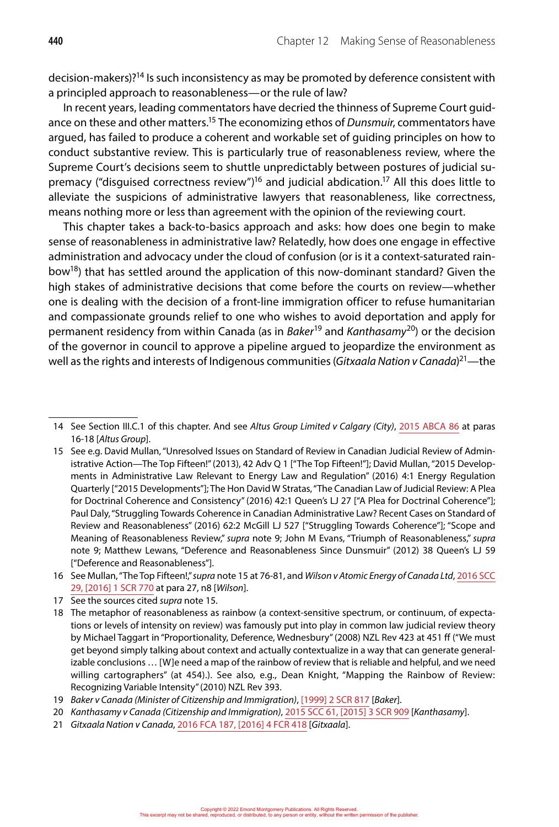decision-makers)?14 Is such inconsistency as may be promoted by deference consistent with a principled approach to reasonableness—or the rule of law?

In recent years, leading commentators have decried the thinness of Supreme Court guidance on these and other matters.15 The economizing ethos of *Dunsmuir*, commentators have argued, has failed to produce a coherent and workable set of guiding principles on how to conduct substantive review. This is particularly true of reasonableness review, where the Supreme Court's decisions seem to shuttle unpredictably between postures of judicial supremacy ("disguised correctness review")<sup>16</sup> and judicial abdication.<sup>17</sup> All this does little to alleviate the suspicions of administrative lawyers that reasonableness, like correctness, means nothing more or less than agreement with the opinion of the reviewing court.

This chapter takes a back-to-basics approach and asks: how does one begin to make sense of reasonableness in administrative law? Relatedly, how does one engage in effective administration and advocacy under the cloud of confusion (or is it a context-saturated rainbow<sup>18</sup>) that has settled around the application of this now-dominant standard? Given the high stakes of administrative decisions that come before the courts on review—whether one is dealing with the decision of a front-line immigration officer to refuse humanitarian and compassionate grounds relief to one who wishes to avoid deportation and apply for permanent residency from within Canada (as in *Baker*19 and *Kanthasamy*20) or the decision of the governor in council to approve a pipeline argued to jeopardize the environment as well as the rights and interests of Indigenous communities (*Gitxaala Nation v Canada*) 21—the

<sup>14</sup> See Section III.C.1 of this chapter. And see *Altus Group Limited v Calgary (City)*, [2015 ABCA 86](https://www.canlii.org/en/ab/abca/doc/2015/2015abca86/2015abca86.html?autocompleteStr=Altus Group Limited v Calgary (City)%2C 2015 ABCA &autocompletePos=1) at paras 16-18 [*Altus Group*].

<sup>15</sup> See e.g. David Mullan, "Unresolved Issues on Standard of Review in Canadian Judicial Review of Administrative Action—The Top Fifteen!" (2013), 42 Adv Q 1 ["The Top Fifteen!"]; David Mullan, "2015 Developments in Administrative Law Relevant to Energy Law and Regulation" (2016) 4:1 Energy Regulation Quarterly ["2015 Developments"]; The Hon David W Stratas, "The Canadian Law of Judicial Review: A Plea for Doctrinal Coherence and Consistency" (2016) 42:1 Queen's LJ 27 ["A Plea for Doctrinal Coherence"]; Paul Daly, "Struggling Towards Coherence in Canadian Administrative Law? Recent Cases on Standard of Review and Reasonableness" (2016) 62:2 McGill LJ 527 ["Struggling Towards Coherence"]; "Scope and Meaning of Reasonableness Review," *supra* note 9; John M Evans, "Triumph of Reasonableness," *supra* note 9; Matthew Lewans, "Deference and Reasonableness Since Dunsmuir" (2012) 38 Queen's LJ 59 ["Deference and Reasonableness"].

<sup>16</sup> See Mullan, "The Top Fifteen!," *supra* note 15 at 76-81, and *Wilson v Atomic Energy of Canada Ltd*, [2016 SCC](https://www.canlii.org/en/ca/scc/doc/2016/2016scc29/2016scc29.html?autocompleteStr=Wilson v Atomic Energy &autocompletePos=1) [29, \[2016\] 1 SCR 770](https://www.canlii.org/en/ca/scc/doc/2016/2016scc29/2016scc29.html?autocompleteStr=Wilson v Atomic Energy &autocompletePos=1) at para 27, n8 [*Wilson*].

<sup>17</sup> See the sources cited *supra* note 15.

<sup>18</sup> The metaphor of reasonableness as rainbow (a context-sensitive spectrum, or continuum, of expectations or levels of intensity on review) was famously put into play in common law judicial review theory by Michael Taggart in "Proportionality, Deference, Wednesbury" (2008) NZL Rev 423 at 451 ff ("We must get beyond simply talking about context and actually contextualize in a way that can generate generalizable conclusions … [W]e need a map of the rainbow of review that is reliable and helpful, and we need willing cartographers" (at 454).). See also, e.g., Dean Knight, "Mapping the Rainbow of Review: Recognizing Variable Intensity" (2010) NZL Rev 393.

<sup>19</sup> *Baker v Canada (Minister of Citizenship and Immigration)*, [\[1999\] 2 SCR 817](https://www.canlii.org/en/ca/scc/doc/1999/1999canlii699/1999canlii699.html?autocompleteStr=Baker v Canada (Minister of Citizenship and Immigration)%2C &autocompletePos=1) [*Baker*].

<sup>20</sup> *Kanthasamy v Canada (Citizenship and Immigration)*, [2015 SCC 61, \[2015\] 3 SCR 909](https://www.canlii.org/en/ca/scc/doc/2015/2015scc61/2015scc61.html?autocompleteStr=Kanthasamy v Canada (Citizenship and Immigration)%2C &autocompletePos=1) [*Kanthasamy*].

<sup>21</sup> *Gitxaala Nation v Canada*, [2016 FCA 187, \[2016\] 4 FCR 418](https://www.canlii.org/en/ca/fca/doc/2016/2016fca187/2016fca187.html?autocompleteStr=Gitxaala Nation v Canada%2C %5B2016%5D 4 FCR 418.&autocompletePos=1) [*Gitxaala*].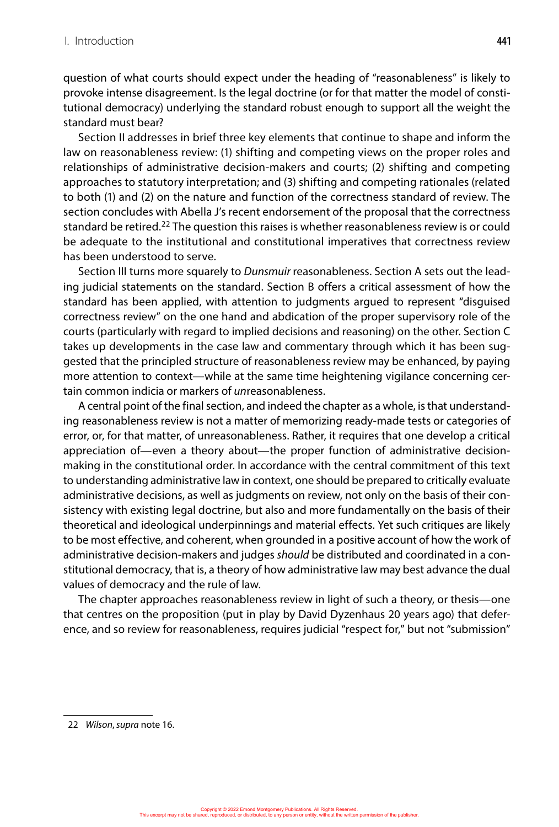question of what courts should expect under the heading of "reasonableness" is likely to provoke intense disagreement. Is the legal doctrine (or for that matter the model of constitutional democracy) underlying the standard robust enough to support all the weight the standard must bear?

Section II addresses in brief three key elements that continue to shape and inform the law on reasonableness review: (1) shifting and competing views on the proper roles and relationships of administrative decision-makers and courts; (2) shifting and competing approaches to statutory interpretation; and (3) shifting and competing rationales (related to both (1) and (2) on the nature and function of the correctness standard of review. The section concludes with Abella J's recent endorsement of the proposal that the correctness standard be retired.<sup>22</sup> The question this raises is whether reasonableness review is or could be adequate to the institutional and constitutional imperatives that correctness review has been understood to serve.

Section III turns more squarely to *Dunsmuir* reasonableness. Section A sets out the leading judicial statements on the standard. Section B offers a critical assessment of how the standard has been applied, with attention to judgments argued to represent "disguised correctness review" on the one hand and abdication of the proper supervisory role of the courts (particularly with regard to implied decisions and reasoning) on the other. Section C takes up developments in the case law and commentary through which it has been suggested that the principled structure of reasonableness review may be enhanced, by paying more attention to context—while at the same time heightening vigilance concerning certain common indicia or markers of *un*reasonableness.

A central point of the final section, and indeed the chapter as a whole, is that understanding reasonableness review is not a matter of memorizing ready-made tests or categories of error, or, for that matter, of unreasonableness. Rather, it requires that one develop a critical appreciation of—even a theory about—the proper function of administrative decisionmaking in the constitutional order. In accordance with the central commitment of this text to understanding administrative law in context, one should be prepared to critically evaluate administrative decisions, as well as judgments on review, not only on the basis of their consistency with existing legal doctrine, but also and more fundamentally on the basis of their theoretical and ideological underpinnings and material effects. Yet such critiques are likely to be most effective, and coherent, when grounded in a positive account of how the work of administrative decision-makers and judges *should* be distributed and coordinated in a constitutional democracy, that is, a theory of how administrative law may best advance the dual values of democracy and the rule of law.

The chapter approaches reasonableness review in light of such a theory, or thesis—one that centres on the proposition (put in play by David Dyzenhaus 20 years ago) that deference, and so review for reasonableness, requires judicial "respect for," but not "submission"

<sup>22</sup> *Wilson*, *supra* note 16.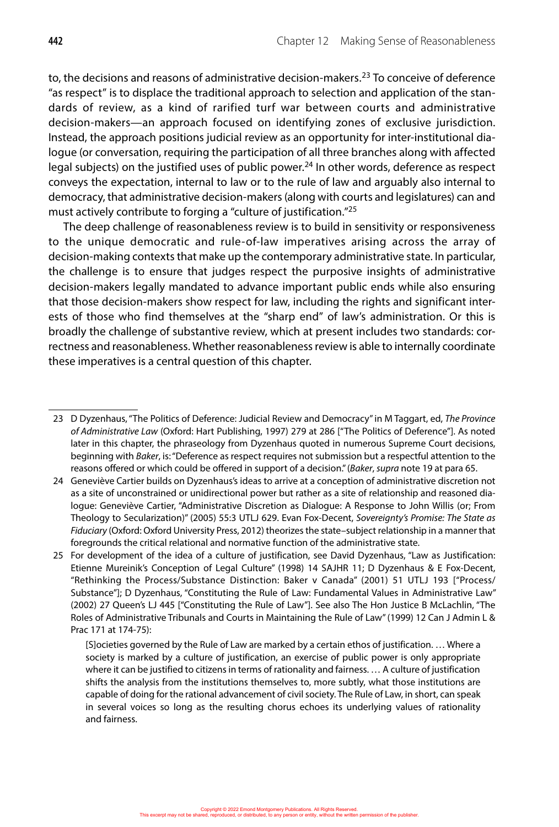to, the decisions and reasons of administrative decision-makers.<sup>23</sup> To conceive of deference "as respect" is to displace the traditional approach to selection and application of the standards of review, as a kind of rarified turf war between courts and administrative decision-makers—an approach focused on identifying zones of exclusive jurisdiction. Instead, the approach positions judicial review as an opportunity for inter-institutional dialogue (or conversation, requiring the participation of all three branches along with affected legal subjects) on the justified uses of public power.<sup>24</sup> In other words, deference as respect conveys the expectation, internal to law or to the rule of law and arguably also internal to democracy, that administrative decision-makers (along with courts and legislatures) can and must actively contribute to forging a "culture of justification."25

The deep challenge of reasonableness review is to build in sensitivity or responsiveness to the unique democratic and rule-of-law imperatives arising across the array of decision-making contexts that make up the contemporary administrative state. In particular, the challenge is to ensure that judges respect the purposive insights of administrative decision-makers legally mandated to advance important public ends while also ensuring that those decision-makers show respect for law, including the rights and significant interests of those who find themselves at the "sharp end" of law's administration. Or this is broadly the challenge of substantive review, which at present includes two standards: correctness and reasonableness. Whether reasonableness review is able to internally coordinate these imperatives is a central question of this chapter.

<sup>23</sup> D Dyzenhaus, "The Politics of Deference: Judicial Review and Democracy" in M Taggart, ed, *The Province of Administrative Law* (Oxford: Hart Publishing, 1997) 279 at 286 ["The Politics of Deference"]. As noted later in this chapter, the phraseology from Dyzenhaus quoted in numerous Supreme Court decisions, beginning with *Baker*, is: "Deference as respect requires not submission but a respectful attention to the reasons offered or which could be offered in support of a decision." (*Baker*, *supra* note 19 at para 65.

<sup>24</sup> Geneviève Cartier builds on Dyzenhaus's ideas to arrive at a conception of administrative discretion not as a site of unconstrained or unidirectional power but rather as a site of relationship and reasoned dialogue: Geneviève Cartier, "Administrative Discretion as Dialogue: A Response to John Willis (or; From Theology to Secularization)" (2005) 55:3 UTLJ 629. Evan Fox-Decent, *Sovereignty's Promise: The State as Fiduciary* (Oxford: Oxford University Press, 2012) theorizes the state–subject relationship in a manner that foregrounds the critical relational and normative function of the administrative state.

<sup>25</sup> For development of the idea of a culture of justification, see David Dyzenhaus, "Law as Justification: Etienne Mureinik's Conception of Legal Culture" (1998) 14 SAJHR 11; D Dyzenhaus & E Fox-Decent, "Rethinking the Process/Substance Distinction: Baker v Canada" (2001) 51 UTLJ 193 ["Process/ Substance"]; D Dyzenhaus, "Constituting the Rule of Law: Fundamental Values in Administrative Law" (2002) 27 Queen's LJ 445 ["Constituting the Rule of Law"]. See also The Hon Justice B McLachlin, "The Roles of Administrative Tribunals and Courts in Maintaining the Rule of Law" (1999) 12 Can J Admin L & Prac 171 at 174-75):

<sup>[</sup>S]ocieties governed by the Rule of Law are marked by a certain ethos of justification. … Where a society is marked by a culture of justification, an exercise of public power is only appropriate where it can be justified to citizens in terms of rationality and fairness. … A culture of justification shifts the analysis from the institutions themselves to, more subtly, what those institutions are capable of doing for the rational advancement of civil society. The Rule of Law, in short, can speak in several voices so long as the resulting chorus echoes its underlying values of rationality and fairness.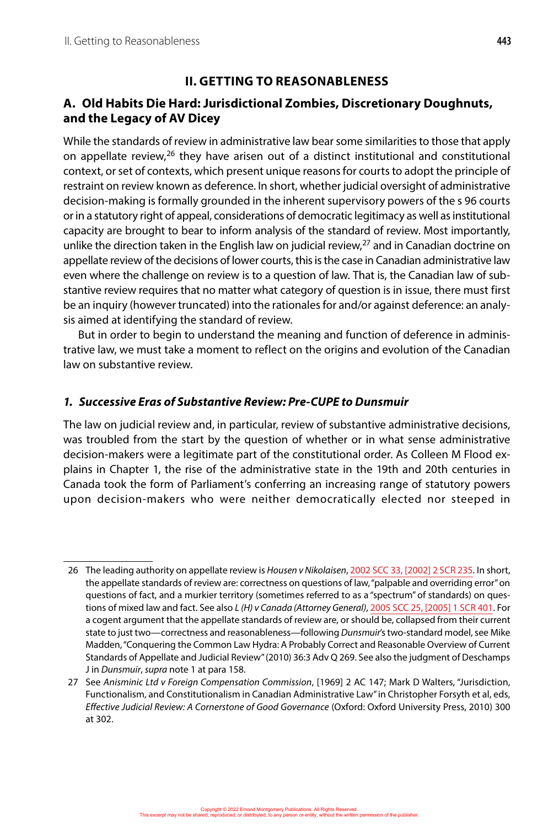# **II. GETTING TO REASONABLENESS**

# **A. Old Habits Die Hard: Jurisdictional Zombies, Discretionary Doughnuts, and the Legacy of AV Dicey**

While the standards of review in administrative law bear some similarities to those that apply on appellate review, $26$  they have arisen out of a distinct institutional and constitutional context, or set of contexts, which present unique reasons for courts to adopt the principle of restraint on review known as deference. In short, whether judicial oversight of administrative decision-making is formally grounded in the inherent supervisory powers of the s 96 courts or in a statutory right of appeal, considerations of democratic legitimacy as well as institutional capacity are brought to bear to inform analysis of the standard of review. Most importantly, unlike the direction taken in the English law on judicial review, $^{27}$  and in Canadian doctrine on appellate review of the decisions of lower courts, this is the case in Canadian administrative law even where the challenge on review is to a question of law. That is, the Canadian law of substantive review requires that no matter what category of question is in issue, there must first be an inquiry (however truncated) into the rationales for and/or against deference: an analysis aimed at identifying the standard of review.

But in order to begin to understand the meaning and function of deference in administrative law, we must take a moment to reflect on the origins and evolution of the Canadian law on substantive review.

## *1. Successive Eras of Substantive Review: Pre-CUPE to Dunsmuir*

The law on judicial review and, in particular, review of substantive administrative decisions, was troubled from the start by the question of whether or in what sense administrative decision-makers were a legitimate part of the constitutional order. As Colleen M Flood explains in Chapter 1, the rise of the administrative state in the 19th and 20th centuries in Canada took the form of Parliament's conferring an increasing range of statutory powers upon decision-makers who were neither democratically elected nor steeped in

<sup>26</sup> The leading authority on appellate review is *Housen v Nikolaisen*, [2002 SCC 33, \[2002\] 2 SCR 235.](https://www.canlii.org/en/ca/scc/doc/2002/2002scc33/2002scc33.html?autocompleteStr=Housen v Nikolaisen 2002 SCC 33. &autocompletePos=1) In short, the appellate standards of review are: correctness on questions of law, "palpable and overriding error" on questions of fact, and a murkier territory (sometimes referred to as a "spectrum" of standards) on questions of mixed law and fact. See also *L (H) v Canada (Attorney General)*, [2005 SCC 25, \[2005\] 1 SCR 401](https://www.canlii.org/en/ca/scc/doc/2005/2005scc25/2005scc25.html?autocompleteStr=L(H) v Canada (Attorney General)%2C 2005 SCC 25&autocompletePos=1). For a cogent argument that the appellate standards of review are, or should be, collapsed from their current state to just two—correctness and reasonableness—following *Dunsmuir*'s two-standard model, see Mike Madden, "Conquering the Common Law Hydra: A Probably Correct and Reasonable Overview of Current Standards of Appellate and Judicial Review" (2010) 36:3 Adv Q 269. See also the judgment of Deschamps J in *Dunsmuir*, *supra* note 1 at para 158.

<sup>27</sup> See *Anisminic Ltd v Foreign Compensation Commission*, [1969] 2 AC 147; Mark D Walters, "Jurisdiction, Functionalism, and Constitutionalism in Canadian Administrative Law" in Christopher Forsyth et al, eds, *Effective Judicial Review: A Cornerstone of Good Governance* (Oxford: Oxford University Press, 2010) 300 at 302.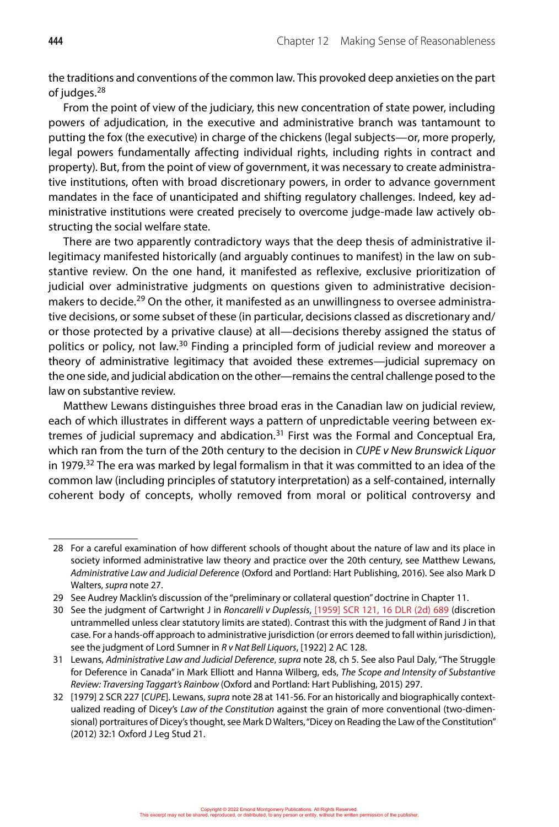the traditions and conventions of the common law. This provoked deep anxieties on the part of judges.28

From the point of view of the judiciary, this new concentration of state power, including powers of adjudication, in the executive and administrative branch was tantamount to putting the fox (the executive) in charge of the chickens (legal subjects—or, more properly, legal powers fundamentally affecting individual rights, including rights in contract and property). But, from the point of view of government, it was necessary to create administrative institutions, often with broad discretionary powers, in order to advance government mandates in the face of unanticipated and shifting regulatory challenges. Indeed, key administrative institutions were created precisely to overcome judge-made law actively obstructing the social welfare state.

There are two apparently contradictory ways that the deep thesis of administrative illegitimacy manifested historically (and arguably continues to manifest) in the law on substantive review. On the one hand, it manifested as reflexive, exclusive prioritization of judicial over administrative judgments on questions given to administrative decisionmakers to decide.<sup>29</sup> On the other, it manifested as an unwillingness to oversee administrative decisions, or some subset of these (in particular, decisions classed as discretionary and/ or those protected by a privative clause) at all—decisions thereby assigned the status of politics or policy, not law.<sup>30</sup> Finding a principled form of judicial review and moreover a theory of administrative legitimacy that avoided these extremes—judicial supremacy on the one side, and judicial abdication on the other—remains the central challenge posed to the law on substantive review.

Matthew Lewans distinguishes three broad eras in the Canadian law on judicial review, each of which illustrates in different ways a pattern of unpredictable veering between extremes of judicial supremacy and abdication. $31$  First was the Formal and Conceptual Era, which ran from the turn of the 20th century to the decision in *CUPE v New Brunswick Liquor* in 1979.<sup>32</sup> The era was marked by legal formalism in that it was committed to an idea of the common law (including principles of statutory interpretation) as a self-contained, internally coherent body of concepts, wholly removed from moral or political controversy and

<sup>28</sup> For a careful examination of how different schools of thought about the nature of law and its place in society informed administrative law theory and practice over the 20th century, see Matthew Lewans, *Administrative Law and Judicial Deference* (Oxford and Portland: Hart Publishing, 2016). See also Mark D Walters, *supra* note 27.

<sup>29</sup> See Audrey Macklin's discussion of the "preliminary or collateral question" doctrine in Chapter 11.

<sup>30</sup> See the judgment of Cartwright J in *Roncarelli v Duplessis*, [\[1959\] SCR 121, 16 DLR \(2d\) 689](https://www.canlii.org/en/ca/scc/doc/1959/1959canlii50/1959canlii50.html?autocompleteStr=Roncarelli v Duplessis%2C &autocompletePos=1) (discretion untrammelled unless clear statutory limits are stated). Contrast this with the judgment of Rand J in that case. For a hands-off approach to administrative jurisdiction (or errors deemed to fall within jurisdiction), see the judgment of Lord Sumner in *R v Nat Bell Liquors*, [1922] 2 AC 128.

<sup>31</sup> Lewans, *Administrative Law and Judicial Deference*, *supra* note 28, ch 5. See also Paul Daly, "The Struggle for Deference in Canada" in Mark Elliott and Hanna Wilberg, eds, *The Scope and Intensity of Substantive Review: Traversing Taggart's Rainbow* (Oxford and Portland: Hart Publishing, 2015) 297.

<sup>32</sup> [1979] 2 SCR 227 [*CUPE*]. Lewans, *supra* note 28 at 141-56. For an historically and biographically contextualized reading of Dicey's *Law of the Constitution* against the grain of more conventional (two-dimensional) portraitures of Dicey's thought, see Mark D Walters, "Dicey on Reading the Law of the Constitution" (2012) 32:1 Oxford J Leg Stud 21.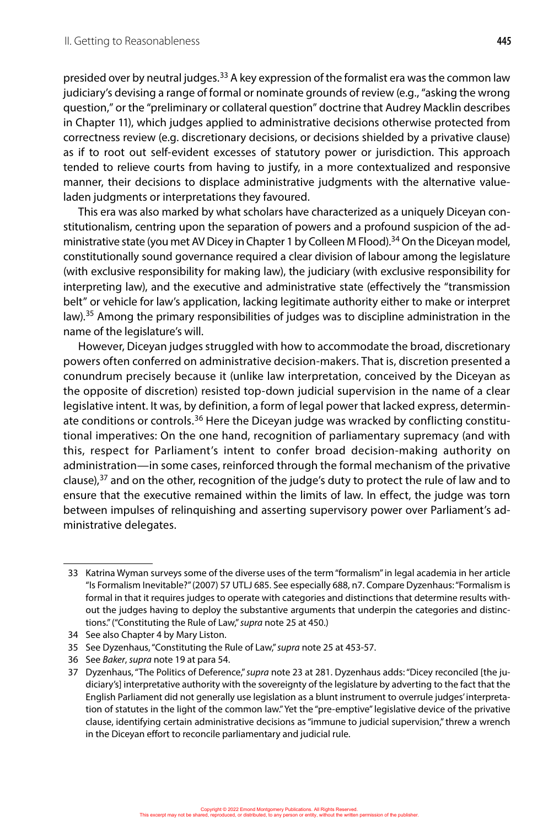presided over by neutral judges.<sup>33</sup> A key expression of the formalist era was the common law judiciary's devising a range of formal or nominate grounds of review (e.g., "asking the wrong question," or the "preliminary or collateral question" doctrine that Audrey Macklin describes in Chapter 11), which judges applied to administrative decisions otherwise protected from correctness review (e.g. discretionary decisions, or decisions shielded by a privative clause) as if to root out self-evident excesses of statutory power or jurisdiction. This approach tended to relieve courts from having to justify, in a more contextualized and responsive manner, their decisions to displace administrative judgments with the alternative valueladen judgments or interpretations they favoured.

This era was also marked by what scholars have characterized as a uniquely Diceyan constitutionalism, centring upon the separation of powers and a profound suspicion of the administrative state (you met AV Dicey in Chapter 1 by Colleen M Flood).<sup>34</sup> On the Diceyan model, constitutionally sound governance required a clear division of labour among the legislature (with exclusive responsibility for making law), the judiciary (with exclusive responsibility for interpreting law), and the executive and administrative state (effectively the "transmission belt" or vehicle for law's application, lacking legitimate authority either to make or interpret law).35 Among the primary responsibilities of judges was to discipline administration in the name of the legislature's will.

However, Diceyan judges struggled with how to accommodate the broad, discretionary powers often conferred on administrative decision-makers. That is, discretion presented a conundrum precisely because it (unlike law interpretation, conceived by the Diceyan as the opposite of discretion) resisted top-down judicial supervision in the name of a clear legislative intent. It was, by definition, a form of legal power that lacked express, determinate conditions or controls.<sup>36</sup> Here the Diceyan judge was wracked by conflicting constitutional imperatives: On the one hand, recognition of parliamentary supremacy (and with this, respect for Parliament's intent to confer broad decision-making authority on administration—in some cases, reinforced through the formal mechanism of the privative clause),<sup>37</sup> and on the other, recognition of the judge's duty to protect the rule of law and to ensure that the executive remained within the limits of law. In effect, the judge was torn between impulses of relinquishing and asserting supervisory power over Parliament's administrative delegates.

<sup>33</sup> Katrina Wyman surveys some of the diverse uses of the term "formalism" in legal academia in her article "Is Formalism Inevitable?" (2007) 57 UTLJ 685. See especially 688, n7. Compare Dyzenhaus: "Formalism is formal in that it requires judges to operate with categories and distinctions that determine results without the judges having to deploy the substantive arguments that underpin the categories and distinctions." ("Constituting the Rule of Law," *supra* note 25 at 450.)

<sup>34</sup> See also Chapter 4 by Mary Liston.

<sup>35</sup> See Dyzenhaus, "Constituting the Rule of Law," *supra* note 25 at 453-57.

<sup>36</sup> See *Baker*, *supra* note 19 at para 54.

<sup>37</sup> Dyzenhaus, "The Politics of Deference," *supra* note 23 at 281. Dyzenhaus adds: "Dicey reconciled [the judiciary's] interpretative authority with the sovereignty of the legislature by adverting to the fact that the English Parliament did not generally use legislation as a blunt instrument to overrule judges' interpretation of statutes in the light of the common law." Yet the "pre-emptive" legislative device of the privative clause, identifying certain administrative decisions as "immune to judicial supervision," threw a wrench in the Diceyan effort to reconcile parliamentary and judicial rule.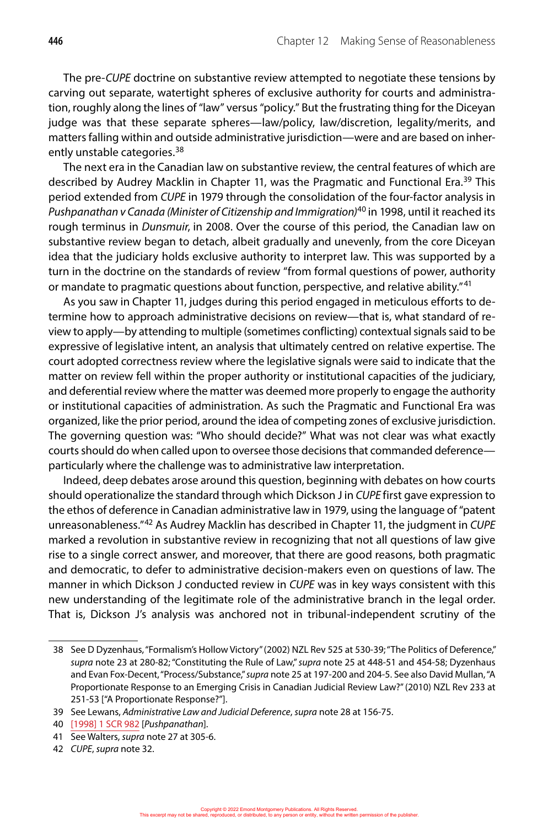The pre-*CUPE* doctrine on substantive review attempted to negotiate these tensions by carving out separate, watertight spheres of exclusive authority for courts and administration, roughly along the lines of "law" versus "policy." But the frustrating thing for the Diceyan judge was that these separate spheres—law/policy, law/discretion, legality/merits, and matters falling within and outside administrative jurisdiction—were and are based on inherently unstable categories.<sup>38</sup>

The next era in the Canadian law on substantive review, the central features of which are described by Audrey Macklin in Chapter 11, was the Pragmatic and Functional Era.<sup>39</sup> This period extended from *CUPE* in 1979 through the consolidation of the four-factor analysis in *Pushpanathan v Canada (Minister of Citizenship and Immigration)*<sup>40</sup> in 1998, until it reached its rough terminus in *Dunsmuir*, in 2008. Over the course of this period, the Canadian law on substantive review began to detach, albeit gradually and unevenly, from the core Diceyan idea that the judiciary holds exclusive authority to interpret law. This was supported by a turn in the doctrine on the standards of review "from formal questions of power, authority or mandate to pragmatic questions about function, perspective, and relative ability."41

As you saw in Chapter 11, judges during this period engaged in meticulous efforts to determine how to approach administrative decisions on review—that is, what standard of review to apply—by attending to multiple (sometimes conflicting) contextual signals said to be expressive of legislative intent, an analysis that ultimately centred on relative expertise. The court adopted correctness review where the legislative signals were said to indicate that the matter on review fell within the proper authority or institutional capacities of the judiciary, and deferential review where the matter was deemed more properly to engage the authority or institutional capacities of administration. As such the Pragmatic and Functional Era was organized, like the prior period, around the idea of competing zones of exclusive jurisdiction. The governing question was: "Who should decide?" What was not clear was what exactly courts should do when called upon to oversee those decisions that commanded deference particularly where the challenge was to administrative law interpretation.

Indeed, deep debates arose around this question, beginning with debates on how courts should operationalize the standard through which Dickson J in *CUPE* first gave expression to the ethos of deference in Canadian administrative law in 1979, using the language of "patent unreasonableness."42 As Audrey Macklin has described in Chapter 11, the judgment in *CUPE* marked a revolution in substantive review in recognizing that not all questions of law give rise to a single correct answer, and moreover, that there are good reasons, both pragmatic and democratic, to defer to administrative decision-makers even on questions of law. The manner in which Dickson J conducted review in *CUPE* was in key ways consistent with this new understanding of the legitimate role of the administrative branch in the legal order. That is, Dickson J's analysis was anchored not in tribunal-independent scrutiny of the

<sup>38</sup> See D Dyzenhaus, "Formalism's Hollow Victory" (2002) NZL Rev 525 at 530-39; "The Politics of Deference," *supra* note 23 at 280-82; "Constituting the Rule of Law," *supra* note 25 at 448-51 and 454-58; Dyzenhaus and Evan Fox-Decent, "Process/Substance," *supra* note 25 at 197-200 and 204-5. See also David Mullan, "A Proportionate Response to an Emerging Crisis in Canadian Judicial Review Law?" (2010) NZL Rev 233 at 251-53 ["A Proportionate Response?"].

<sup>39</sup> See Lewans, *Administrative Law and Judicial Deference*, *supra* note 28 at 156-75.

<sup>40</sup> [\[1998\] 1 SCR 982](https://www.canlii.org/en/ca/scc/doc/1998/1998canlii778/1998canlii778.html?autocompleteStr=Pushpanathan v Canada &autocompletePos=1) [*Pushpanathan*].

<sup>41</sup> See Walters, *supra* note 27 at 305-6.

<sup>42</sup> *CUPE*, *supra* note 32.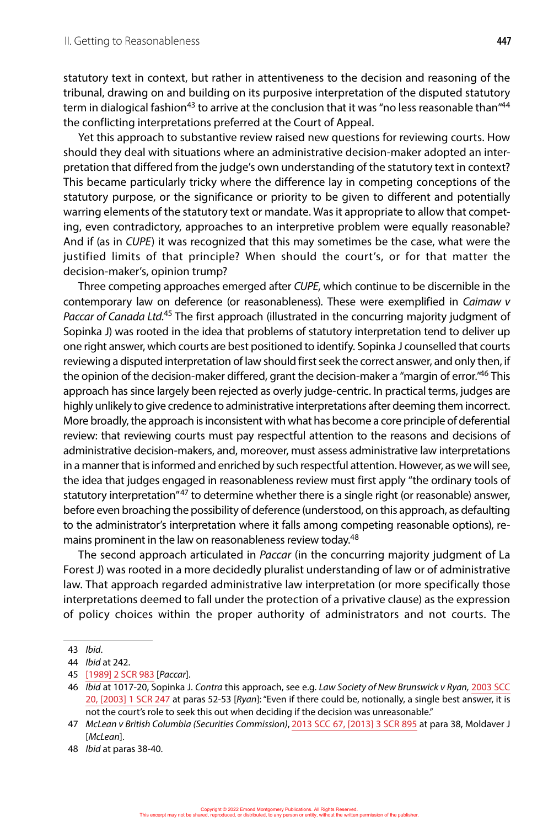statutory text in context, but rather in attentiveness to the decision and reasoning of the tribunal, drawing on and building on its purposive interpretation of the disputed statutory term in dialogical fashion<sup>43</sup> to arrive at the conclusion that it was "no less reasonable than"<sup>44</sup> the conflicting interpretations preferred at the Court of Appeal.

Yet this approach to substantive review raised new questions for reviewing courts. How should they deal with situations where an administrative decision-maker adopted an interpretation that differed from the judge's own understanding of the statutory text in context? This became particularly tricky where the difference lay in competing conceptions of the statutory purpose, or the significance or priority to be given to different and potentially warring elements of the statutory text or mandate. Was it appropriate to allow that competing, even contradictory, approaches to an interpretive problem were equally reasonable? And if (as in *CUPE*) it was recognized that this may sometimes be the case, what were the justified limits of that principle? When should the court's, or for that matter the decision-maker's, opinion trump?

Three competing approaches emerged after *CUPE*, which continue to be discernible in the contemporary law on deference (or reasonableness). These were exemplified in *Caimaw v Paccar of Canada Ltd.*<sup>45</sup> The first approach (illustrated in the concurring majority judgment of Sopinka J) was rooted in the idea that problems of statutory interpretation tend to deliver up one right answer, which courts are best positioned to identify. Sopinka J counselled that courts reviewing a disputed interpretation of law should first seek the correct answer, and only then, if the opinion of the decision-maker differed, grant the decision-maker a "margin of error."46 This approach has since largely been rejected as overly judge-centric. In practical terms, judges are highly unlikely to give credence to administrative interpretations after deeming them incorrect. More broadly, the approach is inconsistent with what has become a core principle of deferential review: that reviewing courts must pay respectful attention to the reasons and decisions of administrative decision-makers, and, moreover, must assess administrative law interpretations in a manner that is informed and enriched by such respectful attention. However, as we will see, the idea that judges engaged in reasonableness review must first apply "the ordinary tools of statutory interpretation<sup>"47</sup> to determine whether there is a single right (or reasonable) answer, before even broaching the possibility of deference (understood, on this approach, as defaulting to the administrator's interpretation where it falls among competing reasonable options), remains prominent in the law on reasonableness review today.<sup>48</sup>

The second approach articulated in *Paccar* (in the concurring majority judgment of La Forest J) was rooted in a more decidedly pluralist understanding of law or of administrative law. That approach regarded administrative law interpretation (or more specifically those interpretations deemed to fall under the protection of a privative clause) as the expression of policy choices within the proper authority of administrators and not courts. The

<sup>43</sup> *Ibid*.

<sup>44</sup> *Ibid* at 242.

<sup>45</sup> [\[1989\] 2 SCR 983](https://www.canlii.org/en/ca/scc/doc/1989/1989canlii49/1989canlii49.html?autocompleteStr=Caimaw v Paccar of Canada Ltd%2C %5B1989%5D 2 SCR 983&autocompletePos=1) [*Paccar*].

<sup>46</sup> *Ibid* at 1017-20, Sopinka J. *Contra* this approach, see e.g. *Law Society of New Brunswick v Ryan,* [2003 SCC](http://canlii.ca/t/1g5lm) [20, \[2003\] 1 SCR 247](http://canlii.ca/t/1g5lm) at paras 52-53 [*Ryan*]: "Even if there could be, notionally, a single best answer, it is not the court's role to seek this out when deciding if the decision was unreasonable."

<sup>47</sup> *McLean v British Columbia (Securities Commission)*, [2013 SCC 67, \[2013\] 3 SCR 895](https://www.canlii.org/en/ca/scc/doc/2013/2013scc67/2013scc67.html?autocompleteStr=2013 SCC 67%2C 3 SCR 895 &autocompletePos=1) at para 38, Moldaver J [*McLean*].

<sup>48</sup> *Ibid* at paras 38-40.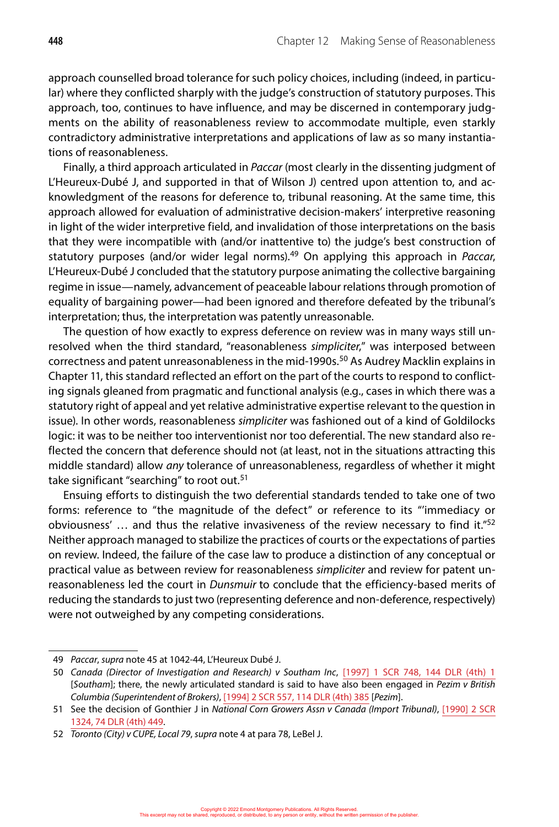approach counselled broad tolerance for such policy choices, including (indeed, in particular) where they conflicted sharply with the judge's construction of statutory purposes. This approach, too, continues to have influence, and may be discerned in contemporary judgments on the ability of reasonableness review to accommodate multiple, even starkly contradictory administrative interpretations and applications of law as so many instantiations of reasonableness.

Finally, a third approach articulated in *Paccar* (most clearly in the dissenting judgment of L'Heureux-Dubé J, and supported in that of Wilson J) centred upon attention to, and acknowledgment of the reasons for deference to, tribunal reasoning. At the same time, this approach allowed for evaluation of administrative decision-makers' interpretive reasoning in light of the wider interpretive field, and invalidation of those interpretations on the basis that they were incompatible with (and/or inattentive to) the judge's best construction of statutory purposes (and/or wider legal norms).49 On applying this approach in *Paccar*, L'Heureux-Dubé J concluded that the statutory purpose animating the collective bargaining regime in issue—namely, advancement of peaceable labour relations through promotion of equality of bargaining power—had been ignored and therefore defeated by the tribunal's interpretation; thus, the interpretation was patently unreasonable.

The question of how exactly to express deference on review was in many ways still unresolved when the third standard, "reasonableness *simpliciter*," was interposed between correctness and patent unreasonableness in the mid-1990s.<sup>50</sup> As Audrey Macklin explains in Chapter 11, this standard reflected an effort on the part of the courts to respond to conflicting signals gleaned from pragmatic and functional analysis (e.g., cases in which there was a statutory right of appeal and yet relative administrative expertise relevant to the question in issue). In other words, reasonableness *simpliciter* was fashioned out of a kind of Goldilocks logic: it was to be neither too interventionist nor too deferential. The new standard also reflected the concern that deference should not (at least, not in the situations attracting this middle standard) allow *any* tolerance of unreasonableness, regardless of whether it might take significant "searching" to root out.<sup>51</sup>

Ensuing efforts to distinguish the two deferential standards tended to take one of two forms: reference to "the magnitude of the defect" or reference to its "'immediacy or obviousness'  $\ldots$  and thus the relative invasiveness of the review necessary to find it." $52$ Neither approach managed to stabilize the practices of courts or the expectations of parties on review. Indeed, the failure of the case law to produce a distinction of any conceptual or practical value as between review for reasonableness *simpliciter* and review for patent unreasonableness led the court in *Dunsmuir* to conclude that the efficiency-based merits of reducing the standards to just two (representing deference and non-deference, respectively) were not outweighed by any competing considerations.

<sup>49</sup> *Paccar*, *supra* note 45 at 1042-44, L'Heureux Dubé J.

<sup>50</sup> *Canada (Director of Investigation and Research) v Southam Inc*, [\[1997\] 1 SCR 748, 144 DLR \(4th\) 1](https://www.canlii.org/en/ca/scc/doc/1997/1997canlii385/1997canlii385.html?autocompleteStr=Canada (Director of Investigation and Research) v Southam Inc&autocompletePos=1) [*Southam*]; there, the newly articulated standard is said to have also been engaged in *Pezim v British Columbia (Superintendent of Brokers)*, [\[1994\] 2 SCR 557, 114 DLR \(4th\) 385](https://www.canlii.org/en/ca/scc/doc/1994/1994canlii103/1994canlii103.html?autocompleteStr=Pezim v British Columbia (Superintendent of Brokers)%2C &autocompletePos=1) [*Pezim*].

<sup>51</sup> See the decision of Gonthier J in *National Corn Growers Assn v Canada (Import Tribunal)*, [\[1990\] 2 SCR](https://www.canlii.org/en/ca/scc/doc/1990/1990canlii49/1990canlii49.html?autocompleteStr=National Corn Growers Assn v Canada (Import Tribunal)%2C %5B1990%5D 2 SCR 1324&autocompletePos=1) [1324, 74 DLR \(4th\) 449.](https://www.canlii.org/en/ca/scc/doc/1990/1990canlii49/1990canlii49.html?autocompleteStr=National Corn Growers Assn v Canada (Import Tribunal)%2C %5B1990%5D 2 SCR 1324&autocompletePos=1)

<sup>52</sup> *Toronto (City) v CUPE, Local 79*, *supra* note 4 at para 78, LeBel J.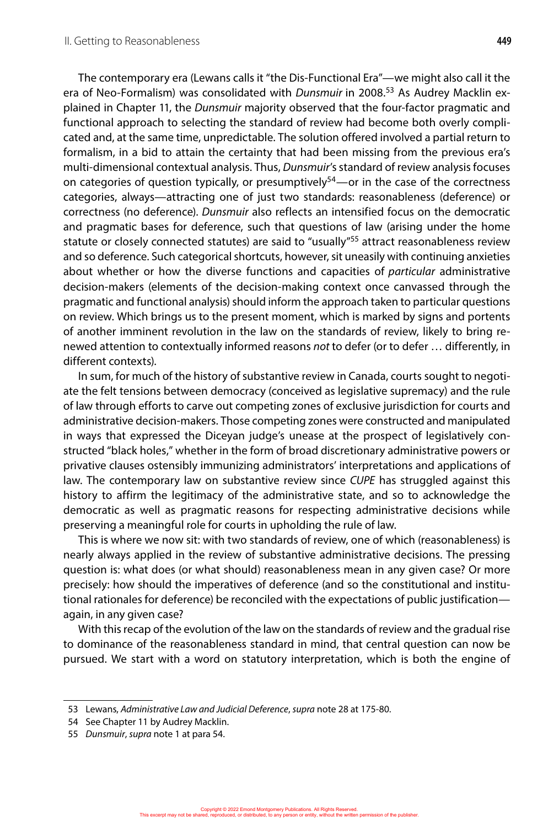The contemporary era (Lewans calls it "the Dis-Functional Era"—we might also call it the era of Neo-Formalism) was consolidated with *Dunsmuir* in 2008.53 As Audrey Macklin explained in Chapter 11, the *Dunsmuir* majority observed that the four-factor pragmatic and functional approach to selecting the standard of review had become both overly complicated and, at the same time, unpredictable. The solution offered involved a partial return to formalism, in a bid to attain the certainty that had been missing from the previous era's multi-dimensional contextual analysis. Thus, *Dunsmuir*'sstandard of review analysis focuses on categories of question typically, or presumptively<sup>54</sup>—or in the case of the correctness categories, always—attracting one of just two standards: reasonableness (deference) or correctness (no deference). *Dunsmuir* also reflects an intensified focus on the democratic and pragmatic bases for deference, such that questions of law (arising under the home statute or closely connected statutes) are said to "usually"<sup>55</sup> attract reasonableness review and so deference. Such categorical shortcuts, however, sit uneasily with continuing anxieties about whether or how the diverse functions and capacities of *particular* administrative decision-makers (elements of the decision-making context once canvassed through the pragmatic and functional analysis) should inform the approach taken to particular questions on review. Which brings us to the present moment, which is marked by signs and portents of another imminent revolution in the law on the standards of review, likely to bring renewed attention to contextually informed reasons *not* to defer (or to defer … differently, in different contexts).

In sum, for much of the history of substantive review in Canada, courts sought to negotiate the felt tensions between democracy (conceived as legislative supremacy) and the rule of law through efforts to carve out competing zones of exclusive jurisdiction for courts and administrative decision-makers. Those competing zones were constructed and manipulated in ways that expressed the Diceyan judge's unease at the prospect of legislatively constructed "black holes," whether in the form of broad discretionary administrative powers or privative clauses ostensibly immunizing administrators' interpretations and applications of law. The contemporary law on substantive review since *CUPE* has struggled against this history to affirm the legitimacy of the administrative state, and so to acknowledge the democratic as well as pragmatic reasons for respecting administrative decisions while preserving a meaningful role for courts in upholding the rule of law.

This is where we now sit: with two standards of review, one of which (reasonableness) is nearly always applied in the review of substantive administrative decisions. The pressing question is: what does (or what should) reasonableness mean in any given case? Or more precisely: how should the imperatives of deference (and so the constitutional and institutional rationales for deference) be reconciled with the expectations of public justification again, in any given case?

With this recap of the evolution of the law on the standards of review and the gradual rise to dominance of the reasonableness standard in mind, that central question can now be pursued. We start with a word on statutory interpretation, which is both the engine of

<sup>53</sup> Lewans, *Administrative Law and Judicial Deference*, *supra* note 28 at 175-80.

<sup>54</sup> See Chapter 11 by Audrey Macklin.

<sup>55</sup> *Dunsmuir*, *supra* note 1 at para 54.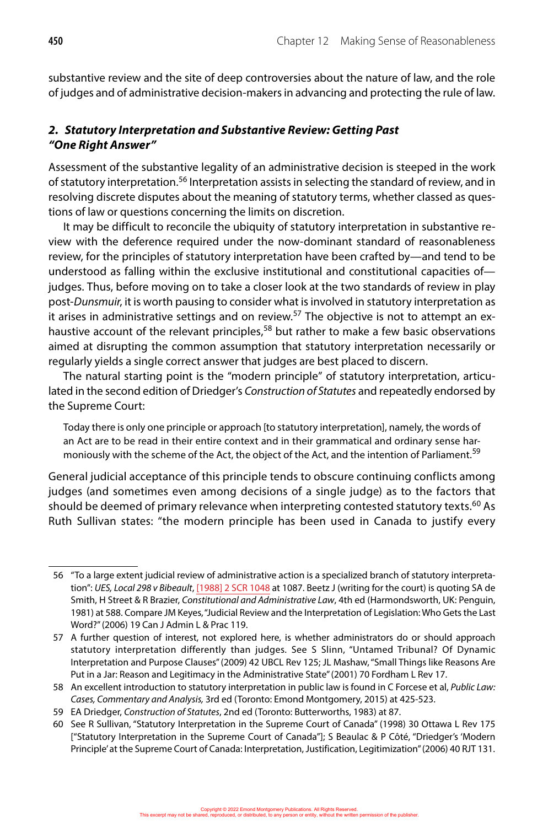substantive review and the site of deep controversies about the nature of law, and the role of judges and of administrative decision-makers in advancing and protecting the rule of law.

## *2. Statutory Interpretation and Substantive Review: Getting Past "One Right Answer"*

Assessment of the substantive legality of an administrative decision is steeped in the work of statutory interpretation.56 Interpretation assists in selecting the standard of review, and in resolving discrete disputes about the meaning of statutory terms, whether classed as questions of law or questions concerning the limits on discretion.

It may be difficult to reconcile the ubiquity of statutory interpretation in substantive review with the deference required under the now-dominant standard of reasonableness review, for the principles of statutory interpretation have been crafted by—and tend to be understood as falling within the exclusive institutional and constitutional capacities of judges. Thus, before moving on to take a closer look at the two standards of review in play post-*Dunsmuir*, it is worth pausing to consider what is involved in statutory interpretation as it arises in administrative settings and on review.<sup>57</sup> The objective is not to attempt an exhaustive account of the relevant principles,<sup>58</sup> but rather to make a few basic observations aimed at disrupting the common assumption that statutory interpretation necessarily or regularly yields a single correct answer that judges are best placed to discern.

The natural starting point is the "modern principle" of statutory interpretation, articulated in the second edition of Driedger's *Construction of Statutes* and repeatedly endorsed by the Supreme Court:

Today there is only one principle or approach [to statutory interpretation], namely, the words of an Act are to be read in their entire context and in their grammatical and ordinary sense harmoniously with the scheme of the Act, the object of the Act, and the intention of Parliament.<sup>59</sup>

General judicial acceptance of this principle tends to obscure continuing conflicts among judges (and sometimes even among decisions of a single judge) as to the factors that should be deemed of primary relevance when interpreting contested statutory texts.<sup>60</sup> As Ruth Sullivan states: "the modern principle has been used in Canada to justify every

<sup>56</sup> "To a large extent judicial review of administrative action is a specialized branch of statutory interpretation": *UES, Local 298 v Bibeault*, [\[1988\] 2 SCR 1048](https://www.canlii.org/en/ca/scc/doc/1988/1988canlii30/1988canlii30.html?autocompleteStr=UES Local 298 v Bibeault%2C &autocompletePos=1) at 1087. Beetz J (writing for the court) is quoting SA de Smith, H Street & R Brazier, *Constitutional and Administrative Law*, 4th ed (Harmondsworth, UK: Penguin, 1981) at 588. Compare JM Keyes, "Judicial Review and the Interpretation of Legislation: Who Gets the Last Word?" (2006) 19 Can J Admin L & Prac 119.

<sup>57</sup> A further question of interest, not explored here, is whether administrators do or should approach statutory interpretation differently than judges. See S Slinn, "Untamed Tribunal? Of Dynamic Interpretation and Purpose Clauses" (2009) 42 UBCL Rev 125; JL Mashaw, "Small Things like Reasons Are Put in a Jar: Reason and Legitimacy in the Administrative State" (2001) 70 Fordham L Rev 17.

<sup>58</sup> An excellent introduction to statutory interpretation in public law is found in C Forcese et al, *Public Law: Cases, Commentary and Analysis,* 3rd ed (Toronto: Emond Montgomery, 2015) at 425-523.

<sup>59</sup> EA Driedger, *Construction of Statutes*, 2nd ed (Toronto: Butterworths, 1983) at 87.

<sup>60</sup> See R Sullivan, "Statutory Interpretation in the Supreme Court of Canada" (1998) 30 Ottawa L Rev 175 ["Statutory Interpretation in the Supreme Court of Canada"]; S Beaulac & P Côté, "Driedger's 'Modern Principle' at the Supreme Court of Canada: Interpretation, Justification, Legitimization" (2006) 40 RJT 131.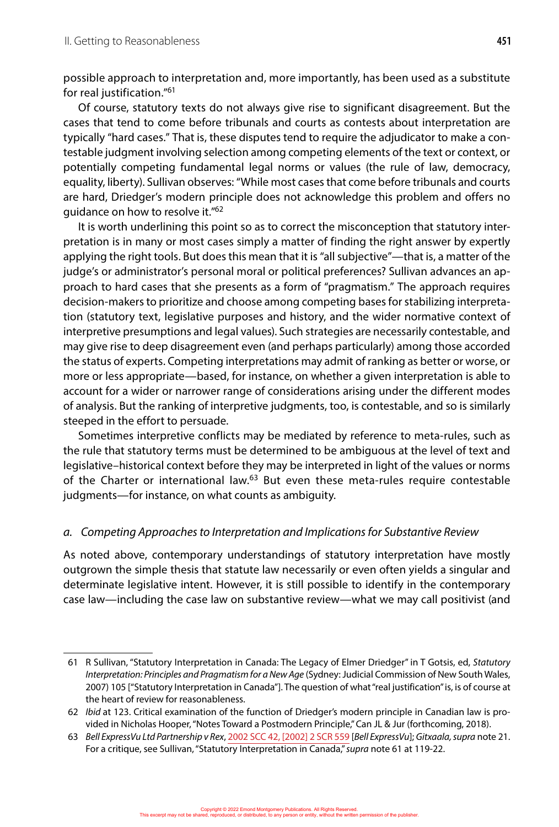possible approach to interpretation and, more importantly, has been used as a substitute for real justification."61

Of course, statutory texts do not always give rise to significant disagreement. But the cases that tend to come before tribunals and courts as contests about interpretation are typically "hard cases." That is, these disputes tend to require the adjudicator to make a contestable judgment involving selection among competing elements of the text or context, or potentially competing fundamental legal norms or values (the rule of law, democracy, equality, liberty). Sullivan observes: "While most cases that come before tribunals and courts are hard, Driedger's modern principle does not acknowledge this problem and offers no guidance on how to resolve it."<sup>62</sup>

It is worth underlining this point so as to correct the misconception that statutory interpretation is in many or most cases simply a matter of finding the right answer by expertly applying the right tools. But does this mean that it is "all subjective"—that is, a matter of the judge's or administrator's personal moral or political preferences? Sullivan advances an approach to hard cases that she presents as a form of "pragmatism." The approach requires decision-makers to prioritize and choose among competing bases for stabilizing interpretation (statutory text, legislative purposes and history, and the wider normative context of interpretive presumptions and legal values). Such strategies are necessarily contestable, and may give rise to deep disagreement even (and perhaps particularly) among those accorded the status of experts. Competing interpretations may admit of ranking as better or worse, or more or less appropriate—based, for instance, on whether a given interpretation is able to account for a wider or narrower range of considerations arising under the different modes of analysis. But the ranking of interpretive judgments, too, is contestable, and so is similarly steeped in the effort to persuade.

Sometimes interpretive conflicts may be mediated by reference to meta-rules, such as the rule that statutory terms must be determined to be ambiguous at the level of text and legislative–historical context before they may be interpreted in light of the values or norms of the Charter or international law.<sup>63</sup> But even these meta-rules require contestable judgments—for instance, on what counts as ambiguity.

#### *a. Competing Approaches to Interpretation and Implications for Substantive Review*

As noted above, contemporary understandings of statutory interpretation have mostly outgrown the simple thesis that statute law necessarily or even often yields a singular and determinate legislative intent. However, it is still possible to identify in the contemporary case law—including the case law on substantive review—what we may call positivist (and

<sup>61</sup> R Sullivan, "Statutory Interpretation in Canada: The Legacy of Elmer Driedger" in T Gotsis, ed, *Statutory Interpretation: Principles and Pragmatism for a New Age* (Sydney: Judicial Commission of New South Wales, 2007) 105 ["Statutory Interpretation in Canada"]. The question of what "real justification" is, is of course at the heart of review for reasonableness.

<sup>62</sup> *Ibid* at 123. Critical examination of the function of Driedger's modern principle in Canadian law is provided in Nicholas Hooper, "Notes Toward a Postmodern Principle," Can JL & Jur (forthcoming, 2018).

<sup>63</sup> *Bell ExpressVu Ltd Partnership v Rex*, [2002 SCC 42, \[2002\] 2 SCR 559](https://www.canlii.org/en/ca/scc/doc/2002/2002scc42/2002scc42.html?autocompleteStr=Bell Express Vu Ltd Partnership v Rex &autocompletePos=2) [*Bell ExpressVu*]; *Gitxaala, supra* note 21. For a critique, see Sullivan, "Statutory Interpretation in Canada," *supra* note 61 at 119-22.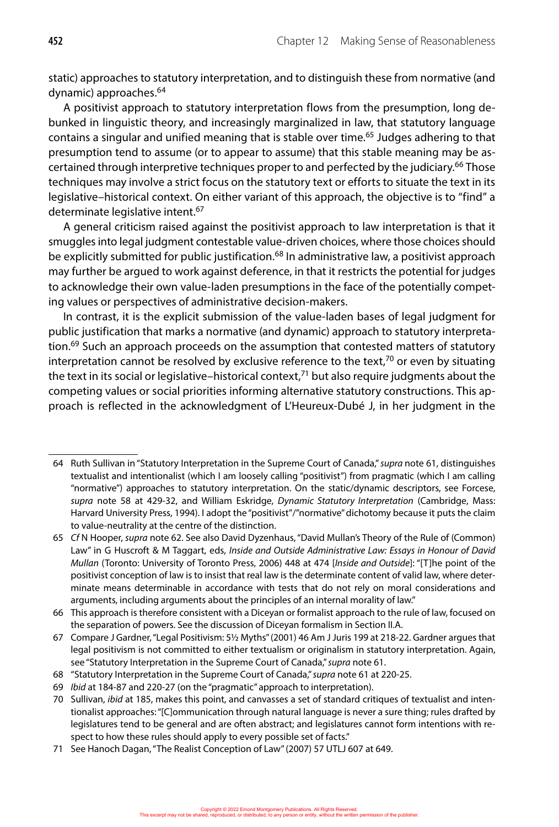static) approaches to statutory interpretation, and to distinguish these from normative (and dynamic) approaches.<sup>64</sup>

A positivist approach to statutory interpretation flows from the presumption, long debunked in linguistic theory, and increasingly marginalized in law, that statutory language contains a singular and unified meaning that is stable over time.<sup>65</sup> Judges adhering to that presumption tend to assume (or to appear to assume) that this stable meaning may be ascertained through interpretive techniques proper to and perfected by the judiciary.<sup>66</sup> Those techniques may involve a strict focus on the statutory text or efforts to situate the text in its legislative–historical context. On either variant of this approach, the objective is to "find" a determinate legislative intent.<sup>67</sup>

A general criticism raised against the positivist approach to law interpretation is that it smuggles into legal judgment contestable value-driven choices, where those choices should be explicitly submitted for public justification.<sup>68</sup> In administrative law, a positivist approach may further be argued to work against deference, in that it restricts the potential for judges to acknowledge their own value-laden presumptions in the face of the potentially competing values or perspectives of administrative decision-makers.

In contrast, it is the explicit submission of the value-laden bases of legal judgment for public justification that marks a normative (and dynamic) approach to statutory interpretation.<sup>69</sup> Such an approach proceeds on the assumption that contested matters of statutory interpretation cannot be resolved by exclusive reference to the text, $70$  or even by situating the text in its social or legislative–historical context,<sup>71</sup> but also require judgments about the competing values or social priorities informing alternative statutory constructions. This approach is reflected in the acknowledgment of L'Heureux-Dubé J, in her judgment in the

- 69 *Ibid* at 184-87 and 220-27 (on the "pragmatic" approach to interpretation).
- 70 Sullivan, *ibid* at 185, makes this point, and canvasses a set of standard critiques of textualist and intentionalist approaches: "[C]ommunication through natural language is never a sure thing; rules drafted by legislatures tend to be general and are often abstract; and legislatures cannot form intentions with respect to how these rules should apply to every possible set of facts."
- 71 See Hanoch Dagan, "The Realist Conception of Law" (2007) 57 UTLJ 607 at 649.

<sup>64</sup> Ruth Sullivan in "Statutory Interpretation in the Supreme Court of Canada," *supra* note 61, distinguishes textualist and intentionalist (which I am loosely calling "positivist") from pragmatic (which I am calling "normative") approaches to statutory interpretation. On the static/dynamic descriptors, see Forcese, *supra* note 58 at 429-32, and William Eskridge, *Dynamic Statutory Interpretation* (Cambridge, Mass: Harvard University Press, 1994). I adopt the "positivist"/"normative" dichotomy because it puts the claim to value-neutrality at the centre of the distinction.

<sup>65</sup> *Cf* N Hooper, *supra* note 62. See also David Dyzenhaus, "David Mullan's Theory of the Rule of (Common) Law" in G Huscroft & M Taggart, eds, *Inside and Outside Administrative Law: Essays in Honour of David Mullan* (Toronto: University of Toronto Press, 2006) 448 at 474 [*Inside and Outside*]: "[T]he point of the positivist conception of law is to insist that real law is the determinate content of valid law, where determinate means determinable in accordance with tests that do not rely on moral considerations and arguments, including arguments about the principles of an internal morality of law."

<sup>66</sup> This approach is therefore consistent with a Diceyan or formalist approach to the rule of law, focused on the separation of powers. See the discussion of Diceyan formalism in Section II.A.

<sup>67</sup> Compare J Gardner, "Legal Positivism: 5½ Myths" (2001) 46 Am J Juris 199 at 218-22. Gardner argues that legal positivism is not committed to either textualism or originalism in statutory interpretation. Again, see "Statutory Interpretation in the Supreme Court of Canada," *supra* note 61.

<sup>68</sup> "Statutory Interpretation in the Supreme Court of Canada," *supra* note 61 at 220-25.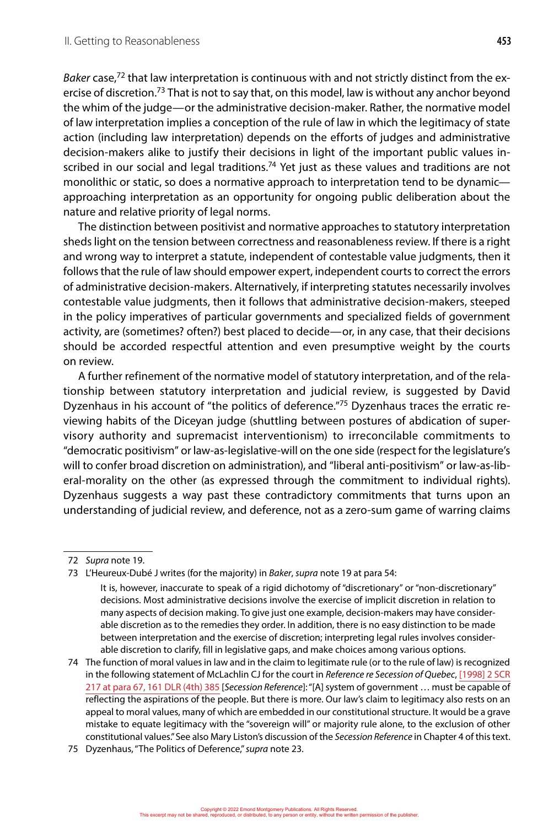*Baker* case,72 that law interpretation is continuous with and not strictly distinct from the exercise of discretion.<sup>73</sup> That is not to say that, on this model, law is without any anchor beyond the whim of the judge—or the administrative decision-maker. Rather, the normative model of law interpretation implies a conception of the rule of law in which the legitimacy of state action (including law interpretation) depends on the efforts of judges and administrative decision-makers alike to justify their decisions in light of the important public values inscribed in our social and legal traditions.<sup>74</sup> Yet just as these values and traditions are not monolithic or static, so does a normative approach to interpretation tend to be dynamic approaching interpretation as an opportunity for ongoing public deliberation about the nature and relative priority of legal norms.

The distinction between positivist and normative approaches to statutory interpretation sheds light on the tension between correctness and reasonableness review. If there is a right and wrong way to interpret a statute, independent of contestable value judgments, then it follows that the rule of law should empower expert, independent courts to correct the errors of administrative decision-makers. Alternatively, if interpreting statutes necessarily involves contestable value judgments, then it follows that administrative decision-makers, steeped in the policy imperatives of particular governments and specialized fields of government activity, are (sometimes? often?) best placed to decide—or, in any case, that their decisions should be accorded respectful attention and even presumptive weight by the courts on review.

A further refinement of the normative model of statutory interpretation, and of the relationship between statutory interpretation and judicial review, is suggested by David Dyzenhaus in his account of "the politics of deference."<sup>75</sup> Dyzenhaus traces the erratic reviewing habits of the Diceyan judge (shuttling between postures of abdication of supervisory authority and supremacist interventionism) to irreconcilable commitments to "democratic positivism" or law-as-legislative-will on the one side (respect for the legislature's will to confer broad discretion on administration), and "liberal anti-positivism" or law-as-liberal-morality on the other (as expressed through the commitment to individual rights). Dyzenhaus suggests a way past these contradictory commitments that turns upon an understanding of judicial review, and deference, not as a zero-sum game of warring claims

<sup>72</sup> *Supra* note 19.

<sup>73</sup> L'Heureux-Dubé J writes (for the majority) in *Baker*, *supra* note 19 at para 54:

It is, however, inaccurate to speak of a rigid dichotomy of "discretionary" or "non-discretionary" decisions. Most administrative decisions involve the exercise of implicit discretion in relation to many aspects of decision making. To give just one example, decision-makers may have considerable discretion as to the remedies they order. In addition, there is no easy distinction to be made between interpretation and the exercise of discretion; interpreting legal rules involves considerable discretion to clarify, fill in legislative gaps, and make choices among various options.

<sup>74</sup> The function of moral values in law and in the claim to legitimate rule (or to the rule of law) is recognized in the following statement of McLachlin CJ for the court in *Reference re Secession of Quebec*, [\[1998\] 2 SCR](https://www.canlii.org/en/ca/scc/doc/1998/1998canlii793/1998canlii793.html?autocompleteStr=Reference re Secession of Quebec%2C %5B1998%5D 2 SCR 217 &autocompletePos=1)  [217 at para 67, 161 DLR \(4th\) 385](https://www.canlii.org/en/ca/scc/doc/1998/1998canlii793/1998canlii793.html?autocompleteStr=Reference re Secession of Quebec%2C %5B1998%5D 2 SCR 217 &autocompletePos=1) [*Secession Reference*]: "[A] system of government … must be capable of reflecting the aspirations of the people. But there is more. Our law's claim to legitimacy also rests on an appeal to moral values, many of which are embedded in our constitutional structure. It would be a grave mistake to equate legitimacy with the "sovereign will" or majority rule alone, to the exclusion of other constitutional values." See also Mary Liston's discussion of the *Secession Reference* in Chapter 4 of this text.

<sup>75</sup> Dyzenhaus, "The Politics of Deference," *supra* note 23.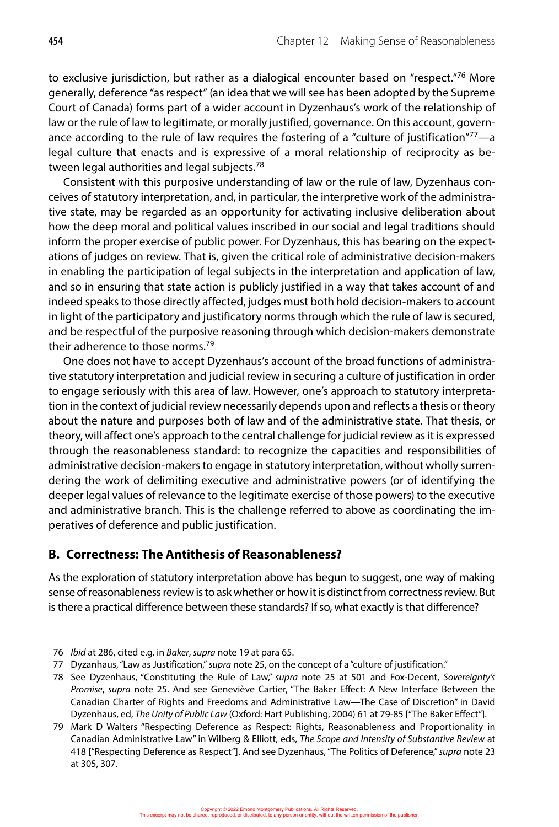to exclusive jurisdiction, but rather as a dialogical encounter based on "respect."<sup>76</sup> More generally, deference "as respect" (an idea that we will see has been adopted by the Supreme Court of Canada) forms part of a wider account in Dyzenhaus's work of the relationship of law or the rule of law to legitimate, or morally justified, governance. On this account, governance according to the rule of law requires the fostering of a "culture of justification" $77 - a$ legal culture that enacts and is expressive of a moral relationship of reciprocity as between legal authorities and legal subjects.<sup>78</sup>

Consistent with this purposive understanding of law or the rule of law, Dyzenhaus conceives of statutory interpretation, and, in particular, the interpretive work of the administrative state, may be regarded as an opportunity for activating inclusive deliberation about how the deep moral and political values inscribed in our social and legal traditions should inform the proper exercise of public power. For Dyzenhaus, this has bearing on the expectations of judges on review. That is, given the critical role of administrative decision-makers in enabling the participation of legal subjects in the interpretation and application of law, and so in ensuring that state action is publicly justified in a way that takes account of and indeed speaks to those directly affected, judges must both hold decision-makers to account in light of the participatory and justificatory norms through which the rule of law is secured, and be respectful of the purposive reasoning through which decision-makers demonstrate their adherence to those norms.<sup>79</sup>

One does not have to accept Dyzenhaus's account of the broad functions of administrative statutory interpretation and judicial review in securing a culture of justification in order to engage seriously with this area of law. However, one's approach to statutory interpretation in the context of judicial review necessarily depends upon and reflects a thesis or theory about the nature and purposes both of law and of the administrative state. That thesis, or theory, will affect one's approach to the central challenge for judicial review as it is expressed through the reasonableness standard: to recognize the capacities and responsibilities of administrative decision-makers to engage in statutory interpretation, without wholly surrendering the work of delimiting executive and administrative powers (or of identifying the deeper legal values of relevance to the legitimate exercise of those powers) to the executive and administrative branch. This is the challenge referred to above as coordinating the imperatives of deference and public justification.

## **B. Correctness: The Antithesis of Reasonableness?**

As the exploration of statutory interpretation above has begun to suggest, one way of making sense of reasonableness review is to ask whether or how it is distinct from correctness review. But is there a practical difference between these standards? If so, what exactly is that difference?

<sup>76</sup> *Ibid* at 286, cited e.g. in *Baker*, *supra* note 19 at para 65.

<sup>77</sup> Dyzanhaus, "Law as Justification," *supra* note 25, on the concept of a "culture of justification."

<sup>78</sup> See Dyzenhaus, "Constituting the Rule of Law," *supra* note 25 at 501 and Fox-Decent, *Sovereignty's Promise*, *supra* note 25. And see Geneviève Cartier, "The Baker Effect: A New Interface Between the Canadian Charter of Rights and Freedoms and Administrative Law—The Case of Discretion" in David Dyzenhaus, ed, *The Unity of Public Law* (Oxford: Hart Publishing, 2004) 61 at 79-85 ["The Baker Effect"].

<sup>79</sup> Mark D Walters "Respecting Deference as Respect: Rights, Reasonableness and Proportionality in Canadian Administrative Law" in Wilberg & Elliott, eds, *The Scope and Intensity of Substantive Review* at 418 ["Respecting Deference as Respect"]. And see Dyzenhaus, "The Politics of Deference," *supra* note 23 at 305, 307.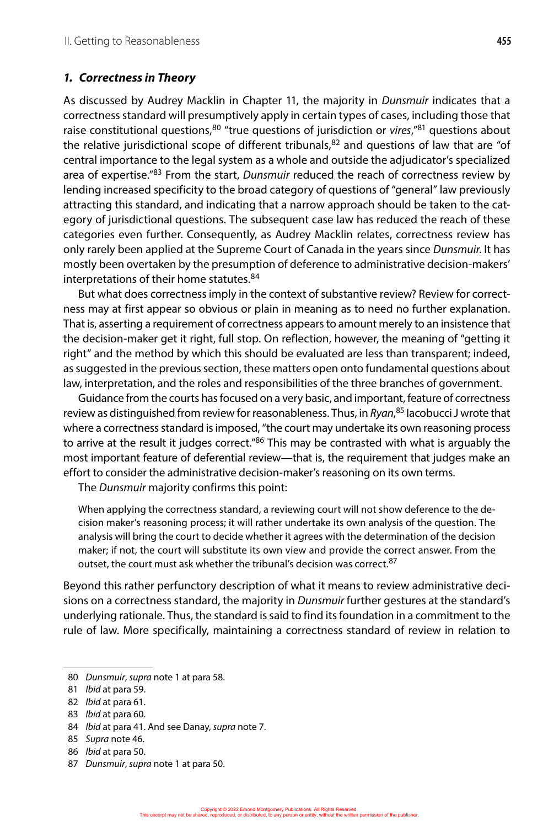#### *1. Correctness in Theory*

As discussed by Audrey Macklin in Chapter 11, the majority in *Dunsmuir* indicates that a correctness standard will presumptively apply in certain types of cases, including those that raise constitutional questions,80 "true questions of jurisdiction or *vires*,"81 questions about the relative jurisdictional scope of different tribunals, $82$  and questions of law that are "of central importance to the legal system as a whole and outside the adjudicator's specialized area of expertise."83 From the start, *Dunsmuir* reduced the reach of correctness review by lending increased specificity to the broad category of questions of "general" law previously attracting this standard, and indicating that a narrow approach should be taken to the category of jurisdictional questions. The subsequent case law has reduced the reach of these categories even further. Consequently, as Audrey Macklin relates, correctness review has only rarely been applied at the Supreme Court of Canada in the years since *Dunsmuir*. It has mostly been overtaken by the presumption of deference to administrative decision-makers' interpretations of their home statutes.<sup>84</sup>

But what does correctness imply in the context of substantive review? Review for correctness may at first appear so obvious or plain in meaning as to need no further explanation. That is, asserting a requirement of correctness appears to amount merely to an insistence that the decision-maker get it right, full stop. On reflection, however, the meaning of "getting it right" and the method by which this should be evaluated are less than transparent; indeed, as suggested in the previous section, these matters open onto fundamental questions about law, interpretation, and the roles and responsibilities of the three branches of government.

Guidance from the courts has focused on a very basic, and important, feature of correctness review as distinguished from review for reasonableness. Thus, in *Ryan*, 85 Iacobucci J wrote that where a correctness standard is imposed, "the court may undertake its own reasoning process to arrive at the result it judges correct."<sup>86</sup> This may be contrasted with what is arguably the most important feature of deferential review—that is, the requirement that judges make an effort to consider the administrative decision-maker's reasoning on its own terms.

The *Dunsmuir* majority confirms this point:

When applying the correctness standard, a reviewing court will not show deference to the decision maker's reasoning process; it will rather undertake its own analysis of the question. The analysis will bring the court to decide whether it agrees with the determination of the decision maker; if not, the court will substitute its own view and provide the correct answer. From the outset, the court must ask whether the tribunal's decision was correct.<sup>87</sup>

Beyond this rather perfunctory description of what it means to review administrative decisions on a correctness standard, the majority in *Dunsmuir* further gestures at the standard's underlying rationale. Thus, the standard is said to find its foundation in a commitment to the rule of law. More specifically, maintaining a correctness standard of review in relation to

87 *Dunsmuir*, *supra* note 1 at para 50.

<sup>80</sup> *Dunsmuir*, *supra* note 1 at para 58.

<sup>81</sup> *Ibid* at para 59.

<sup>82</sup> *Ibid* at para 61.

<sup>83</sup> *Ibid* at para 60.

<sup>84</sup> *Ibid* at para 41. And see Danay, *supra* note 7.

<sup>85</sup> *Supra* note 46.

<sup>86</sup> *Ibid* at para 50.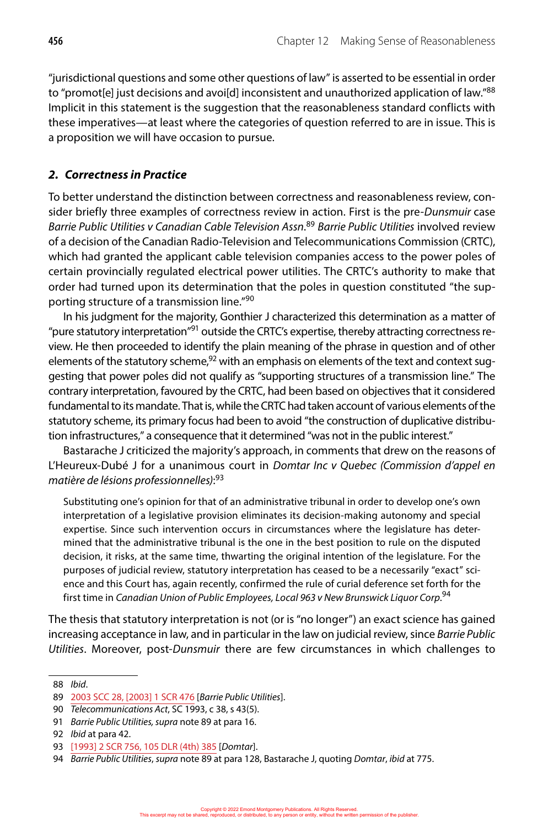"jurisdictional questions and some other questions of law" is asserted to be essential in order to "promot[e] just decisions and avoi[d] inconsistent and unauthorized application of law."88 Implicit in this statement is the suggestion that the reasonableness standard conflicts with these imperatives—at least where the categories of question referred to are in issue. This is a proposition we will have occasion to pursue.

## *2. Correctness in Practice*

To better understand the distinction between correctness and reasonableness review, consider briefly three examples of correctness review in action. First is the pre-*Dunsmuir* case *Barrie Public Utilities v Canadian Cable Television Assn*. <sup>89</sup> *Barrie Public Utilities* involved review of a decision of the Canadian Radio-Television and Telecommunications Commission (CRTC), which had granted the applicant cable television companies access to the power poles of certain provincially regulated electrical power utilities. The CRTC's authority to make that order had turned upon its determination that the poles in question constituted "the supporting structure of a transmission line."90

In his judgment for the majority, Gonthier J characterized this determination as a matter of "pure statutory interpretation"<sup>91</sup> outside the CRTC's expertise, thereby attracting correctness review. He then proceeded to identify the plain meaning of the phrase in question and of other elements of the statutory scheme, $92$  with an emphasis on elements of the text and context suggesting that power poles did not qualify as "supporting structures of a transmission line." The contrary interpretation, favoured by the CRTC, had been based on objectives that it considered fundamental to its mandate. That is, while the CRTC had taken account of various elements of the statutory scheme, its primary focus had been to avoid "the construction of duplicative distribution infrastructures," a consequence that it determined "was not in the public interest."

Bastarache J criticized the majority's approach, in comments that drew on the reasons of L'Heureux-Dubé J for a unanimous court in *Domtar Inc v Quebec (Commission d'appel en matière de lésions professionnelles)*: 93

Substituting one's opinion for that of an administrative tribunal in order to develop one's own interpretation of a legislative provision eliminates its decision-making autonomy and special expertise. Since such intervention occurs in circumstances where the legislature has determined that the administrative tribunal is the one in the best position to rule on the disputed decision, it risks, at the same time, thwarting the original intention of the legislature. For the purposes of judicial review, statutory interpretation has ceased to be a necessarily "exact" science and this Court has, again recently, confirmed the rule of curial deference set forth for the first time in *Canadian Union of Public Employees, Local 963 v New Brunswick Liquor Corp*. 94

The thesis that statutory interpretation is not (or is "no longer") an exact science has gained increasing acceptance in law, and in particular in the law on judicial review, since *Barrie Public Utilities*. Moreover, post-*Dunsmuir* there are few circumstances in which challenges to

<sup>88</sup> *Ibid*.

<sup>89</sup> [2003 SCC 28, \[2003\] 1 SCR 476](https://www.canlii.org/en/ca/scc/doc/2003/2003scc28/2003scc28.html?autocompleteStr=2003 SCC 28 &autocompletePos=1) [*Barrie Public Utilities*].

<sup>90</sup> *Telecommunications Act*, SC 1993, c 38, s 43(5).

<sup>91</sup> *Barrie Public Utilities, supra* note 89 at para 16.

<sup>92</sup> *Ibid* at para 42.

<sup>93</sup> [\[1993\] 2 SCR 756, 105 DLR \(4th\) 385](https://www.canlii.org/en/ca/scc/doc/1993/1993canlii106/1993canlii106.html?autocompleteStr=%5B1993%5D 2 SCR 756%2C 105 DLR (4th) 385 &autocompletePos=1) [*Domtar*].

<sup>94</sup> *Barrie Public Utilities*, *supra* note 89 at para 128, Bastarache J, quoting *Domtar*, *ibid* at 775.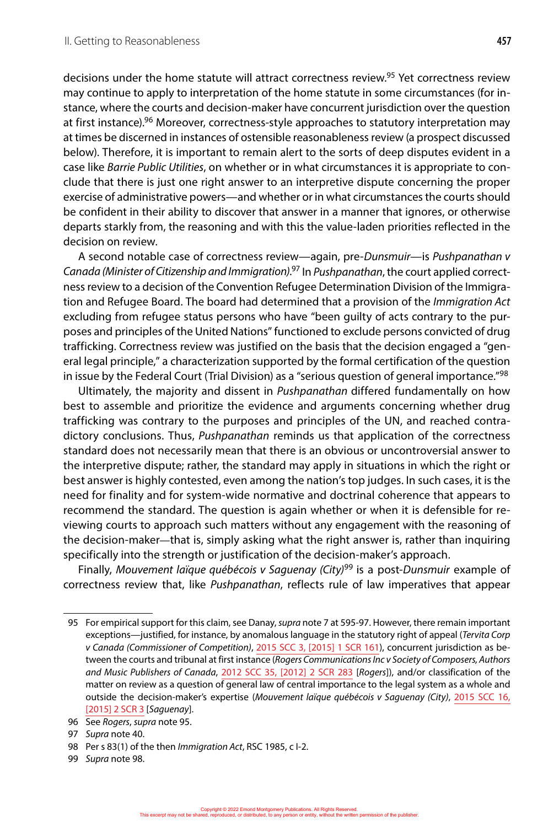decisions under the home statute will attract correctness review.<sup>95</sup> Yet correctness review may continue to apply to interpretation of the home statute in some circumstances (for instance, where the courts and decision-maker have concurrent jurisdiction over the question at first instance).<sup>96</sup> Moreover, correctness-style approaches to statutory interpretation may at times be discerned in instances of ostensible reasonableness review (a prospect discussed below). Therefore, it is important to remain alert to the sorts of deep disputes evident in a case like *Barrie Public Utilities*, on whether or in what circumstances it is appropriate to conclude that there is just one right answer to an interpretive dispute concerning the proper exercise of administrative powers—and whether or in what circumstances the courts should be confident in their ability to discover that answer in a manner that ignores, or otherwise departs starkly from, the reasoning and with this the value-laden priorities reflected in the decision on review.

A second notable case of correctness review—again, pre-*Dunsmuir*—is *Pushpanathan v Canada (Minister of Citizenship and Immigration)*. 97 In *Pushpanathan*, the court applied correctness review to a decision of the Convention Refugee Determination Division of the Immigration and Refugee Board. The board had determined that a provision of the *Immigration Act* excluding from refugee status persons who have "been guilty of acts contrary to the purposes and principles of the United Nations" functioned to exclude persons convicted of drug trafficking. Correctness review was justified on the basis that the decision engaged a "general legal principle," a characterization supported by the formal certification of the question in issue by the Federal Court (Trial Division) as a "serious question of general importance."98

Ultimately, the majority and dissent in *Pushpanathan* differed fundamentally on how best to assemble and prioritize the evidence and arguments concerning whether drug trafficking was contrary to the purposes and principles of the UN, and reached contradictory conclusions. Thus, *Pushpanathan* reminds us that application of the correctness standard does not necessarily mean that there is an obvious or uncontroversial answer to the interpretive dispute; rather, the standard may apply in situations in which the right or best answer is highly contested, even among the nation's top judges. In such cases, it is the need for finality and for system-wide normative and doctrinal coherence that appears to recommend the standard. The question is again whether or when it is defensible for reviewing courts to approach such matters without any engagement with the reasoning of the decision-maker—that is, simply asking what the right answer is, rather than inquiring specifically into the strength or justification of the decision-maker's approach.

Finally, *Mouvement laïque québécois v Saguenay (City)*<sup>99</sup> is a post-*Dunsmuir* example of correctness review that, like *Pushpanathan*, reflects rule of law imperatives that appear

99 *Supra* note 98.

<sup>95</sup> For empirical support for this claim, see Danay, *supra* note 7 at 595-97. However, there remain important exceptions—justified, for instance, by anomalous language in the statutory right of appeal (*Tervita Corp v Canada (Commissioner of Competition)*, [2015 SCC 3, \[2015\] 1 SCR 161\)](https://www.canlii.org/en/ca/scc/doc/2015/2015scc3/2015scc3.html?autocompleteStr=2015 SCC 3%2C 1 SCR 161&autocompletePos=1), concurrent jurisdiction as between the courts and tribunal at first instance (*Rogers Communications Inc v Society of Composers, Authors and Music Publishers of Canada*, [2012 SCC 35, \[2012\] 2 SCR 283](https://www.canlii.org/en/ca/scc/doc/2012/2012scc35/2012scc35.html?autocompleteStr=2012 SCC 35%2C %5B2012%5D 2 SCR &autocompletePos=1) [*Rogers*]), and/or classification of the matter on review as a question of general law of central importance to the legal system as a whole and outside the decision-maker's expertise (*Mouvement laïque québécois v Saguenay (City)*, [2015 SCC 16,](https://www.canlii.org/en/ca/scc/doc/2015/2015scc16/2015scc16.html?autocompleteStr=Mouvement la%C3%AFque qu%C3%A9b%C3%A9cois v Saguenay &autocompletePos=1)  [\[2015\] 2 SCR 3](https://www.canlii.org/en/ca/scc/doc/2015/2015scc16/2015scc16.html?autocompleteStr=Mouvement la%C3%AFque qu%C3%A9b%C3%A9cois v Saguenay &autocompletePos=1) [*Saguenay*].

<sup>96</sup> See *Rogers*, *supra* note 95.

<sup>97</sup> *Supra* note 40.

<sup>98</sup> Per s 83(1) of the then *Immigration Act*, RSC 1985, c I-2.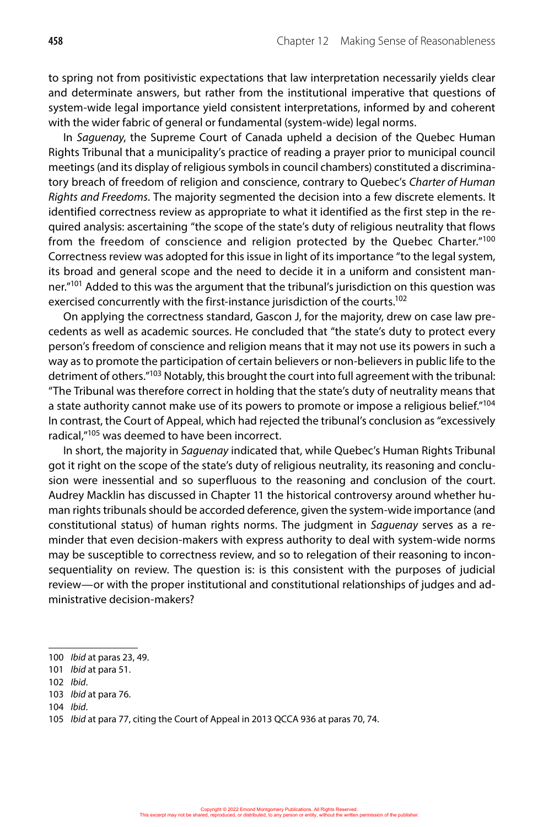to spring not from positivistic expectations that law interpretation necessarily yields clear and determinate answers, but rather from the institutional imperative that questions of system-wide legal importance yield consistent interpretations, informed by and coherent with the wider fabric of general or fundamental (system-wide) legal norms.

In *Saguenay*, the Supreme Court of Canada upheld a decision of the Quebec Human Rights Tribunal that a municipality's practice of reading a prayer prior to municipal council meetings (and its display of religious symbols in council chambers) constituted a discriminatory breach of freedom of religion and conscience, contrary to Quebec's *Charter of Human Rights and Freedoms*. The majority segmented the decision into a few discrete elements. It identified correctness review as appropriate to what it identified as the first step in the required analysis: ascertaining "the scope of the state's duty of religious neutrality that flows from the freedom of conscience and religion protected by the Quebec Charter."<sup>100</sup> Correctness review was adopted for this issue in light of its importance "to the legal system, its broad and general scope and the need to decide it in a uniform and consistent manner.<sup>"101</sup> Added to this was the argument that the tribunal's jurisdiction on this question was exercised concurrently with the first-instance jurisdiction of the courts.<sup>102</sup>

On applying the correctness standard, Gascon J, for the majority, drew on case law precedents as well as academic sources. He concluded that "the state's duty to protect every person's freedom of conscience and religion means that it may not use its powers in such a way as to promote the participation of certain believers or non-believers in public life to the detriment of others."103 Notably, this brought the court into full agreement with the tribunal: "The Tribunal was therefore correct in holding that the state's duty of neutrality means that a state authority cannot make use of its powers to promote or impose a religious belief."104 In contrast, the Court of Appeal, which had rejected the tribunal's conclusion as "excessively radical,"105 was deemed to have been incorrect.

In short, the majority in *Saguenay* indicated that, while Quebec's Human Rights Tribunal got it right on the scope of the state's duty of religious neutrality, its reasoning and conclusion were inessential and so superfluous to the reasoning and conclusion of the court. Audrey Macklin has discussed in Chapter 11 the historical controversy around whether human rights tribunals should be accorded deference, given the system-wide importance (and constitutional status) of human rights norms. The judgment in *Saguenay* serves as a reminder that even decision-makers with express authority to deal with system-wide norms may be susceptible to correctness review, and so to relegation of their reasoning to inconsequentiality on review. The question is: is this consistent with the purposes of judicial review—or with the proper institutional and constitutional relationships of judges and administrative decision-makers?

104 *Ibid*.

<sup>100</sup> *Ibid* at paras 23, 49.

<sup>101</sup> *Ibid* at para 51.

<sup>102</sup> *Ibid*.

<sup>103</sup> *Ibid* at para 76.

<sup>105</sup> *Ibid* at para 77, citing the Court of Appeal in 2013 QCCA 936 at paras 70, 74.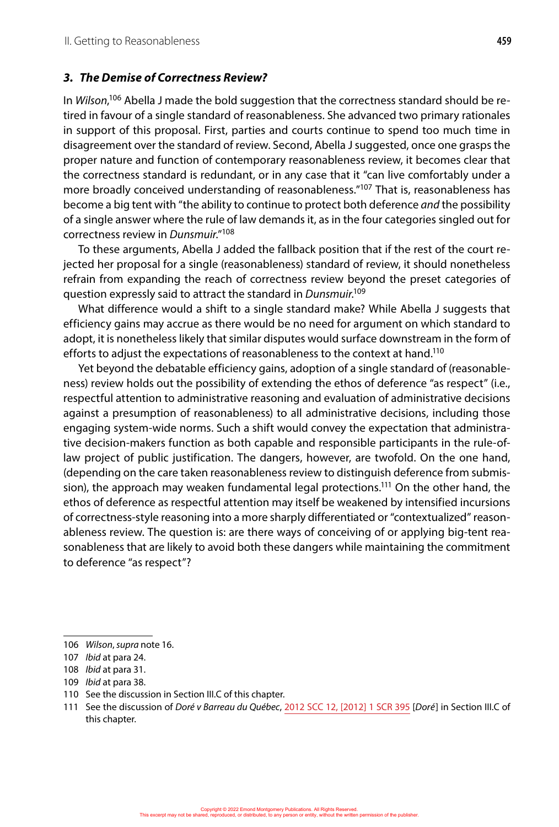#### *3. The Demise of Correctness Review?*

In *Wilson*, 106 Abella J made the bold suggestion that the correctness standard should be retired in favour of a single standard of reasonableness. She advanced two primary rationales in support of this proposal. First, parties and courts continue to spend too much time in disagreement over the standard of review. Second, Abella J suggested, once one grasps the proper nature and function of contemporary reasonableness review, it becomes clear that the correctness standard is redundant, or in any case that it "can live comfortably under a more broadly conceived understanding of reasonableness."<sup>107</sup> That is, reasonableness has become a big tent with "the ability to continue to protect both deference *and* the possibility of a single answer where the rule of law demands it, as in the four categories singled out for correctness review in *Dunsmuir*."108

To these arguments, Abella J added the fallback position that if the rest of the court rejected her proposal for a single (reasonableness) standard of review, it should nonetheless refrain from expanding the reach of correctness review beyond the preset categories of question expressly said to attract the standard in *Dunsmuir*. 109

What difference would a shift to a single standard make? While Abella J suggests that efficiency gains may accrue as there would be no need for argument on which standard to adopt, it is nonetheless likely that similar disputes would surface downstream in the form of efforts to adjust the expectations of reasonableness to the context at hand.<sup>110</sup>

Yet beyond the debatable efficiency gains, adoption of a single standard of (reasonableness) review holds out the possibility of extending the ethos of deference "as respect" (i.e., respectful attention to administrative reasoning and evaluation of administrative decisions against a presumption of reasonableness) to all administrative decisions, including those engaging system-wide norms. Such a shift would convey the expectation that administrative decision-makers function as both capable and responsible participants in the rule-oflaw project of public justification. The dangers, however, are twofold. On the one hand, (depending on the care taken reasonableness review to distinguish deference from submission), the approach may weaken fundamental legal protections.<sup>111</sup> On the other hand, the ethos of deference as respectful attention may itself be weakened by intensified incursions of correctness-style reasoning into a more sharply differentiated or "contextualized" reasonableness review. The question is: are there ways of conceiving of or applying big-tent reasonableness that are likely to avoid both these dangers while maintaining the commitment to deference "as respect"?

<sup>106</sup> *Wilson*, *supra* note 16.

<sup>107</sup> *Ibid* at para 24.

<sup>108</sup> *Ibid* at para 31.

<sup>109</sup> *Ibid* at para 38.

<sup>110</sup> See the discussion in Section III.C of this chapter.

<sup>111</sup> See the discussion of *Doré v Barreau du Québec*, [2012 SCC 12, \[2012\] 1 SCR 395](https://www.canlii.org/en/ca/scc/doc/2012/2012scc12/2012scc12.html?autocompleteStr=2012 SCC 12%2C %5B2012%5D 1 SCR 395 &autocompletePos=1) [*Doré*] in Section III.C of this chapter.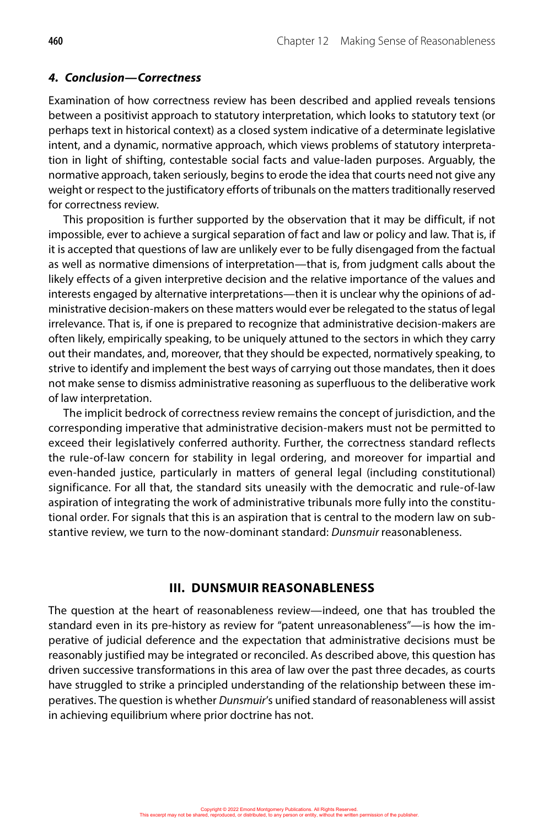#### *4. Conclusion—Correctness*

Examination of how correctness review has been described and applied reveals tensions between a positivist approach to statutory interpretation, which looks to statutory text (or perhaps text in historical context) as a closed system indicative of a determinate legislative intent, and a dynamic, normative approach, which views problems of statutory interpretation in light of shifting, contestable social facts and value-laden purposes. Arguably, the normative approach, taken seriously, begins to erode the idea that courts need not give any weight or respect to the justificatory efforts of tribunals on the matters traditionally reserved for correctness review.

This proposition is further supported by the observation that it may be difficult, if not impossible, ever to achieve a surgical separation of fact and law or policy and law. That is, if it is accepted that questions of law are unlikely ever to be fully disengaged from the factual as well as normative dimensions of interpretation—that is, from judgment calls about the likely effects of a given interpretive decision and the relative importance of the values and interests engaged by alternative interpretations—then it is unclear why the opinions of administrative decision-makers on these matters would ever be relegated to the status of legal irrelevance. That is, if one is prepared to recognize that administrative decision-makers are often likely, empirically speaking, to be uniquely attuned to the sectors in which they carry out their mandates, and, moreover, that they should be expected, normatively speaking, to strive to identify and implement the best ways of carrying out those mandates, then it does not make sense to dismiss administrative reasoning as superfluous to the deliberative work of law interpretation.

The implicit bedrock of correctness review remains the concept of jurisdiction, and the corresponding imperative that administrative decision-makers must not be permitted to exceed their legislatively conferred authority. Further, the correctness standard reflects the rule-of-law concern for stability in legal ordering, and moreover for impartial and even-handed justice, particularly in matters of general legal (including constitutional) significance. For all that, the standard sits uneasily with the democratic and rule-of-law aspiration of integrating the work of administrative tribunals more fully into the constitutional order. For signals that this is an aspiration that is central to the modern law on substantive review, we turn to the now-dominant standard: *Dunsmuir* reasonableness.

#### **III. DUNSMUIR REASONABLENESS**

The question at the heart of reasonableness review—indeed, one that has troubled the standard even in its pre-history as review for "patent unreasonableness"—is how the imperative of judicial deference and the expectation that administrative decisions must be reasonably justified may be integrated or reconciled. As described above, this question has driven successive transformations in this area of law over the past three decades, as courts have struggled to strike a principled understanding of the relationship between these imperatives. The question is whether *Dunsmuir*'s unified standard of reasonableness will assist in achieving equilibrium where prior doctrine has not.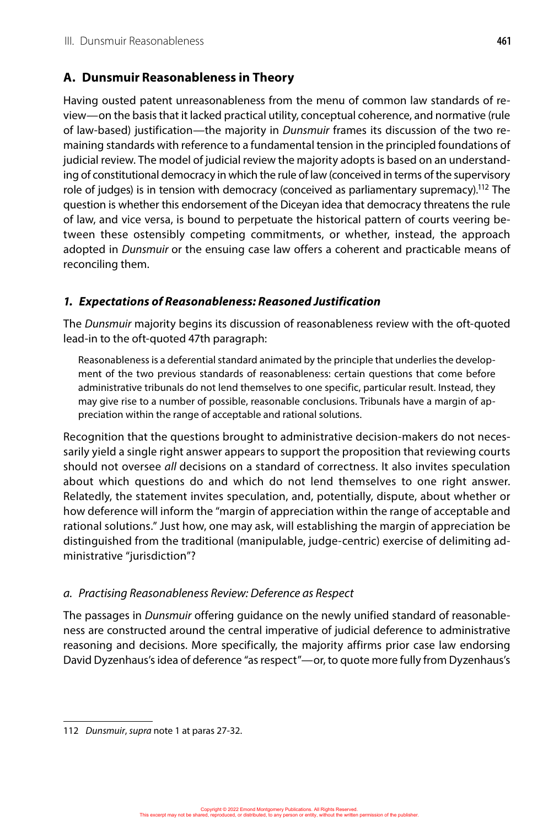# **A. Dunsmuir Reasonableness in Theory**

Having ousted patent unreasonableness from the menu of common law standards of review—on the basis that it lacked practical utility, conceptual coherence, and normative (rule of law-based) justification—the majority in *Dunsmuir* frames its discussion of the two remaining standards with reference to a fundamental tension in the principled foundations of judicial review. The model of judicial review the majority adopts is based on an understanding of constitutional democracy in which the rule of law (conceived in terms of the supervisory role of judges) is in tension with democracy (conceived as parliamentary supremacy).<sup>112</sup> The question is whether this endorsement of the Diceyan idea that democracy threatens the rule of law, and vice versa, is bound to perpetuate the historical pattern of courts veering between these ostensibly competing commitments, or whether, instead, the approach adopted in *Dunsmuir* or the ensuing case law offers a coherent and practicable means of reconciling them.

# *1. Expectations of Reasonableness: Reasoned Justification*

The *Dunsmuir* majority begins its discussion of reasonableness review with the oft-quoted lead-in to the oft-quoted 47th paragraph:

Reasonableness is a deferential standard animated by the principle that underlies the development of the two previous standards of reasonableness: certain questions that come before administrative tribunals do not lend themselves to one specific, particular result. Instead, they may give rise to a number of possible, reasonable conclusions. Tribunals have a margin of appreciation within the range of acceptable and rational solutions.

Recognition that the questions brought to administrative decision-makers do not necessarily yield a single right answer appears to support the proposition that reviewing courts should not oversee *all* decisions on a standard of correctness. It also invites speculation about which questions do and which do not lend themselves to one right answer. Relatedly, the statement invites speculation, and, potentially, dispute, about whether or how deference will inform the "margin of appreciation within the range of acceptable and rational solutions." Just how, one may ask, will establishing the margin of appreciation be distinguished from the traditional (manipulable, judge-centric) exercise of delimiting administrative "jurisdiction"?

## *a. Practising Reasonableness Review: Deference as Respect*

The passages in *Dunsmuir* offering guidance on the newly unified standard of reasonableness are constructed around the central imperative of judicial deference to administrative reasoning and decisions. More specifically, the majority affirms prior case law endorsing David Dyzenhaus's idea of deference "as respect"—or, to quote more fully from Dyzenhaus's

<sup>112</sup> *Dunsmuir*, *supra* note 1 at paras 27-32.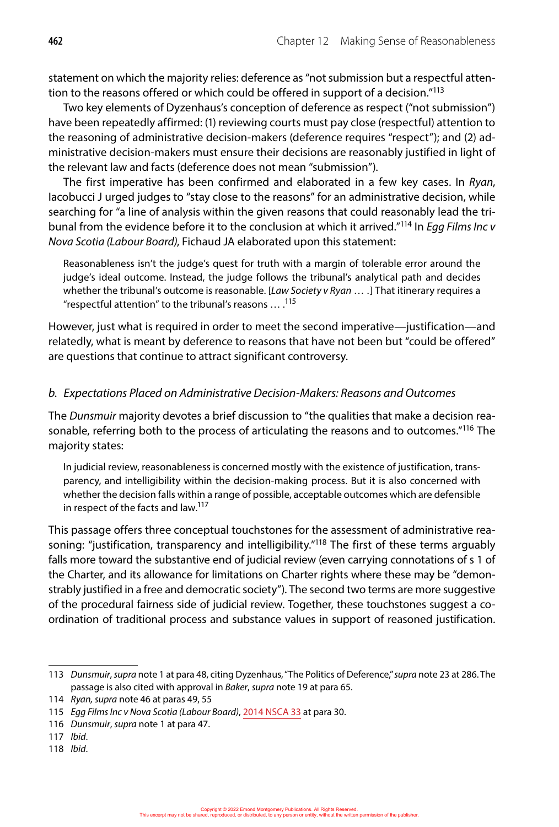statement on which the majority relies: deference as "not submission but a respectful attention to the reasons offered or which could be offered in support of a decision."113

Two key elements of Dyzenhaus's conception of deference as respect ("not submission") have been repeatedly affirmed: (1) reviewing courts must pay close (respectful) attention to the reasoning of administrative decision-makers (deference requires "respect"); and (2) administrative decision-makers must ensure their decisions are reasonably justified in light of the relevant law and facts (deference does not mean "submission").

The first imperative has been confirmed and elaborated in a few key cases. In *Ryan*, Iacobucci J urged judges to "stay close to the reasons" for an administrative decision, while searching for "a line of analysis within the given reasons that could reasonably lead the tribunal from the evidence before it to the conclusion at which it arrived."114 In *Egg Films Inc v Nova Scotia (Labour Board)*, Fichaud JA elaborated upon this statement:

Reasonableness isn't the judge's quest for truth with a margin of tolerable error around the judge's ideal outcome. Instead, the judge follows the tribunal's analytical path and decides whether the tribunal's outcome is reasonable. [*Law Society v Ryan* … .] That itinerary requires a "respectful attention" to the tribunal's reasons … .115

However, just what is required in order to meet the second imperative—justification—and relatedly, what is meant by deference to reasons that have not been but "could be offered" are questions that continue to attract significant controversy.

#### *b. Expectations Placed on Administrative Decision-Makers: Reasons and Outcomes*

The *Dunsmuir* majority devotes a brief discussion to "the qualities that make a decision reasonable, referring both to the process of articulating the reasons and to outcomes."<sup>116</sup> The majority states:

In judicial review, reasonableness is concerned mostly with the existence of justification, transparency, and intelligibility within the decision-making process. But it is also concerned with whether the decision falls within a range of possible, acceptable outcomes which are defensible in respect of the facts and law.<sup>117</sup>

This passage offers three conceptual touchstones for the assessment of administrative reasoning: "justification, transparency and intelligibility."<sup>118</sup> The first of these terms arguably falls more toward the substantive end of judicial review (even carrying connotations of s 1 of the Charter, and its allowance for limitations on Charter rights where these may be "demonstrably justified in a free and democratic society"). The second two terms are more suggestive of the procedural fairness side of judicial review. Together, these touchstones suggest a coordination of traditional process and substance values in support of reasoned justification.

- 117 *Ibid*.
- 118 *Ibid*.

<sup>113</sup> *Dunsmuir*, *supra* note 1 at para 48, citing Dyzenhaus, "The Politics of Deference," *supra* note 23 at 286. The passage is also cited with approval in *Baker*, *supra* note 19 at para 65.

<sup>114</sup> *Ryan, supra* note 46 at paras 49, 55

<sup>115</sup> *Egg Films Inc v Nova Scotia (Labour Board)*, [2014 NSCA 33](https://www.canlii.org/en/ns/nsca/doc/2014/2014nsca33/2014nsca33.html?autocompleteStr=Egg Films Inc v Nova Scotia &autocompletePos=1) at para 30.

<sup>116</sup> *Dunsmuir*, *supra* note 1 at para 47.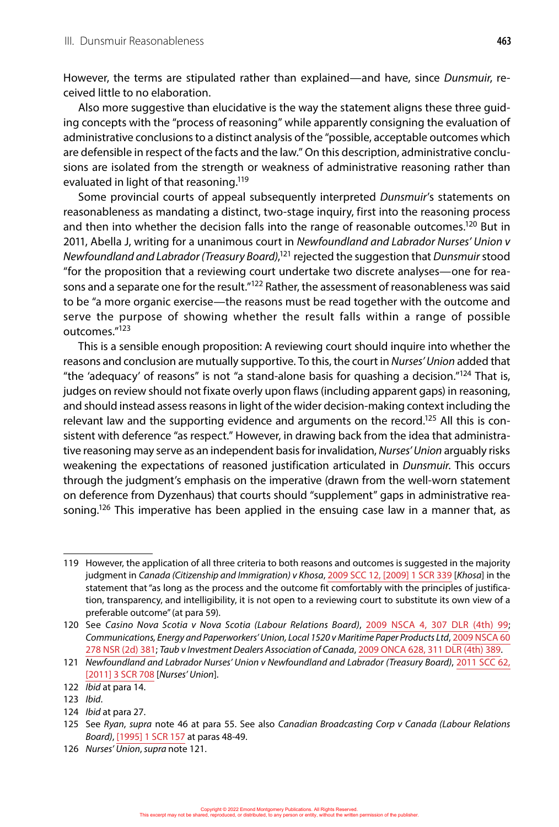However, the terms are stipulated rather than explained—and have, since *Dunsmuir*, received little to no elaboration.

Also more suggestive than elucidative is the way the statement aligns these three guiding concepts with the "process of reasoning" while apparently consigning the evaluation of administrative conclusions to a distinct analysis of the "possible, acceptable outcomes which are defensible in respect of the facts and the law." On this description, administrative conclusions are isolated from the strength or weakness of administrative reasoning rather than evaluated in light of that reasoning.<sup>119</sup>

Some provincial courts of appeal subsequently interpreted *Dunsmuir*'s statements on reasonableness as mandating a distinct, two-stage inquiry, first into the reasoning process and then into whether the decision falls into the range of reasonable outcomes.<sup>120</sup> But in 2011, Abella J, writing for a unanimous court in *Newfoundland and Labrador Nurses' Union v Newfoundland and Labrador (Treasury Board)*, 121 rejected the suggestion that *Dunsmuir* stood "for the proposition that a reviewing court undertake two discrete analyses—one for reasons and a separate one for the result."<sup>122</sup> Rather, the assessment of reasonableness was said to be "a more organic exercise—the reasons must be read together with the outcome and serve the purpose of showing whether the result falls within a range of possible outcomes."123

This is a sensible enough proposition: A reviewing court should inquire into whether the reasons and conclusion are mutually supportive. To this, the court in *Nurses' Union* added that "the 'adequacy' of reasons" is not "a stand-alone basis for quashing a decision." $124$  That is, judges on review should not fixate overly upon flaws (including apparent gaps) in reasoning, and should instead assess reasons in light of the wider decision-making context including the relevant law and the supporting evidence and arguments on the record.<sup>125</sup> All this is consistent with deference "as respect." However, in drawing back from the idea that administrative reasoning may serve as an independent basis for invalidation, *Nurses' Union* arguably risks weakening the expectations of reasoned justification articulated in *Dunsmuir*. This occurs through the judgment's emphasis on the imperative (drawn from the well-worn statement on deference from Dyzenhaus) that courts should "supplement" gaps in administrative reasoning.<sup>126</sup> This imperative has been applied in the ensuing case law in a manner that, as

<sup>119</sup> However, the application of all three criteria to both reasons and outcomes is suggested in the majority judgment in *Canada (Citizenship and Immigration) v Khosa*, [2009 SCC 12, \[2009\] 1 SCR 339](https://www.canlii.org/en/ca/scc/doc/2009/2009scc12/2009scc12.html?autocompleteStr=Canada (Citizenship and Immigration) v Khosa%2C 2009 SCC 12 &autocompletePos=1) [*Khosa*] in the statement that "as long as the process and the outcome fit comfortably with the principles of justification, transparency, and intelligibility, it is not open to a reviewing court to substitute its own view of a preferable outcome" (at para 59).

<sup>120</sup> See *Casino Nova Scotia v Nova Scotia (Labour Relations Board)*, [2009 NSCA 4, 307 DLR \(4th\) 99](https://www.canlii.org/en/ns/nsca/doc/2009/2009nsca4/2009nsca4.html?autocompleteStr=Casino Nova Scotia v Nova Scotia (Labour Relations Board)%2C &autocompletePos=1); *Communications, Energy and Paperworkers' Union, Local 1520 v Maritime Paper Products Ltd*, 2009 NSCA 60 [278 NSR \(2d\) 381](https://www.canlii.org/en/ns/nsca/doc/2009/2009nsca60/2009nsca60.html?autocompleteStr=Communications%2C Energy and Paperworkers%27 Union%2C Local 1520 &autocompletePos=1); *Taub v Investment Dealers Association of Canada*, [2009 ONCA 628, 311 DLR \(4th\) 389](https://www.canlii.org/en/on/onca/doc/2009/2009onca628/2009onca628.html?autocompleteStr=Taub v Investment Dealers &autocompletePos=1).

<sup>121</sup> *Newfoundland and Labrador Nurses' Union v Newfoundland and Labrador (Treasury Board)*, [2011 SCC 62,](https://www.canlii.org/en/ca/scc/doc/2011/2011scc62/2011scc62.html?autocompleteStr=2011 SCC 62.&autocompletePos=1) [\[2011\] 3 SCR 708](https://www.canlii.org/en/ca/scc/doc/2011/2011scc62/2011scc62.html?autocompleteStr=2011 SCC 62.&autocompletePos=1) [*Nurses' Union*].

<sup>122</sup> *Ibid* at para 14.

<sup>123</sup> *Ibid*.

<sup>124</sup> *Ibid* at para 27.

<sup>125</sup> See *Ryan*, *supra* note 46 at para 55. See also *Canadian Broadcasting Corp v Canada (Labour Relations Board)*, [\[1995\] 1 SCR 157](https://www.canlii.org/en/ca/scc/doc/1995/1995canlii148/1995canlii148.html?autocompleteStr= Canadian Broadcasting Corp. v Canada (Labour Relations Board)%2C &autocompletePos=1) at paras 48-49.

<sup>126</sup> *Nurses' Union*, *supra* note 121.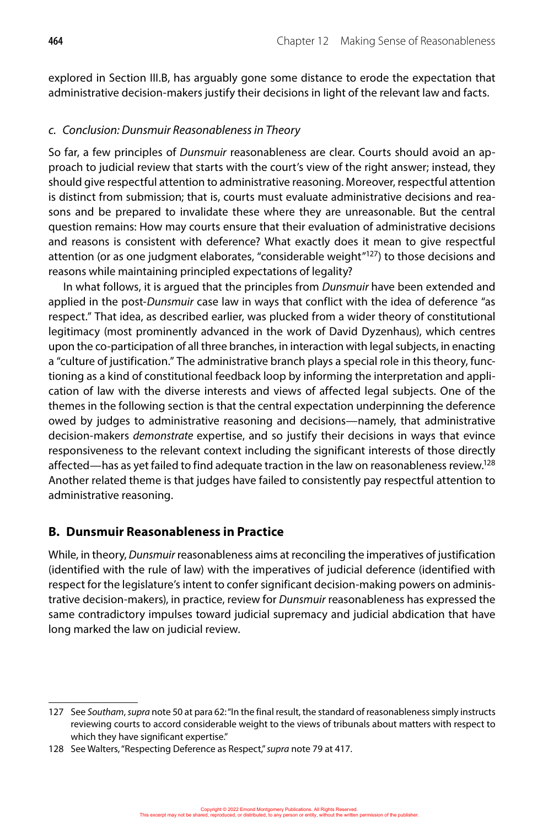explored in Section III.B, has arguably gone some distance to erode the expectation that administrative decision-makers justify their decisions in light of the relevant law and facts.

#### *c. Conclusion: Dunsmuir Reasonableness in Theory*

So far, a few principles of *Dunsmuir* reasonableness are clear. Courts should avoid an approach to judicial review that starts with the court's view of the right answer; instead, they should give respectful attention to administrative reasoning. Moreover, respectful attention is distinct from submission; that is, courts must evaluate administrative decisions and reasons and be prepared to invalidate these where they are unreasonable. But the central question remains: How may courts ensure that their evaluation of administrative decisions and reasons is consistent with deference? What exactly does it mean to give respectful attention (or as one judgment elaborates, "considerable weight"127) to those decisions and reasons while maintaining principled expectations of legality?

In what follows, it is argued that the principles from *Dunsmuir* have been extended and applied in the post-*Dunsmuir* case law in ways that conflict with the idea of deference "as respect." That idea, as described earlier, was plucked from a wider theory of constitutional legitimacy (most prominently advanced in the work of David Dyzenhaus), which centres upon the co-participation of all three branches, in interaction with legal subjects, in enacting a "culture of justification." The administrative branch plays a special role in this theory, functioning as a kind of constitutional feedback loop by informing the interpretation and application of law with the diverse interests and views of affected legal subjects. One of the themes in the following section is that the central expectation underpinning the deference owed by judges to administrative reasoning and decisions—namely, that administrative decision-makers *demonstrate* expertise, and so justify their decisions in ways that evince responsiveness to the relevant context including the significant interests of those directly affected—has as yet failed to find adequate traction in the law on reasonableness review.<sup>128</sup> Another related theme is that judges have failed to consistently pay respectful attention to administrative reasoning.

## **B. Dunsmuir Reasonableness in Practice**

While, in theory, *Dunsmuir* reasonableness aims at reconciling the imperatives of justification (identified with the rule of law) with the imperatives of judicial deference (identified with respect for the legislature's intent to confer significant decision-making powers on administrative decision-makers), in practice, review for *Dunsmuir* reasonableness has expressed the same contradictory impulses toward judicial supremacy and judicial abdication that have long marked the law on judicial review.

<sup>127</sup> See *Southam*, *supra* note 50 at para 62: "In the final result, the standard of reasonableness simply instructs reviewing courts to accord considerable weight to the views of tribunals about matters with respect to which they have significant expertise."

<sup>128</sup> See Walters, "Respecting Deference as Respect," *supra* note 79 at 417.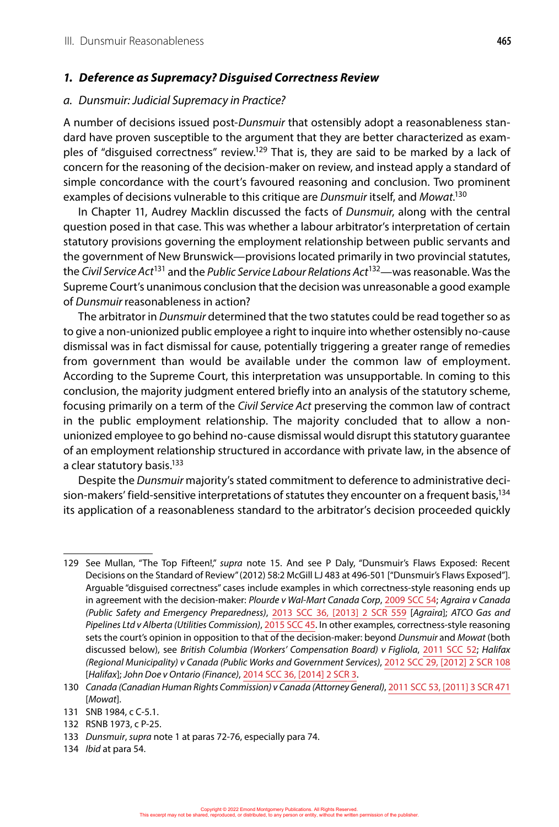#### *1. Deference as Supremacy? Disguised Correctness Review*

#### *a. Dunsmuir: Judicial Supremacy in Practice?*

A number of decisions issued post-*Dunsmuir* that ostensibly adopt a reasonableness standard have proven susceptible to the argument that they are better characterized as examples of "disguised correctness" review.<sup>129</sup> That is, they are said to be marked by a lack of concern for the reasoning of the decision-maker on review, and instead apply a standard of simple concordance with the court's favoured reasoning and conclusion. Two prominent examples of decisions vulnerable to this critique are *Dunsmuir* itself, and *Mowat*. 130

In Chapter 11, Audrey Macklin discussed the facts of *Dunsmuir*, along with the central question posed in that case. This was whether a labour arbitrator's interpretation of certain statutory provisions governing the employment relationship between public servants and the government of New Brunswick—provisions located primarily in two provincial statutes, the *Civil Service Act*131 and the *Public Service Labour Relations Act*132—was reasonable. Was the Supreme Court's unanimous conclusion that the decision was unreasonable a good example of *Dunsmuir* reasonableness in action?

The arbitrator in *Dunsmuir* determined that the two statutes could be read together so as to give a non-unionized public employee a right to inquire into whether ostensibly no-cause dismissal was in fact dismissal for cause, potentially triggering a greater range of remedies from government than would be available under the common law of employment. According to the Supreme Court, this interpretation was unsupportable. In coming to this conclusion, the majority judgment entered briefly into an analysis of the statutory scheme, focusing primarily on a term of the *Civil Service Act* preserving the common law of contract in the public employment relationship. The majority concluded that to allow a nonunionized employee to go behind no-cause dismissal would disrupt this statutory guarantee of an employment relationship structured in accordance with private law, in the absence of a clear statutory basis.<sup>133</sup>

Despite the *Dunsmuir* majority's stated commitment to deference to administrative decision-makers' field-sensitive interpretations of statutes they encounter on a frequent basis,<sup>134</sup> its application of a reasonableness standard to the arbitrator's decision proceeded quickly

<sup>129</sup> See Mullan, "The Top Fifteen!," *supra* note 15. And see P Daly, "Dunsmuir's Flaws Exposed: Recent Decisions on the Standard of Review" (2012) 58:2 McGill LJ 483 at 496-501 ["Dunsmuir's Flaws Exposed"]. Arguable "disguised correctness" cases include examples in which correctness-style reasoning ends up in agreement with the decision-maker: *Plourde v Wal-Mart Canada Corp*, [2009 SCC 54](https://www.canlii.org/en/ca/scc/doc/2009/2009scc54/2009scc54.html?autocompleteStr=Plourde v Wal-Mart Canada Corp &autocompletePos=1); *Agraira v Canada (Public Safety and Emergency Preparedness)*, [2013 SCC 36, \[2013\] 2 SCR 559](https://www.canlii.org/en/ca/scc/doc/2013/2013scc36/2013scc36.html?autocompleteStr=Agraira v Canada (Public Safety and &autocompletePos=1) [*Agraira*]; *ATCO Gas and Pipelines Ltd v Alberta (Utilities Commission)*, [2015 SCC 45.](https://www.canlii.org/en/ca/scc/doc/2015/2015scc45/2015scc45.html?autocompleteStr=ATCO Gas and Pipelines Ltd v Alberta (Utilities Commission)%2C 2015 SCC 45&autocompletePos=1) In other examples, correctness-style reasoning sets the court's opinion in opposition to that of the decision-maker: beyond *Dunsmuir* and *Mowat* (both discussed below), see *British Columbia (Workers' Compensation Board) v Figliola*, [2011 SCC 52;](https://www.canlii.org/en/ca/scc/doc/2011/2011scc52/2011scc52.html?autocompleteStr=British Columbia ( Workers%27 Compensation Board) v Figliola&autocompletePos=1) *Halifax (Regional Municipality) v Canada (Public Works and Government Services)*, [2012 SCC 29, \[2012\] 2 SCR](https://www.canlii.org/en/ca/scc/doc/2012/2012scc29/2012scc29.html?autocompleteStr=2012 SCC 29&autocompletePos=1) 108 [*Halifax*]; *John Doe v Ontario (Finance)*, [2014 SCC 36, \[2014\] 2 SCR 3](https://www.canlii.org/en/ca/scc/doc/2014/2014scc36/2014scc36.html?autocompleteStr=John Doe v Ontario (Finance)%2C &autocompletePos=1).

<sup>130</sup> *Canada (Canadian Human Rights Commission) v Canada (Attorney General)*, [2011 SCC 53, \[2011\] 3 SCR 471](https://www.canlii.org/en/ca/scc/doc/2011/2011scc53/2011scc53.html?autocompleteStr=2011 SCC 53%2C %5B2011%5D 3 SCR 471 &autocompletePos=1) [*Mowat*].

<sup>131</sup> SNB 1984, c C-5.1.

<sup>132</sup> RSNB 1973, c P-25.

<sup>133</sup> *Dunsmuir*, *supra* note 1 at paras 72-76, especially para 74.

<sup>134</sup> *Ibid* at para 54.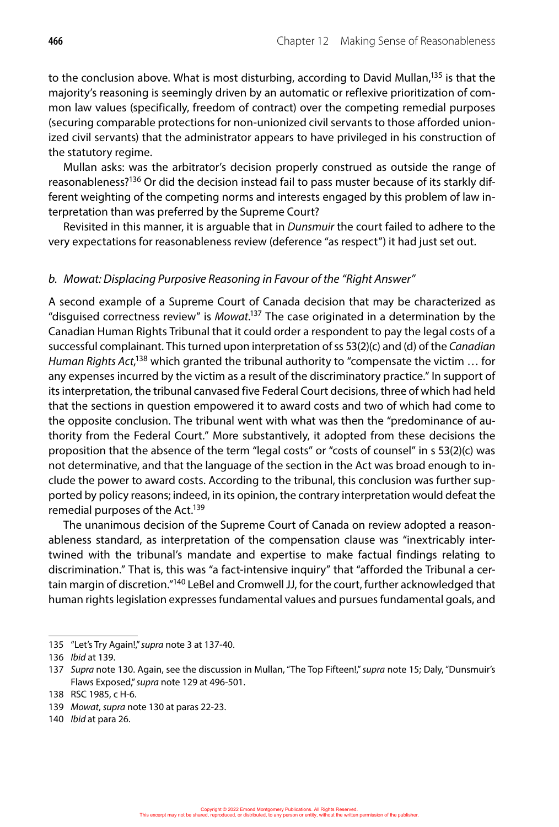to the conclusion above. What is most disturbing, according to David Mullan,<sup>135</sup> is that the majority's reasoning is seemingly driven by an automatic or reflexive prioritization of common law values (specifically, freedom of contract) over the competing remedial purposes (securing comparable protections for non-unionized civil servants to those afforded unionized civil servants) that the administrator appears to have privileged in his construction of the statutory regime.

Mullan asks: was the arbitrator's decision properly construed as outside the range of reasonableness?<sup>136</sup> Or did the decision instead fail to pass muster because of its starkly different weighting of the competing norms and interests engaged by this problem of law interpretation than was preferred by the Supreme Court?

Revisited in this manner, it is arguable that in *Dunsmuir* the court failed to adhere to the very expectations for reasonableness review (deference "as respect") it had just set out.

#### *b. Mowat: Displacing Purposive Reasoning in Favour of the "Right Answer"*

A second example of a Supreme Court of Canada decision that may be characterized as "disguised correctness review" is *Mowat*. 137 The case originated in a determination by the Canadian Human Rights Tribunal that it could order a respondent to pay the legal costs of a successful complainant. This turned upon interpretation of ss 53(2)(c) and (d) of the *Canadian*  Human Rights Act,<sup>138</sup> which granted the tribunal authority to "compensate the victim ... for any expenses incurred by the victim as a result of the discriminatory practice." In support of its interpretation, the tribunal canvased five Federal Court decisions, three of which had held that the sections in question empowered it to award costs and two of which had come to the opposite conclusion. The tribunal went with what was then the "predominance of authority from the Federal Court." More substantively, it adopted from these decisions the proposition that the absence of the term "legal costs" or "costs of counsel" in s 53(2)(c) was not determinative, and that the language of the section in the Act was broad enough to include the power to award costs. According to the tribunal, this conclusion was further supported by policy reasons; indeed, in its opinion, the contrary interpretation would defeat the remedial purposes of the Act.<sup>139</sup>

The unanimous decision of the Supreme Court of Canada on review adopted a reasonableness standard, as interpretation of the compensation clause was "inextricably intertwined with the tribunal's mandate and expertise to make factual findings relating to discrimination." That is, this was "a fact-intensive inquiry" that "afforded the Tribunal a certain margin of discretion."<sup>140</sup> LeBel and Cromwell JJ, for the court, further acknowledged that human rights legislation expresses fundamental values and pursues fundamental goals, and

140 *Ibid* at para 26.

<sup>135</sup> "Let's Try Again!," *supra* note 3 at 137-40.

<sup>136</sup> *Ibid* at 139.

<sup>137</sup> *Supra* note 130. Again, see the discussion in Mullan, "The Top Fifteen!," *supra* note 15; Daly, "Dunsmuir's Flaws Exposed," *supra* note 129 at 496-501.

<sup>138</sup> RSC 1985, c H-6.

<sup>139</sup> *Mowat*, *supra* note 130 at paras 22-23.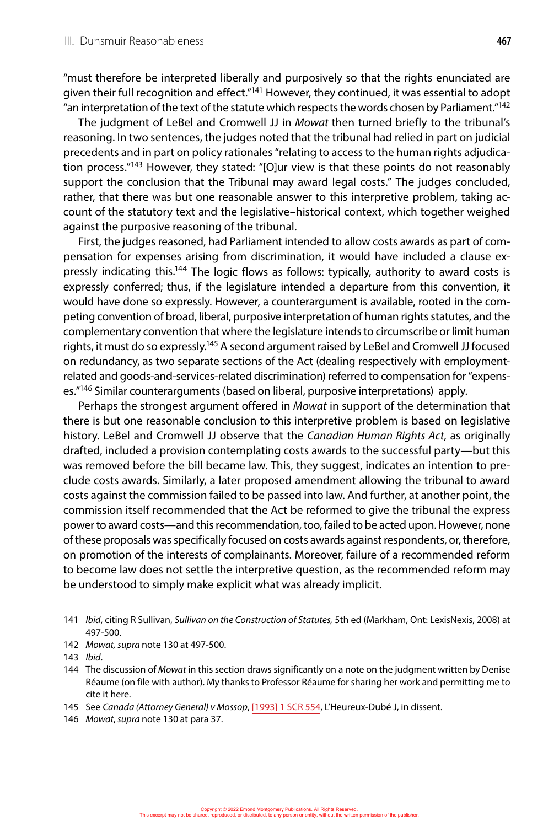"must therefore be interpreted liberally and purposively so that the rights enunciated are given their full recognition and effect."<sup>141</sup> However, they continued, it was essential to adopt "an interpretation of the text of the statute which respects the words chosen by Parliament."<sup>142</sup>

The judgment of LeBel and Cromwell JJ in *Mowat* then turned briefly to the tribunal's reasoning. In two sentences, the judges noted that the tribunal had relied in part on judicial precedents and in part on policy rationales "relating to access to the human rights adjudication process."<sup>143</sup> However, they stated: "[O]ur view is that these points do not reasonably support the conclusion that the Tribunal may award legal costs." The judges concluded, rather, that there was but one reasonable answer to this interpretive problem, taking account of the statutory text and the legislative–historical context, which together weighed against the purposive reasoning of the tribunal.

First, the judges reasoned, had Parliament intended to allow costs awards as part of compensation for expenses arising from discrimination, it would have included a clause expressly indicating this.<sup>144</sup> The logic flows as follows: typically, authority to award costs is expressly conferred; thus, if the legislature intended a departure from this convention, it would have done so expressly. However, a counterargument is available, rooted in the competing convention of broad, liberal, purposive interpretation of human rights statutes, and the complementary convention that where the legislature intends to circumscribe or limit human rights, it must do so expressly.145 A second argument raised by LeBel and Cromwell JJ focused on redundancy, as two separate sections of the Act (dealing respectively with employmentrelated and goods-and-services-related discrimination) referred to compensation for "expenses."146 Similar counterarguments (based on liberal, purposive interpretations) apply.

Perhaps the strongest argument offered in *Mowat* in support of the determination that there is but one reasonable conclusion to this interpretive problem is based on legislative history. LeBel and Cromwell JJ observe that the *Canadian Human Rights Act*, as originally drafted, included a provision contemplating costs awards to the successful party—but this was removed before the bill became law. This, they suggest, indicates an intention to preclude costs awards. Similarly, a later proposed amendment allowing the tribunal to award costs against the commission failed to be passed into law. And further, at another point, the commission itself recommended that the Act be reformed to give the tribunal the express power to award costs—and this recommendation, too, failed to be acted upon. However, none of these proposals was specifically focused on costs awards against respondents, or, therefore, on promotion of the interests of complainants. Moreover, failure of a recommended reform to become law does not settle the interpretive question, as the recommended reform may be understood to simply make explicit what was already implicit.

<sup>141</sup> *Ibid*, citing R Sullivan, *Sullivan on the Construction of Statutes,* 5th ed (Markham, Ont: LexisNexis, 2008) at 497-500.

<sup>142</sup> *Mowat, supra* note 130 at 497-500.

<sup>143</sup> *Ibid*.

<sup>144</sup> The discussion of *Mowat* in this section draws significantly on a note on the judgment written by Denise Réaume (on file with author). My thanks to Professor Réaume for sharing her work and permitting me to cite it here.

<sup>145</sup> See *Canada (Attorney General) v Mossop*, [\[1993\] 1 SCR 554](https://www.canlii.org/en/ca/scc/doc/1993/1993canlii164/1993canlii164.html?autocompleteStr=Canada (Attorney General) v. Mossop&autocompletePos=1), L'Heureux-Dubé J, in dissent.

<sup>146</sup> *Mowat*, *supra* note 130 at para 37.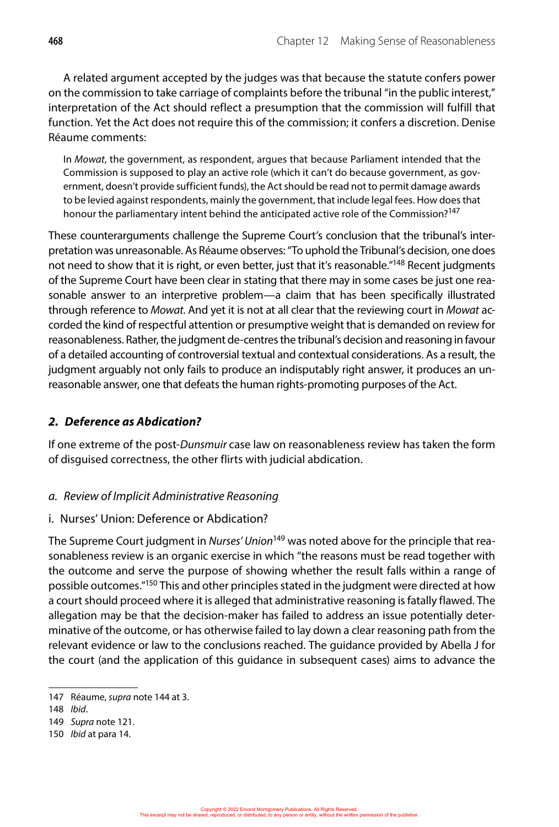A related argument accepted by the judges was that because the statute confers power on the commission to take carriage of complaints before the tribunal "in the public interest," interpretation of the Act should reflect a presumption that the commission will fulfill that function. Yet the Act does not require this of the commission; it confers a discretion. Denise Réaume comments:

In *Mowat*, the government, as respondent, argues that because Parliament intended that the Commission is supposed to play an active role (which it can't do because government, as government, doesn't provide sufficient funds), the Act should be read not to permit damage awards to be levied against respondents, mainly the government, that include legal fees. How does that honour the parliamentary intent behind the anticipated active role of the Commission?<sup>147</sup>

These counterarguments challenge the Supreme Court's conclusion that the tribunal's interpretation was unreasonable. As Réaume observes: "To uphold the Tribunal's decision, one does not need to show that it is right, or even better, just that it's reasonable."<sup>148</sup> Recent judgments of the Supreme Court have been clear in stating that there may in some cases be just one reasonable answer to an interpretive problem—a claim that has been specifically illustrated through reference to *Mowat*. And yet it is not at all clear that the reviewing court in *Mowat* accorded the kind of respectful attention or presumptive weight that is demanded on review for reasonableness. Rather, the judgment de-centres the tribunal's decision and reasoning in favour of a detailed accounting of controversial textual and contextual considerations. As a result, the judgment arguably not only fails to produce an indisputably right answer, it produces an unreasonable answer, one that defeats the human rights-promoting purposes of the Act.

## *2. Deference as Abdication?*

If one extreme of the post-*Dunsmuir* case law on reasonableness review has taken the form of disguised correctness, the other flirts with judicial abdication.

## *a. Review of Implicit Administrative Reasoning*

#### i. Nurses' Union: Deference or Abdication?

The Supreme Court judgment in *Nurses' Union*149 was noted above for the principle that reasonableness review is an organic exercise in which "the reasons must be read together with the outcome and serve the purpose of showing whether the result falls within a range of possible outcomes."150 This and other principles stated in the judgment were directed at how a court should proceed where it is alleged that administrative reasoning is fatally flawed. The allegation may be that the decision-maker has failed to address an issue potentially determinative of the outcome, or has otherwise failed to lay down a clear reasoning path from the relevant evidence or law to the conclusions reached. The guidance provided by Abella J for the court (and the application of this guidance in subsequent cases) aims to advance the

<sup>147</sup> Réaume, *supra* note 144 at 3.

<sup>148</sup> *Ibid*.

<sup>149</sup> *Supra* note 121.

<sup>150</sup> *Ibid* at para 14.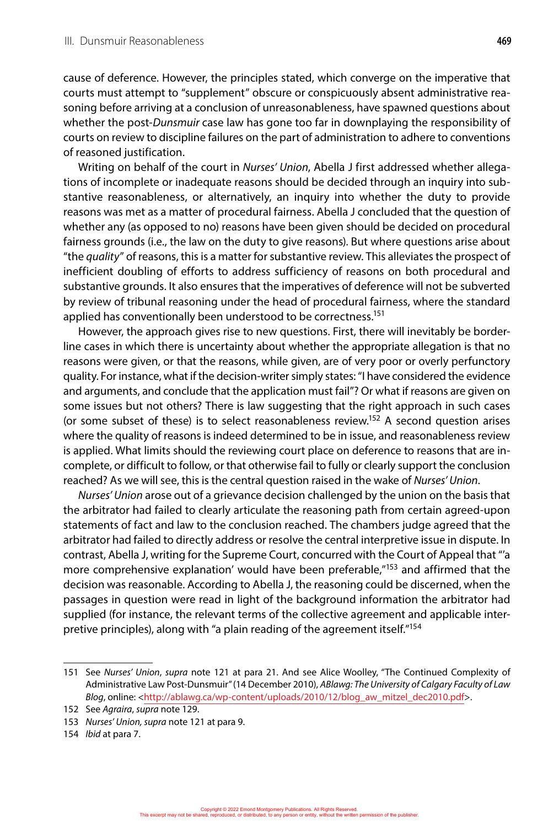cause of deference. However, the principles stated, which converge on the imperative that courts must attempt to "supplement" obscure or conspicuously absent administrative reasoning before arriving at a conclusion of unreasonableness, have spawned questions about whether the post-*Dunsmuir* case law has gone too far in downplaying the responsibility of courts on review to discipline failures on the part of administration to adhere to conventions of reasoned justification.

Writing on behalf of the court in *Nurses' Union*, Abella J first addressed whether allegations of incomplete or inadequate reasons should be decided through an inquiry into substantive reasonableness, or alternatively, an inquiry into whether the duty to provide reasons was met as a matter of procedural fairness. Abella J concluded that the question of whether any (as opposed to no) reasons have been given should be decided on procedural fairness grounds (i.e., the law on the duty to give reasons). But where questions arise about "the *quality*" of reasons, this is a matter for substantive review. This alleviates the prospect of inefficient doubling of efforts to address sufficiency of reasons on both procedural and substantive grounds. It also ensures that the imperatives of deference will not be subverted by review of tribunal reasoning under the head of procedural fairness, where the standard applied has conventionally been understood to be correctness.<sup>151</sup>

However, the approach gives rise to new questions. First, there will inevitably be borderline cases in which there is uncertainty about whether the appropriate allegation is that no reasons were given, or that the reasons, while given, are of very poor or overly perfunctory quality. For instance, what if the decision-writer simply states: "I have considered the evidence and arguments, and conclude that the application must fail"? Or what if reasons are given on some issues but not others? There is law suggesting that the right approach in such cases (or some subset of these) is to select reasonableness review.<sup>152</sup> A second question arises where the quality of reasons is indeed determined to be in issue, and reasonableness review is applied. What limits should the reviewing court place on deference to reasons that are incomplete, or difficult to follow, or that otherwise fail to fully or clearly support the conclusion reached? As we will see, this is the central question raised in the wake of *Nurses' Union*.

*Nurses' Union* arose out of a grievance decision challenged by the union on the basis that the arbitrator had failed to clearly articulate the reasoning path from certain agreed-upon statements of fact and law to the conclusion reached. The chambers judge agreed that the arbitrator had failed to directly address or resolve the central interpretive issue in dispute. In contrast, Abella J, writing for the Supreme Court, concurred with the Court of Appeal that "'a more comprehensive explanation' would have been preferable,"153 and affirmed that the decision was reasonable. According to Abella J, the reasoning could be discerned, when the passages in question were read in light of the background information the arbitrator had supplied (for instance, the relevant terms of the collective agreement and applicable interpretive principles), along with "a plain reading of the agreement itself."<sup>154</sup>

<sup>151</sup> See *Nurses' Union*, *supra* note 121 at para 21. And see Alice Woolley, "The Continued Complexity of Administrative Law Post-Dunsmuir" (14 December 2010), *ABlawg: The University of Calgary Faculty of Law Blog*, online: <[http://ablawg.ca/wp-content/uploads/2010/12/blog\\_aw\\_mitzel\\_dec2010.pdf>](http://ablawg.ca/wp-content/uploads/2010/12/blog_aw_mitzel_dec2010.pdf).

<sup>152</sup> See *Agraira*, *supra* note 129.

<sup>153</sup> *Nurses' Union, supra* note 121 at para 9.

<sup>154</sup> *Ibid* at para 7.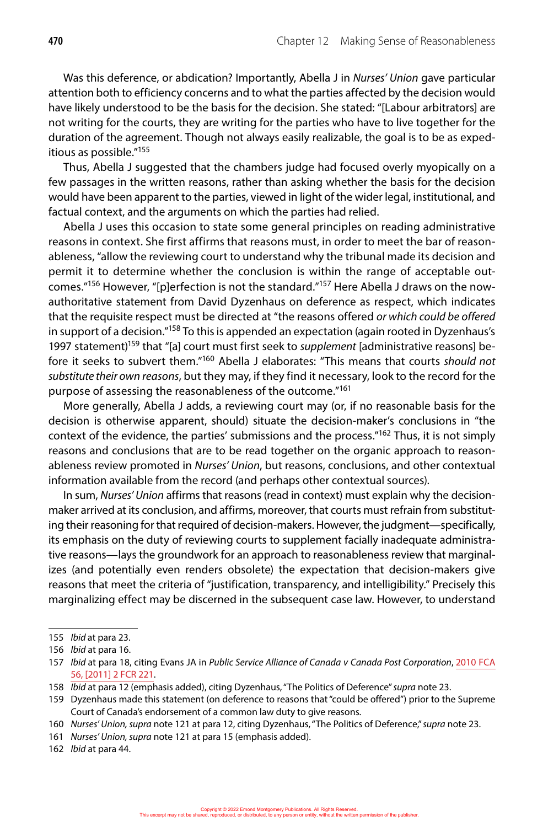Was this deference, or abdication? Importantly, Abella J in *Nurses' Union* gave particular attention both to efficiency concerns and to what the parties affected by the decision would have likely understood to be the basis for the decision. She stated: "[Labour arbitrators] are not writing for the courts, they are writing for the parties who have to live together for the duration of the agreement. Though not always easily realizable, the goal is to be as expeditious as possible."155

Thus, Abella J suggested that the chambers judge had focused overly myopically on a few passages in the written reasons, rather than asking whether the basis for the decision would have been apparent to the parties, viewed in light of the wider legal, institutional, and factual context, and the arguments on which the parties had relied.

Abella J uses this occasion to state some general principles on reading administrative reasons in context. She first affirms that reasons must, in order to meet the bar of reasonableness, "allow the reviewing court to understand why the tribunal made its decision and permit it to determine whether the conclusion is within the range of acceptable outcomes."<sup>156</sup> However, "[p]erfection is not the standard."<sup>157</sup> Here Abella J draws on the nowauthoritative statement from David Dyzenhaus on deference as respect, which indicates that the requisite respect must be directed at "the reasons offered *or which could be offered* in support of a decision."158 To this is appended an expectation (again rooted in Dyzenhaus's 1997 statement)159 that "[a] court must first seek to *supplement* [administrative reasons] before it seeks to subvert them."160 Abella J elaborates: "This means that courts *should not substitute their own reasons*, but they may, if they find it necessary, look to the record for the purpose of assessing the reasonableness of the outcome."161

More generally, Abella J adds, a reviewing court may (or, if no reasonable basis for the decision is otherwise apparent, should) situate the decision-maker's conclusions in "the context of the evidence, the parties' submissions and the process."<sup>162</sup> Thus, it is not simply reasons and conclusions that are to be read together on the organic approach to reasonableness review promoted in *Nurses' Union*, but reasons, conclusions, and other contextual information available from the record (and perhaps other contextual sources).

In sum, *Nurses' Union* affirms that reasons (read in context) must explain why the decisionmaker arrived at its conclusion, and affirms, moreover, that courts must refrain from substituting their reasoning for that required of decision-makers. However, the judgment—specifically, its emphasis on the duty of reviewing courts to supplement facially inadequate administrative reasons—lays the groundwork for an approach to reasonableness review that marginalizes (and potentially even renders obsolete) the expectation that decision-makers give reasons that meet the criteria of "justification, transparency, and intelligibility." Precisely this marginalizing effect may be discerned in the subsequent case law. However, to understand

- 161 *Nurses' Union, supra* note 121 at para 15 (emphasis added).
- 162 *Ibid* at para 44.

<sup>155</sup> *Ibid* at para 23.

<sup>156</sup> *Ibid* at para 16.

<sup>157</sup> *Ibid* at para 18, citing Evans JA in *Public Service Alliance of Canada v Canada Post Corporation*, [2010 FCA](https://www.canlii.org/en/ca/fca/doc/2010/2010fca56/2010fca56.html?autocompleteStr=2010 FCA 56%2C 2 FCR 221&autocompletePos=1)  [56, \[2011\] 2 FCR 221.](https://www.canlii.org/en/ca/fca/doc/2010/2010fca56/2010fca56.html?autocompleteStr=2010 FCA 56%2C 2 FCR 221&autocompletePos=1)

<sup>158</sup> *Ibid* at para 12 (emphasis added), citing Dyzenhaus, "The Politics of Deference" *supra* note 23.

<sup>159</sup> Dyzenhaus made this statement (on deference to reasons that "could be offered") prior to the Supreme Court of Canada's endorsement of a common law duty to give reasons.

<sup>160</sup> *Nurses' Union, supra* note 121 at para 12, citing Dyzenhaus, "The Politics of Deference," *supra* note 23.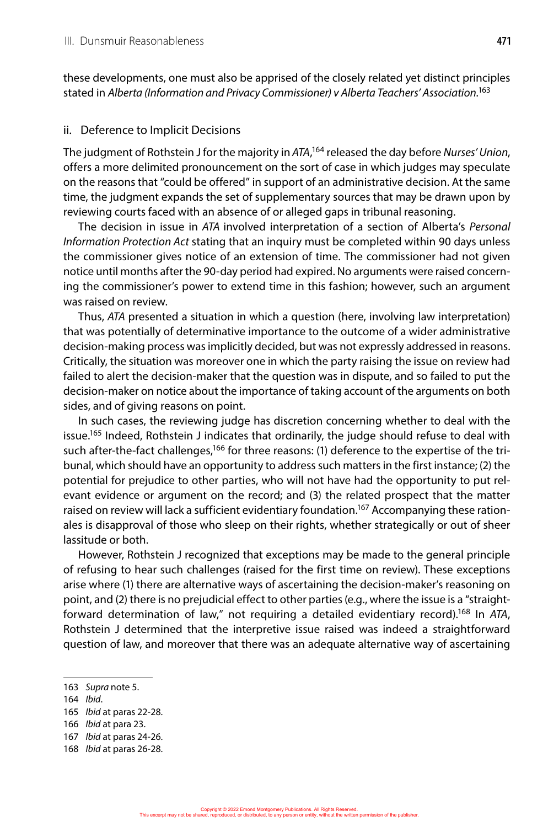these developments, one must also be apprised of the closely related yet distinct principles stated in *Alberta (Information and Privacy Commissioner) v Alberta Teachers' Association.*<sup>163</sup>

#### ii. Deference to Implicit Decisions

The judgment of Rothstein J for the majority in *ATA*, 164 released the day before *Nurses' Union*, offers a more delimited pronouncement on the sort of case in which judges may speculate on the reasons that "could be offered" in support of an administrative decision. At the same time, the judgment expands the set of supplementary sources that may be drawn upon by reviewing courts faced with an absence of or alleged gaps in tribunal reasoning.

The decision in issue in *ATA* involved interpretation of a section of Alberta's *Personal Information Protection Act* stating that an inquiry must be completed within 90 days unless the commissioner gives notice of an extension of time. The commissioner had not given notice until months after the 90-day period had expired. No arguments were raised concerning the commissioner's power to extend time in this fashion; however, such an argument was raised on review.

Thus, *ATA* presented a situation in which a question (here, involving law interpretation) that was potentially of determinative importance to the outcome of a wider administrative decision-making process was implicitly decided, but was not expressly addressed in reasons. Critically, the situation was moreover one in which the party raising the issue on review had failed to alert the decision-maker that the question was in dispute, and so failed to put the decision-maker on notice about the importance of taking account of the arguments on both sides, and of giving reasons on point.

In such cases, the reviewing judge has discretion concerning whether to deal with the issue.<sup>165</sup> Indeed, Rothstein J indicates that ordinarily, the judge should refuse to deal with such after-the-fact challenges,<sup>166</sup> for three reasons: (1) deference to the expertise of the tribunal, which should have an opportunity to address such matters in the first instance; (2) the potential for prejudice to other parties, who will not have had the opportunity to put relevant evidence or argument on the record; and (3) the related prospect that the matter raised on review will lack a sufficient evidentiary foundation.<sup>167</sup> Accompanying these rationales is disapproval of those who sleep on their rights, whether strategically or out of sheer lassitude or both.

However, Rothstein J recognized that exceptions may be made to the general principle of refusing to hear such challenges (raised for the first time on review). These exceptions arise where (1) there are alternative ways of ascertaining the decision-maker's reasoning on point, and (2) there is no prejudicial effect to other parties (e.g., where the issue is a "straightforward determination of law," not requiring a detailed evidentiary record).168 In *ATA*, Rothstein J determined that the interpretive issue raised was indeed a straightforward question of law, and moreover that there was an adequate alternative way of ascertaining

<sup>163</sup> *Supra* note 5.

<sup>164</sup> *Ibid*.

<sup>165</sup> *Ibid* at paras 22-28.

<sup>166</sup> *Ibid* at para 23.

<sup>167</sup> *Ibid* at paras 24-26.

<sup>168</sup> *Ibid* at paras 26-28.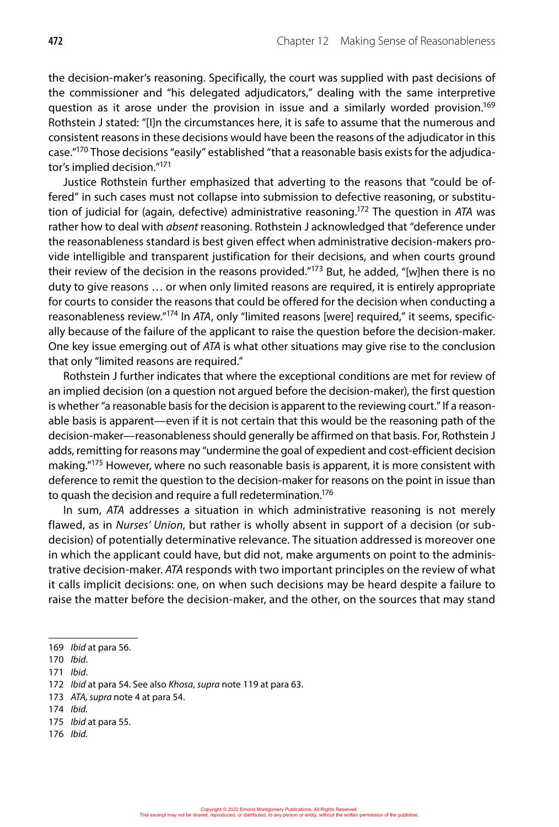the decision-maker's reasoning. Specifically, the court was supplied with past decisions of the commissioner and "his delegated adjudicators," dealing with the same interpretive question as it arose under the provision in issue and a similarly worded provision.<sup>169</sup> Rothstein J stated: "[I]n the circumstances here, it is safe to assume that the numerous and consistent reasons in these decisions would have been the reasons of the adjudicator in this case."<sup>170</sup> Those decisions "easily" established "that a reasonable basis exists for the adjudicator's implied decision."171

Justice Rothstein further emphasized that adverting to the reasons that "could be offered" in such cases must not collapse into submission to defective reasoning, or substitution of judicial for (again, defective) administrative reasoning.172 The question in *ATA* was rather how to deal with *absent* reasoning. Rothstein J acknowledged that "deference under the reasonableness standard is best given effect when administrative decision-makers provide intelligible and transparent justification for their decisions, and when courts ground their review of the decision in the reasons provided." $173$  But, he added, "[w]hen there is no duty to give reasons … or when only limited reasons are required, it is entirely appropriate for courts to consider the reasons that could be offered for the decision when conducting a reasonableness review."174 In *ATA*, only "limited reasons [were] required," it seems, specifically because of the failure of the applicant to raise the question before the decision-maker. One key issue emerging out of *ATA* is what other situations may give rise to the conclusion that only "limited reasons are required."

Rothstein J further indicates that where the exceptional conditions are met for review of an implied decision (on a question not argued before the decision-maker), the first question is whether "a reasonable basis for the decision is apparent to the reviewing court." If a reasonable basis is apparent—even if it is not certain that this would be the reasoning path of the decision-maker—reasonableness should generally be affirmed on that basis. For, Rothstein J adds, remitting for reasons may "undermine the goal of expedient and cost-efficient decision making."<sup>175</sup> However, where no such reasonable basis is apparent, it is more consistent with deference to remit the question to the decision-maker for reasons on the point in issue than to quash the decision and require a full redetermination.<sup>176</sup>

In sum, *ATA* addresses a situation in which administrative reasoning is not merely flawed, as in *Nurses' Union*, but rather is wholly absent in support of a decision (or subdecision) of potentially determinative relevance. The situation addressed is moreover one in which the applicant could have, but did not, make arguments on point to the administrative decision-maker. *ATA* responds with two important principles on the review of what it calls implicit decisions: one, on when such decisions may be heard despite a failure to raise the matter before the decision-maker, and the other, on the sources that may stand

171 *Ibid*.

174 *Ibid.*

176 *Ibid.*

<sup>169</sup> *Ibid* at para 56.

<sup>170</sup> *Ibid*.

<sup>172</sup> *Ibid* at para 54. See also *Khosa*, *supra* note 119 at para 63.

<sup>173</sup> *ATA, supra* note 4 at para 54.

<sup>175</sup> *Ibid* at para 55.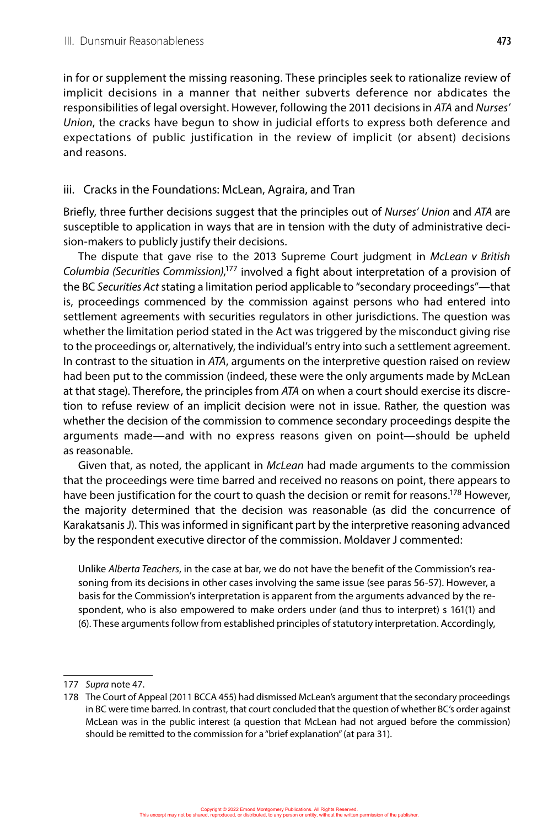in for or supplement the missing reasoning. These principles seek to rationalize review of implicit decisions in a manner that neither subverts deference nor abdicates the responsibilities of legal oversight. However, following the 2011 decisions in *ATA* and *Nurses' Union*, the cracks have begun to show in judicial efforts to express both deference and expectations of public justification in the review of implicit (or absent) decisions and reasons.

#### iii. Cracks in the Foundations: McLean, Agraira, and Tran

Briefly, three further decisions suggest that the principles out of *Nurses' Union* and *ATA* are susceptible to application in ways that are in tension with the duty of administrative decision-makers to publicly justify their decisions.

The dispute that gave rise to the 2013 Supreme Court judgment in *McLean v British Columbia (Securities Commission)*, 177 involved a fight about interpretation of a provision of the BC *Securities Act* stating a limitation period applicable to "secondary proceedings"—that is, proceedings commenced by the commission against persons who had entered into settlement agreements with securities regulators in other jurisdictions. The question was whether the limitation period stated in the Act was triggered by the misconduct giving rise to the proceedings or, alternatively, the individual's entry into such a settlement agreement. In contrast to the situation in *ATA*, arguments on the interpretive question raised on review had been put to the commission (indeed, these were the only arguments made by McLean at that stage). Therefore, the principles from *ATA* on when a court should exercise its discretion to refuse review of an implicit decision were not in issue. Rather, the question was whether the decision of the commission to commence secondary proceedings despite the arguments made—and with no express reasons given on point—should be upheld as reasonable.

Given that, as noted, the applicant in *McLean* had made arguments to the commission that the proceedings were time barred and received no reasons on point, there appears to have been justification for the court to quash the decision or remit for reasons.<sup>178</sup> However, the majority determined that the decision was reasonable (as did the concurrence of Karakatsanis J). This was informed in significant part by the interpretive reasoning advanced by the respondent executive director of the commission. Moldaver J commented:

Unlike *Alberta Teachers*, in the case at bar, we do not have the benefit of the Commission's reasoning from its decisions in other cases involving the same issue (see paras 56-57). However, a basis for the Commission's interpretation is apparent from the arguments advanced by the respondent, who is also empowered to make orders under (and thus to interpret) s 161(1) and (6). These arguments follow from established principles of statutory interpretation. Accordingly,

<sup>177</sup> *Supra* note 47.

<sup>178</sup> The Court of Appeal (2011 BCCA 455) had dismissed McLean's argument that the secondary proceedings in BC were time barred. In contrast, that court concluded that the question of whether BC's order against McLean was in the public interest (a question that McLean had not argued before the commission) should be remitted to the commission for a "brief explanation" (at para 31).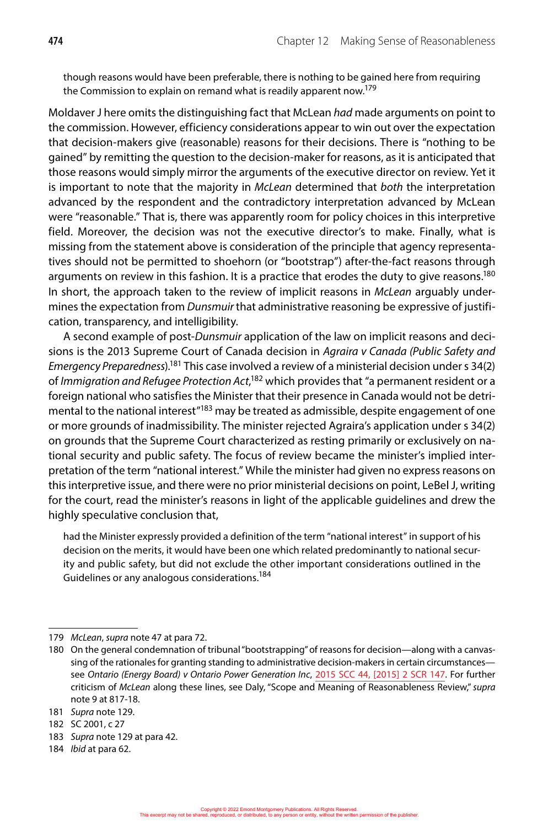though reasons would have been preferable, there is nothing to be gained here from requiring the Commission to explain on remand what is readily apparent now.<sup>179</sup>

Moldaver J here omits the distinguishing fact that McLean *had* made arguments on point to the commission. However, efficiency considerations appear to win out over the expectation that decision-makers give (reasonable) reasons for their decisions. There is "nothing to be gained" by remitting the question to the decision-maker for reasons, as it is anticipated that those reasons would simply mirror the arguments of the executive director on review. Yet it is important to note that the majority in *McLean* determined that *both* the interpretation advanced by the respondent and the contradictory interpretation advanced by McLean were "reasonable." That is, there was apparently room for policy choices in this interpretive field. Moreover, the decision was not the executive director's to make. Finally, what is missing from the statement above is consideration of the principle that agency representatives should not be permitted to shoehorn (or "bootstrap") after-the-fact reasons through arguments on review in this fashion. It is a practice that erodes the duty to give reasons.<sup>180</sup> In short, the approach taken to the review of implicit reasons in *McLean* arguably undermines the expectation from *Dunsmuir* that administrative reasoning be expressive of justification, transparency, and intelligibility.

A second example of post-*Dunsmuir* application of the law on implicit reasons and decisions is the 2013 Supreme Court of Canada decision in *Agraira v Canada (Public Safety and Emergency Preparedness*).181 This case involved a review of a ministerial decision under s 34(2) of Immigration and Refugee Protection Act,<sup>182</sup> which provides that "a permanent resident or a foreign national who satisfies the Minister that their presence in Canada would not be detrimental to the national interest"<sup>183</sup> may be treated as admissible, despite engagement of one or more grounds of inadmissibility. The minister rejected Agraira's application under s 34(2) on grounds that the Supreme Court characterized as resting primarily or exclusively on national security and public safety. The focus of review became the minister's implied interpretation of the term "national interest." While the minister had given no express reasons on this interpretive issue, and there were no prior ministerial decisions on point, LeBel J, writing for the court, read the minister's reasons in light of the applicable guidelines and drew the highly speculative conclusion that,

had the Minister expressly provided a definition of the term "national interest" in support of his decision on the merits, it would have been one which related predominantly to national security and public safety, but did not exclude the other important considerations outlined in the Guidelines or any analogous considerations.184

<sup>179</sup> *McLean*, *supra* note 47 at para 72.

<sup>180</sup> On the general condemnation of tribunal "bootstrapping" of reasons for decision—along with a canvassing of the rationales for granting standing to administrative decision-makers in certain circumstances see *Ontario (Energy Board) v Ontario Power Generation Inc*, [2015 SCC 44, \[2015\] 2 SCR 147](https://www.canlii.org/en/ca/scc/doc/2015/2015scc44/2015scc44.html?autocompleteStr=Ontario (Energy Board) v Ontario Power Generation In&autocompletePos=1). For further criticism of *McLean* along these lines, see Daly, "Scope and Meaning of Reasonableness Review," *supra* note 9 at 817-18.

<sup>181</sup> *Supra* note 129.

<sup>182</sup> SC 2001, c 27

<sup>183</sup> *Supra* note 129 at para 42.

<sup>184</sup> *Ibid* at para 62.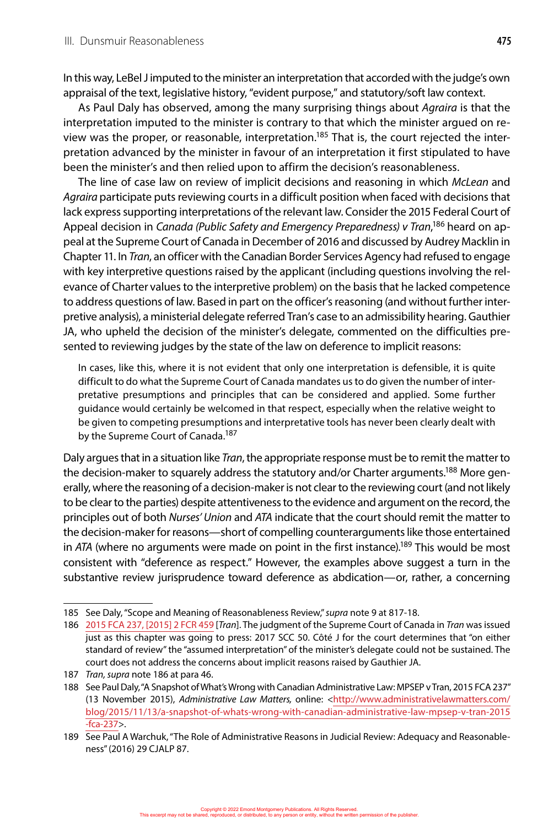In this way, LeBel J imputed to the minister an interpretation that accorded with the judge's own appraisal of the text, legislative history, "evident purpose," and statutory/soft law context.

As Paul Daly has observed, among the many surprising things about *Agraira* is that the interpretation imputed to the minister is contrary to that which the minister argued on review was the proper, or reasonable, interpretation.<sup>185</sup> That is, the court rejected the interpretation advanced by the minister in favour of an interpretation it first stipulated to have been the minister's and then relied upon to affirm the decision's reasonableness.

The line of case law on review of implicit decisions and reasoning in which *McLean* and *Agraira* participate puts reviewing courts in a difficult position when faced with decisions that lack express supporting interpretations of the relevant law. Consider the 2015 Federal Court of Appeal decision in *Canada (Public Safety and Emergency Preparedness) v Tran*, <sup>186</sup> heard on appeal at the Supreme Court of Canada in December of 2016 and discussed by Audrey Macklin in Chapter 11. In *Tran*, an officer with the Canadian Border Services Agency had refused to engage with key interpretive questions raised by the applicant (including questions involving the relevance of Charter values to the interpretive problem) on the basis that he lacked competence to address questions of law. Based in part on the officer's reasoning (and without further interpretive analysis), a ministerial delegate referred Tran's case to an admissibility hearing. Gauthier JA, who upheld the decision of the minister's delegate, commented on the difficulties presented to reviewing judges by the state of the law on deference to implicit reasons:

In cases, like this, where it is not evident that only one interpretation is defensible, it is quite difficult to do what the Supreme Court of Canada mandates us to do given the number of interpretative presumptions and principles that can be considered and applied. Some further guidance would certainly be welcomed in that respect, especially when the relative weight to be given to competing presumptions and interpretative tools has never been clearly dealt with by the Supreme Court of Canada.<sup>187</sup>

Daly argues that in a situation like *Tran*, the appropriate response must be to remit the matter to the decision-maker to squarely address the statutory and/or Charter arguments.<sup>188</sup> More generally, where the reasoning of a decision-maker is not clear to the reviewing court (and not likely to be clear to the parties) despite attentiveness to the evidence and argument on the record, the principles out of both *Nurses' Union* and *ATA* indicate that the court should remit the matter to the decision-maker for reasons—short of compelling counterarguments like those entertained in *ATA* (where no arguments were made on point in the first instance).189 This would be most consistent with "deference as respect." However, the examples above suggest a turn in the substantive review jurisprudence toward deference as abdication—or, rather, a concerning

<sup>185</sup> See Daly, "Scope and Meaning of Reasonableness Review," *supra* note 9 at 817-18.

<sup>186</sup> [2015 FCA 237, \[2015\] 2 FCR 459](https://www.canlii.org/en/ca/fca/doc/2015/2015fca237/2015fca237.html?autocompleteStr=Canada (Public Safety and Emergency Preparedness) v Tran&autocompletePos=1) [*Tran*]. The judgment of the Supreme Court of Canada in *Tran* was issued just as this chapter was going to press: 2017 SCC 50. Côté J for the court determines that "on either standard of review" the "assumed interpretation" of the minister's delegate could not be sustained. The court does not address the concerns about implicit reasons raised by Gauthier JA.

<sup>187</sup> *Tran, supra* note 186 at para 46.

<sup>188</sup> See Paul Daly, "A Snapshot of What's Wrong with Canadian Administrative Law: MPSEP v Tran, 2015 FCA 237" (13 November 2015), *Administrative Law Matters,* online: [<http://www.administrativelawmatters.com/](http://www.administrativelawmatters.com/blog/2015/11/13/a-snapshot-of-whats-wrong-with-canadian-administrative-law-mpsep-v-tran-2015-fca-237) [blog/2015/11/13/a-snapshot-of-whats-wrong-with-canadian-administrative-law-mpsep-v-tran-2015](http://www.administrativelawmatters.com/blog/2015/11/13/a-snapshot-of-whats-wrong-with-canadian-administrative-law-mpsep-v-tran-2015-fca-237) [-fca-237](http://www.administrativelawmatters.com/blog/2015/11/13/a-snapshot-of-whats-wrong-with-canadian-administrative-law-mpsep-v-tran-2015-fca-237)>.

<sup>189</sup> See Paul A Warchuk, "The Role of Administrative Reasons in Judicial Review: Adequacy and Reasonableness" (2016) 29 CJALP 87.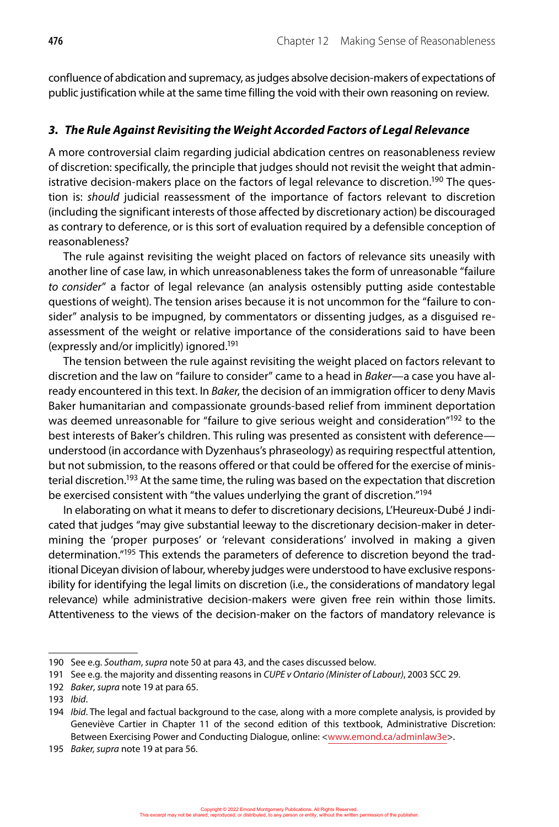confluence of abdication and supremacy, as judges absolve decision-makers of expectations of public justification while at the same time filling the void with their own reasoning on review.

#### *3. The Rule Against Revisiting the Weight Accorded Factors of Legal Relevance*

A more controversial claim regarding judicial abdication centres on reasonableness review of discretion: specifically, the principle that judges should not revisit the weight that administrative decision-makers place on the factors of legal relevance to discretion.<sup>190</sup> The question is: *should* judicial reassessment of the importance of factors relevant to discretion (including the significant interests of those affected by discretionary action) be discouraged as contrary to deference, or is this sort of evaluation required by a defensible conception of reasonableness?

The rule against revisiting the weight placed on factors of relevance sits uneasily with another line of case law, in which unreasonableness takes the form of unreasonable "failure *to consider*" a factor of legal relevance (an analysis ostensibly putting aside contestable questions of weight). The tension arises because it is not uncommon for the "failure to consider" analysis to be impugned, by commentators or dissenting judges, as a disguised reassessment of the weight or relative importance of the considerations said to have been (expressly and/or implicitly) ignored.191

The tension between the rule against revisiting the weight placed on factors relevant to discretion and the law on "failure to consider" came to a head in *Baker*—a case you have already encountered in this text. In *Baker*, the decision of an immigration officer to deny Mavis Baker humanitarian and compassionate grounds-based relief from imminent deportation was deemed unreasonable for "failure to give serious weight and consideration"<sup>192</sup> to the best interests of Baker's children. This ruling was presented as consistent with deference understood (in accordance with Dyzenhaus's phraseology) as requiring respectful attention, but not submission, to the reasons offered or that could be offered for the exercise of ministerial discretion.<sup>193</sup> At the same time, the ruling was based on the expectation that discretion be exercised consistent with "the values underlying the grant of discretion."194

In elaborating on what it means to defer to discretionary decisions, L'Heureux-Dubé J indicated that judges "may give substantial leeway to the discretionary decision-maker in determining the 'proper purposes' or 'relevant considerations' involved in making a given determination."195 This extends the parameters of deference to discretion beyond the traditional Diceyan division of labour, whereby judges were understood to have exclusive responsibility for identifying the legal limits on discretion (i.e., the considerations of mandatory legal relevance) while administrative decision-makers were given free rein within those limits. Attentiveness to the views of the decision-maker on the factors of mandatory relevance is

<sup>190</sup> See e.g. *Southam*, *supra* note 50 at para 43, and the cases discussed below.

<sup>191</sup> See e.g. the majority and dissenting reasons in *CUPE v Ontario (Minister of Labour)*, 2003 SCC 29.

<sup>192</sup> *Baker*, *supra* note 19 at para 65.

<sup>193</sup> *Ibid*.

<sup>194</sup> *Ibid*. The legal and factual background to the case, along with a more complete analysis, is provided by Geneviève Cartier in Chapter 11 of the second edition of this textbook, Administrative Discretion: Between Exercising Power and Conducting Dialogue, online: [<www.emond.ca/adminlaw3e](www.emond.ca/adminlaw3e)>.

<sup>195</sup> *Baker, supra* note 19 at para 56.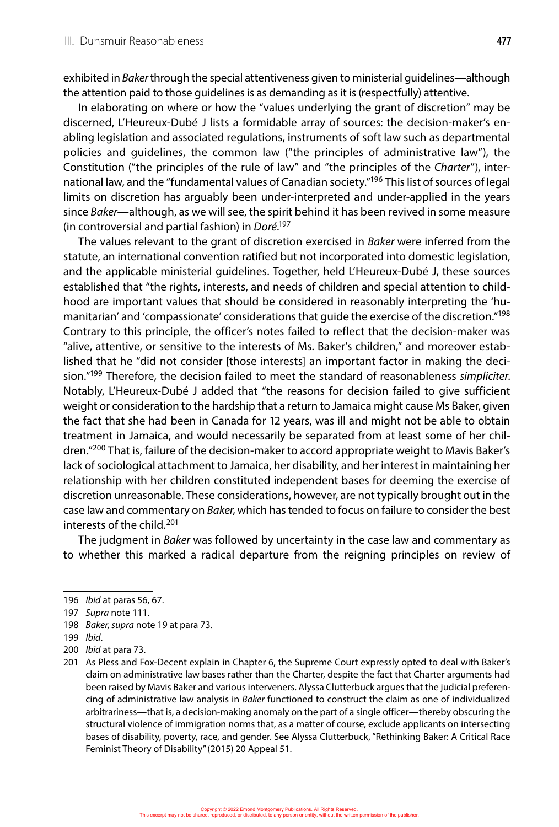exhibited in *Baker* through the special attentiveness given to ministerial guidelines—although the attention paid to those guidelines is as demanding as it is (respectfully) attentive.

In elaborating on where or how the "values underlying the grant of discretion" may be discerned, L'Heureux-Dubé J lists a formidable array of sources: the decision-maker's enabling legislation and associated regulations, instruments of soft law such as departmental policies and guidelines, the common law ("the principles of administrative law"), the Constitution ("the principles of the rule of law" and "the principles of the *Charter*"), international law, and the "fundamental values of Canadian society."<sup>196</sup> This list of sources of legal limits on discretion has arguably been under-interpreted and under-applied in the years since *Baker*—although, as we will see, the spirit behind it has been revived in some measure (in controversial and partial fashion) in *Doré*. 197

The values relevant to the grant of discretion exercised in *Baker* were inferred from the statute, an international convention ratified but not incorporated into domestic legislation, and the applicable ministerial guidelines. Together, held L'Heureux-Dubé J, these sources established that "the rights, interests, and needs of children and special attention to childhood are important values that should be considered in reasonably interpreting the 'humanitarian' and 'compassionate' considerations that guide the exercise of the discretion."198 Contrary to this principle, the officer's notes failed to reflect that the decision-maker was "alive, attentive, or sensitive to the interests of Ms. Baker's children," and moreover established that he "did not consider [those interests] an important factor in making the decision."199 Therefore, the decision failed to meet the standard of reasonableness *simpliciter*. Notably, L'Heureux-Dubé J added that "the reasons for decision failed to give sufficient weight or consideration to the hardship that a return to Jamaica might cause Ms Baker, given the fact that she had been in Canada for 12 years, was ill and might not be able to obtain treatment in Jamaica, and would necessarily be separated from at least some of her children."<sup>200</sup> That is, failure of the decision-maker to accord appropriate weight to Mavis Baker's lack of sociological attachment to Jamaica, her disability, and her interest in maintaining her relationship with her children constituted independent bases for deeming the exercise of discretion unreasonable. These considerations, however, are not typically brought out in the case law and commentary on *Baker*, which has tended to focus on failure to consider the best interests of the child.201

The judgment in *Baker* was followed by uncertainty in the case law and commentary as to whether this marked a radical departure from the reigning principles on review of

<sup>196</sup> *Ibid* at paras 56, 67.

<sup>197</sup> *Supra* note 111.

<sup>198</sup> *Baker, supra* note 19 at para 73.

<sup>199</sup> *Ibid*.

<sup>200</sup> *Ibid* at para 73.

<sup>201</sup> As Pless and Fox-Decent explain in Chapter 6, the Supreme Court expressly opted to deal with Baker's claim on administrative law bases rather than the Charter, despite the fact that Charter arguments had been raised by Mavis Baker and various interveners. Alyssa Clutterbuck argues that the judicial preferencing of administrative law analysis in *Baker* functioned to construct the claim as one of individualized arbitrariness—that is, a decision-making anomaly on the part of a single officer—thereby obscuring the structural violence of immigration norms that, as a matter of course, exclude applicants on intersecting bases of disability, poverty, race, and gender. See Alyssa Clutterbuck, "Rethinking Baker: A Critical Race Feminist Theory of Disability" (2015) 20 Appeal 51.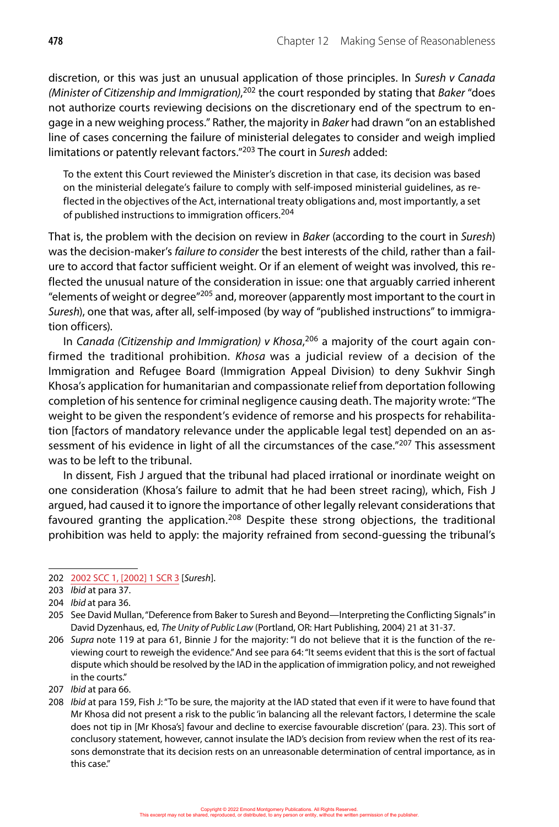discretion, or this was just an unusual application of those principles. In *Suresh v Canada (Minister of Citizenship and Immigration)*, 202 the court responded by stating that *Baker* "does not authorize courts reviewing decisions on the discretionary end of the spectrum to engage in a new weighing process." Rather, the majority in *Baker* had drawn "on an established line of cases concerning the failure of ministerial delegates to consider and weigh implied limitations or patently relevant factors."203 The court in *Suresh* added:

To the extent this Court reviewed the Minister's discretion in that case, its decision was based on the ministerial delegate's failure to comply with self-imposed ministerial guidelines, as reflected in the objectives of the Act, international treaty obligations and, most importantly, a set of published instructions to immigration officers.<sup>204</sup>

That is, the problem with the decision on review in *Baker* (according to the court in *Suresh*) was the decision-maker's *failure to consider* the best interests of the child, rather than a failure to accord that factor sufficient weight. Or if an element of weight was involved, this reflected the unusual nature of the consideration in issue: one that arguably carried inherent "elements of weight or degree"<sup>205</sup> and, moreover (apparently most important to the court in *Suresh*), one that was, after all, self-imposed (by way of "published instructions" to immigration officers).

In *Canada (Citizenship and Immigration) v Khosa*, 206 a majority of the court again confirmed the traditional prohibition. *Khosa* was a judicial review of a decision of the Immigration and Refugee Board (Immigration Appeal Division) to deny Sukhvir Singh Khosa's application for humanitarian and compassionate relief from deportation following completion of his sentence for criminal negligence causing death. The majority wrote: "The weight to be given the respondent's evidence of remorse and his prospects for rehabilitation [factors of mandatory relevance under the applicable legal test] depended on an assessment of his evidence in light of all the circumstances of the case."<sup>207</sup> This assessment was to be left to the tribunal.

In dissent, Fish J argued that the tribunal had placed irrational or inordinate weight on one consideration (Khosa's failure to admit that he had been street racing), which, Fish J argued, had caused it to ignore the importance of other legally relevant considerations that favoured granting the application.<sup>208</sup> Despite these strong objections, the traditional prohibition was held to apply: the majority refrained from second-guessing the tribunal's

206 *Supra* note 119 at para 61, Binnie J for the majority: "I do not believe that it is the function of the reviewing court to reweigh the evidence." And see para 64: "It seems evident that this is the sort of factual dispute which should be resolved by the IAD in the application of immigration policy, and not reweighed in the courts."

208 *Ibid* at para 159, Fish J: "To be sure, the majority at the IAD stated that even if it were to have found that Mr Khosa did not present a risk to the public 'in balancing all the relevant factors, I determine the scale does not tip in [Mr Khosa's] favour and decline to exercise favourable discretion' (para. 23). This sort of conclusory statement, however, cannot insulate the IAD's decision from review when the rest of its reasons demonstrate that its decision rests on an unreasonable determination of central importance, as in this case."

<sup>202</sup> [2002 SCC 1, \[2002\] 1 SCR 3](https://www.canlii.org/en/ca/scc/doc/2002/2002scc1/2002scc1.html?autocompleteStr=2002 SCC 1%2C 1 SCR 3 &autocompletePos=2) [*Suresh*].

<sup>203</sup> *Ibid* at para 37.

<sup>204</sup> *Ibid* at para 36.

<sup>205</sup> See David Mullan, "Deference from Baker to Suresh and Beyond—Interpreting the Conflicting Signals" in David Dyzenhaus, ed, *The Unity of Public Law* (Portland, OR: Hart Publishing, 2004) 21 at 31-37.

<sup>207</sup> *Ibid* at para 66.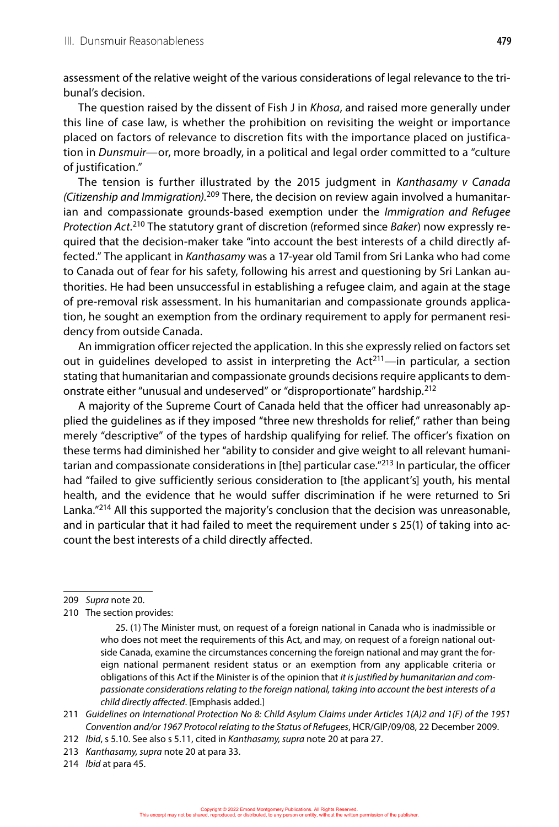assessment of the relative weight of the various considerations of legal relevance to the tribunal's decision.

The question raised by the dissent of Fish J in *Khosa*, and raised more generally under this line of case law, is whether the prohibition on revisiting the weight or importance placed on factors of relevance to discretion fits with the importance placed on justification in *Dunsmuir*—or, more broadly, in a political and legal order committed to a "culture of justification."

The tension is further illustrated by the 2015 judgment in *Kanthasamy v Canada (Citizenship and Immigration)*. 209 There, the decision on review again involved a humanitarian and compassionate grounds-based exemption under the *Immigration and Refugee Protection Act*. 210 The statutory grant of discretion (reformed since *Baker*) now expressly required that the decision-maker take "into account the best interests of a child directly affected." The applicant in *Kanthasamy* was a 17-year old Tamil from Sri Lanka who had come to Canada out of fear for his safety, following his arrest and questioning by Sri Lankan authorities. He had been unsuccessful in establishing a refugee claim, and again at the stage of pre-removal risk assessment. In his humanitarian and compassionate grounds application, he sought an exemption from the ordinary requirement to apply for permanent residency from outside Canada.

An immigration officer rejected the application. In this she expressly relied on factors set out in quidelines developed to assist in interpreting the  $Act^{211}$ —in particular, a section stating that humanitarian and compassionate grounds decisions require applicants to demonstrate either "unusual and undeserved" or "disproportionate" hardship.212

A majority of the Supreme Court of Canada held that the officer had unreasonably applied the guidelines as if they imposed "three new thresholds for relief," rather than being merely "descriptive" of the types of hardship qualifying for relief. The officer's fixation on these terms had diminished her "ability to consider and give weight to all relevant humanitarian and compassionate considerations in [the] particular case."<sup>213</sup> In particular, the officer had "failed to give sufficiently serious consideration to [the applicant's] youth, his mental health, and the evidence that he would suffer discrimination if he were returned to Sri Lanka."<sup>214</sup> All this supported the majority's conclusion that the decision was unreasonable, and in particular that it had failed to meet the requirement under s 25(1) of taking into account the best interests of a child directly affected.

<sup>209</sup> *Supra* note 20.

<sup>210</sup> The section provides:

<sup>25. (1)</sup> The Minister must, on request of a foreign national in Canada who is inadmissible or who does not meet the requirements of this Act, and may, on request of a foreign national outside Canada, examine the circumstances concerning the foreign national and may grant the foreign national permanent resident status or an exemption from any applicable criteria or obligations of this Act if the Minister is of the opinion that *it is justified by humanitarian and compassionate considerations relating to the foreign national, taking into account the best interests of a child directly affected*. [Emphasis added.]

<sup>211</sup> *Guidelines on International Protection No 8: Child Asylum Claims under Articles 1(A)2 and 1(F) of the 1951 Convention and/or 1967 Protocol relating to the Status of Refugees*, HCR/GIP/09/08, 22 December 2009.

<sup>212</sup> *Ibid*, s 5.10. See also s 5.11, cited in *Kanthasamy, supra* note 20 at para 27.

<sup>213</sup> *Kanthasamy, supra* note 20 at para 33.

<sup>214</sup> *Ibid* at para 45.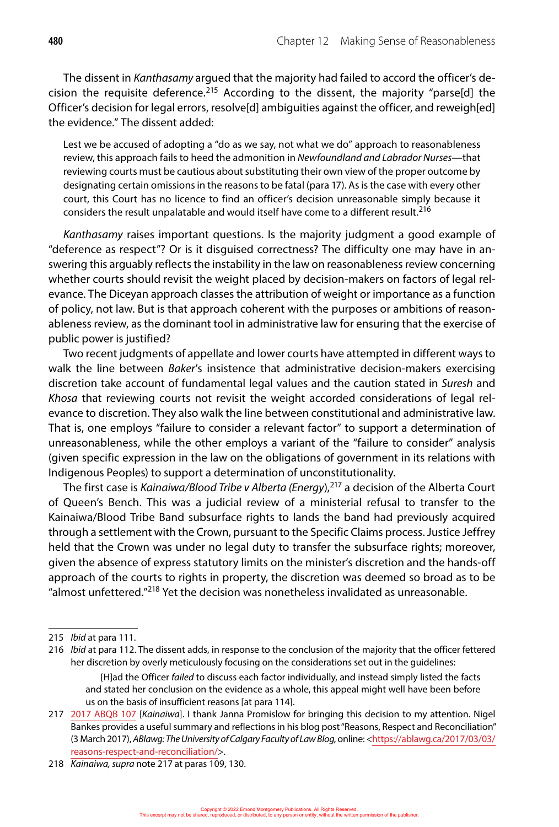The dissent in *Kanthasamy* argued that the majority had failed to accord the officer's decision the requisite deference.<sup>215</sup> According to the dissent, the majority "parse[d] the Officer's decision for legal errors, resolve[d] ambiguities against the officer, and reweigh[ed] the evidence." The dissent added:

Lest we be accused of adopting a "do as we say, not what we do" approach to reasonableness review, this approach fails to heed the admonition in *Newfoundland and Labrador Nurses*—that reviewing courts must be cautious about substituting their own view of the proper outcome by designating certain omissions in the reasons to be fatal (para 17). As is the case with every other court, this Court has no licence to find an officer's decision unreasonable simply because it considers the result unpalatable and would itself have come to a different result.<sup>216</sup>

*Kanthasamy* raises important questions. Is the majority judgment a good example of "deference as respect"? Or is it disguised correctness? The difficulty one may have in answering this arguably reflects the instability in the law on reasonableness review concerning whether courts should revisit the weight placed by decision-makers on factors of legal relevance. The Diceyan approach classes the attribution of weight or importance as a function of policy, not law. But is that approach coherent with the purposes or ambitions of reasonableness review, as the dominant tool in administrative law for ensuring that the exercise of public power is justified?

Two recent judgments of appellate and lower courts have attempted in different ways to walk the line between *Baker*'s insistence that administrative decision-makers exercising discretion take account of fundamental legal values and the caution stated in *Suresh* and *Khosa* that reviewing courts not revisit the weight accorded considerations of legal relevance to discretion. They also walk the line between constitutional and administrative law. That is, one employs "failure to consider a relevant factor" to support a determination of unreasonableness, while the other employs a variant of the "failure to consider" analysis (given specific expression in the law on the obligations of government in its relations with Indigenous Peoples) to support a determination of unconstitutionality.

The first case is *Kainaiwa/Blood Tribe v Alberta (Energy*),217 a decision of the Alberta Court of Queen's Bench. This was a judicial review of a ministerial refusal to transfer to the Kainaiwa/Blood Tribe Band subsurface rights to lands the band had previously acquired through a settlement with the Crown, pursuant to the Specific Claims process. Justice Jeffrey held that the Crown was under no legal duty to transfer the subsurface rights; moreover, given the absence of express statutory limits on the minister's discretion and the hands-off approach of the courts to rights in property, the discretion was deemed so broad as to be "almost unfettered."218 Yet the decision was nonetheless invalidated as unreasonable.

<sup>215</sup> *Ibid* at para 111.

<sup>216</sup> *Ibid* at para 112. The dissent adds, in response to the conclusion of the majority that the officer fettered her discretion by overly meticulously focusing on the considerations set out in the guidelines: [H]ad the Officer *failed* to discuss each factor individually, and instead simply listed the facts and stated her conclusion on the evidence as a whole, this appeal might well have been before us on the basis of insufficient reasons [at para 114].

<sup>217</sup> [2017 ABQB 107](https://www.canlii.org/en/ab/abqb/doc/2017/2017abqb107/2017abqb107.html?autocompleteStr=Kainaiwa%2FBlood Tribe v Alberta (Energy&autocompletePos=1) [*Kainaiwa*]. I thank Janna Promislow for bringing this decision to my attention. Nigel Bankes provides a useful summary and reflections in his blog post "Reasons, Respect and Reconciliation" (3 March 2017), *ABlawg: The University of Calgary Faculty of Law Blog,* online: <[https://ablawg.ca/2017/03/03/](https://ablawg.ca/2017/03/03/reasons-respect-and-reconciliation/) [reasons-respect-and-reconciliation/](https://ablawg.ca/2017/03/03/reasons-respect-and-reconciliation/)>.

<sup>218</sup> *Kainaiwa, supra* note 217 at paras 109, 130.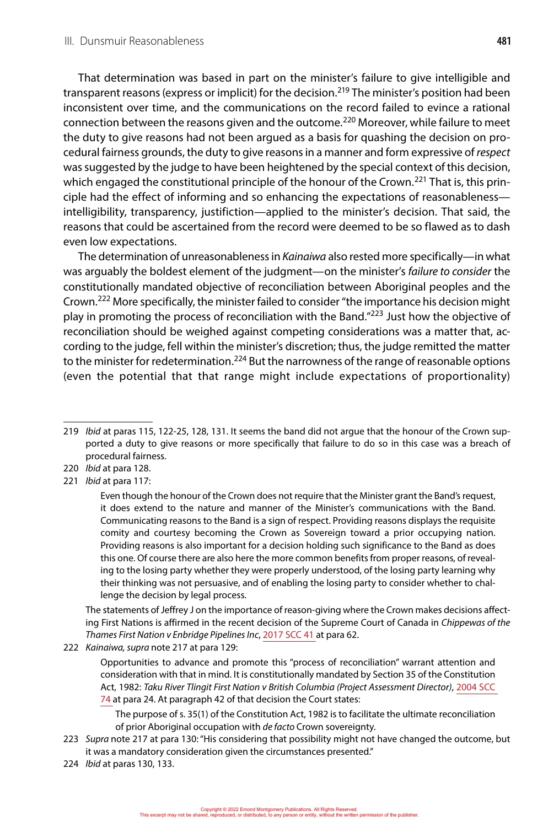That determination was based in part on the minister's failure to give intelligible and transparent reasons (express or implicit) for the decision.<sup>219</sup> The minister's position had been inconsistent over time, and the communications on the record failed to evince a rational connection between the reasons given and the outcome.<sup>220</sup> Moreover, while failure to meet the duty to give reasons had not been argued as a basis for quashing the decision on procedural fairness grounds, the duty to give reasons in a manner and form expressive of *respect* was suggested by the judge to have been heightened by the special context of this decision, which engaged the constitutional principle of the honour of the Crown.<sup>221</sup> That is, this principle had the effect of informing and so enhancing the expectations of reasonableness intelligibility, transparency, justifiction—applied to the minister's decision. That said, the reasons that could be ascertained from the record were deemed to be so flawed as to dash even low expectations.

The determination of unreasonableness in *Kainaiwa* also rested more specifically—in what was arguably the boldest element of the judgment—on the minister's *failure to consider* the constitutionally mandated objective of reconciliation between Aboriginal peoples and the Crown.222 More specifically, the minister failed to consider "the importance his decision might play in promoting the process of reconciliation with the Band."<sup>223</sup> Just how the objective of reconciliation should be weighed against competing considerations was a matter that, according to the judge, fell within the minister's discretion; thus, the judge remitted the matter to the minister for redetermination.<sup>224</sup> But the narrowness of the range of reasonable options (even the potential that that range might include expectations of proportionality)

221 *Ibid* at para 117:

 The statements of Jeffrey J on the importance of reason-giving where the Crown makes decisions affecting First Nations is affirmed in the recent decision of the Supreme Court of Canada in *Chippewas of the Thames First Nation v Enbridge Pipelines Inc*, [2017 SCC 41 a](https://www.canlii.org/en/ca/scc/doc/2017/2017scc41/2017scc41.html?autocompleteStr=Chippewas of the Thames First Nation v Enbridge Pipelines Inc%2C &autocompletePos=2)t para 62.

222 *Kainaiwa, supra* note 217 at para 129:

Opportunities to advance and promote this "process of reconciliation" warrant attention and consideration with that in mind. It is constitutionally mandated by Section 35 of the Constitution Act, 1982: *Taku River Tlingit First Nation v British Columbia (Project Assessment Director)*, [2004 SCC](https://www.canlii.org/en/ca/scc/doc/2004/2004scc74/2004scc74.html)  [74 a](https://www.canlii.org/en/ca/scc/doc/2004/2004scc74/2004scc74.html)t para 24. At paragraph 42 of that decision the Court states:

The purpose of s. 35(1) of the Constitution Act, 1982 is to facilitate the ultimate reconciliation of prior Aboriginal occupation with *de facto* Crown sovereignty.

- 223 *Supra* note 217 at para 130: "His considering that possibility might not have changed the outcome, but it was a mandatory consideration given the circumstances presented."
- 224 *Ibid* at paras 130, 133.

<sup>219</sup> *Ibid* at paras 115, 122-25, 128, 131. It seems the band did not argue that the honour of the Crown supported a duty to give reasons or more specifically that failure to do so in this case was a breach of procedural fairness.

<sup>220</sup> *Ibid* at para 128.

Even though the honour of the Crown does not require that the Minister grant the Band's request, it does extend to the nature and manner of the Minister's communications with the Band. Communicating reasons to the Band is a sign of respect. Providing reasons displays the requisite comity and courtesy becoming the Crown as Sovereign toward a prior occupying nation. Providing reasons is also important for a decision holding such significance to the Band as does this one. Of course there are also here the more common benefits from proper reasons, of revealing to the losing party whether they were properly understood, of the losing party learning why their thinking was not persuasive, and of enabling the losing party to consider whether to challenge the decision by legal process.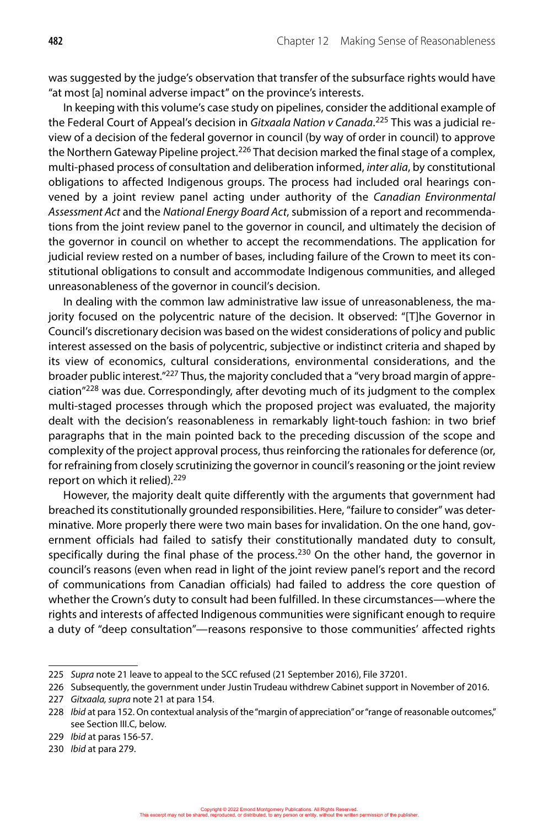was suggested by the judge's observation that transfer of the subsurface rights would have "at most [a] nominal adverse impact" on the province's interests.

In keeping with this volume's case study on pipelines, consider the additional example of the Federal Court of Appeal's decision in *Gitxaala Nation v Canada*. 225 This was a judicial review of a decision of the federal governor in council (by way of order in council) to approve the Northern Gateway Pipeline project.<sup>226</sup> That decision marked the final stage of a complex, multi-phased process of consultation and deliberation informed, *inter alia*, by constitutional obligations to affected Indigenous groups. The process had included oral hearings convened by a joint review panel acting under authority of the *Canadian Environmental Assessment Act* and the *National Energy Board Act*, submission of a report and recommendations from the joint review panel to the governor in council, and ultimately the decision of the governor in council on whether to accept the recommendations. The application for judicial review rested on a number of bases, including failure of the Crown to meet its constitutional obligations to consult and accommodate Indigenous communities, and alleged unreasonableness of the governor in council's decision.

In dealing with the common law administrative law issue of unreasonableness, the majority focused on the polycentric nature of the decision. It observed: "[T]he Governor in Council's discretionary decision was based on the widest considerations of policy and public interest assessed on the basis of polycentric, subjective or indistinct criteria and shaped by its view of economics, cultural considerations, environmental considerations, and the broader public interest."<sup>227</sup> Thus, the majority concluded that a "very broad margin of appreciation $"^{228}$  was due. Correspondingly, after devoting much of its judgment to the complex multi-staged processes through which the proposed project was evaluated, the majority dealt with the decision's reasonableness in remarkably light-touch fashion: in two brief paragraphs that in the main pointed back to the preceding discussion of the scope and complexity of the project approval process, thus reinforcing the rationales for deference (or, for refraining from closely scrutinizing the governor in council's reasoning or the joint review report on which it relied).<sup>229</sup>

However, the majority dealt quite differently with the arguments that government had breached its constitutionally grounded responsibilities. Here, "failure to consider" was determinative. More properly there were two main bases for invalidation. On the one hand, government officials had failed to satisfy their constitutionally mandated duty to consult, specifically during the final phase of the process.<sup>230</sup> On the other hand, the governor in council's reasons (even when read in light of the joint review panel's report and the record of communications from Canadian officials) had failed to address the core question of whether the Crown's duty to consult had been fulfilled. In these circumstances—where the rights and interests of affected Indigenous communities were significant enough to require a duty of "deep consultation"—reasons responsive to those communities' affected rights

<sup>225</sup> *Supra* note 21 leave to appeal to the SCC refused (21 September 2016), File 37201.

<sup>226</sup> Subsequently, the government under Justin Trudeau withdrew Cabinet support in November of 2016.

<sup>227</sup> *Gitxaala, supra* note 21 at para 154.

<sup>228</sup> *Ibid* at para 152. On contextual analysis of the "margin of appreciation" or "range of reasonable outcomes," see Section III.C, below.

<sup>229</sup> *Ibid* at paras 156-57.

<sup>230</sup> *Ibid* at para 279.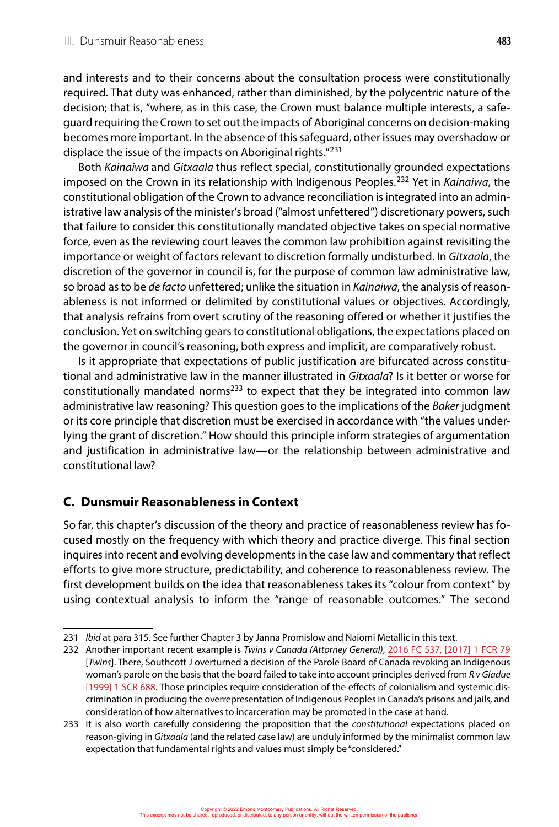and interests and to their concerns about the consultation process were constitutionally required. That duty was enhanced, rather than diminished, by the polycentric nature of the decision; that is, "where, as in this case, the Crown must balance multiple interests, a safeguard requiring the Crown to set out the impacts of Aboriginal concerns on decision-making becomes more important. In the absence of this safeguard, other issues may overshadow or displace the issue of the impacts on Aboriginal rights."231

Both *Kainaiwa* and *Gitxaala* thus reflect special, constitutionally grounded expectations imposed on the Crown in its relationship with Indigenous Peoples.232 Yet in *Kainaiwa*, the constitutional obligation of the Crown to advance reconciliation is integrated into an administrative law analysis of the minister's broad ("almost unfettered") discretionary powers, such that failure to consider this constitutionally mandated objective takes on special normative force, even as the reviewing court leaves the common law prohibition against revisiting the importance or weight of factors relevant to discretion formally undisturbed. In *Gitxaala*, the discretion of the governor in council is, for the purpose of common law administrative law, so broad as to be *de facto* unfettered; unlike the situation in *Kainaiwa*, the analysis of reasonableness is not informed or delimited by constitutional values or objectives. Accordingly, that analysis refrains from overt scrutiny of the reasoning offered or whether it justifies the conclusion. Yet on switching gears to constitutional obligations, the expectations placed on the governor in council's reasoning, both express and implicit, are comparatively robust.

Is it appropriate that expectations of public justification are bifurcated across constitutional and administrative law in the manner illustrated in *Gitxaala*? Is it better or worse for constitutionally mandated norms<sup>233</sup> to expect that they be integrated into common law administrative law reasoning? This question goes to the implications of the *Baker* judgment or its core principle that discretion must be exercised in accordance with "the values underlying the grant of discretion." How should this principle inform strategies of argumentation and justification in administrative law—or the relationship between administrative and constitutional law?

## **C. Dunsmuir Reasonableness in Context**

So far, this chapter's discussion of the theory and practice of reasonableness review has focused mostly on the frequency with which theory and practice diverge. This final section inquires into recent and evolving developments in the case law and commentary that reflect efforts to give more structure, predictability, and coherence to reasonableness review. The first development builds on the idea that reasonableness takes its "colour from context" by using contextual analysis to inform the "range of reasonable outcomes." The second

<sup>231</sup> *Ibid* at para 315. See further Chapter 3 by Janna Promislow and Naiomi Metallic in this text.

<sup>232</sup> Another important recent example is *Twins v Canada (Attorney General)*, [2016 FC 537, \[2017\] 1 FCR 79](https://www.canlii.org/en/ca/fct/doc/2016/2016fc537/2016fc537.html?autocompleteStr=Twins v Canada (Attorney General) 2016 &autocompletePos=1) [*Twins*]. There, Southcott J overturned a decision of the Parole Board of Canada revoking an Indigenous woman's parole on the basis that the board failed to take into account principles derived from *R v Gladue* [\[1999\] 1 SCR 688](https://www.canlii.org/en/ca/scc/doc/1999/1999canlii679/1999canlii679.html?autocompleteStr=R v Gladue%2C %5B1999%5D 1 SCR 688&autocompletePos=1). Those principles require consideration of the effects of colonialism and systemic discrimination in producing the overrepresentation of Indigenous Peoples in Canada's prisons and jails, and consideration of how alternatives to incarceration may be promoted in the case at hand.

<sup>233</sup> It is also worth carefully considering the proposition that the *constitutional* expectations placed on reason-giving in *Gitxaala* (and the related case law) are unduly informed by the minimalist common law expectation that fundamental rights and values must simply be "considered."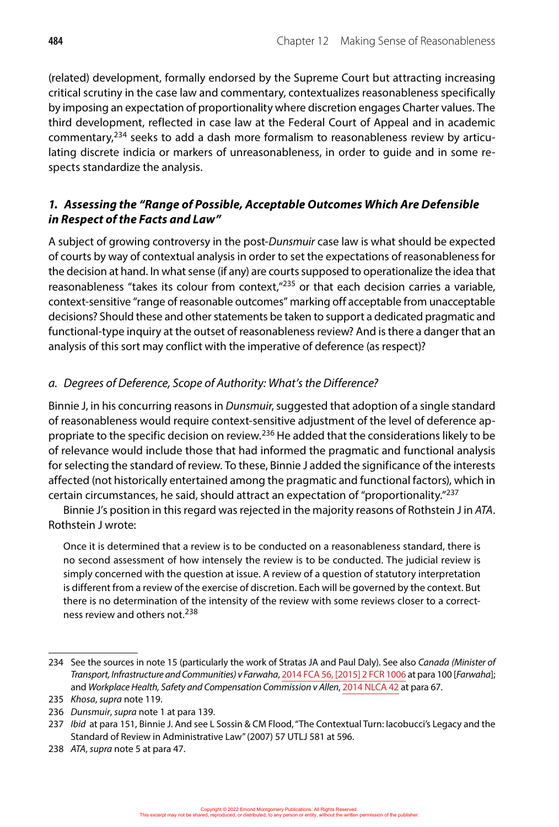(related) development, formally endorsed by the Supreme Court but attracting increasing critical scrutiny in the case law and commentary, contextualizes reasonableness specifically by imposing an expectation of proportionality where discretion engages Charter values. The third development, reflected in case law at the Federal Court of Appeal and in academic commentary, $234$  seeks to add a dash more formalism to reasonableness review by articulating discrete indicia or markers of unreasonableness, in order to guide and in some respects standardize the analysis.

## *1. Assessing the "Range of Possible, Acceptable Outcomes Which Are Defensible in Respect of the Facts and Law"*

A subject of growing controversy in the post-*Dunsmuir* case law is what should be expected of courts by way of contextual analysis in order to set the expectations of reasonableness for the decision at hand. In what sense (if any) are courts supposed to operationalize the idea that reasonableness "takes its colour from context,"<sup>235</sup> or that each decision carries a variable, context-sensitive "range of reasonable outcomes" marking off acceptable from unacceptable decisions? Should these and other statements be taken to support a dedicated pragmatic and functional-type inquiry at the outset of reasonableness review? And is there a danger that an analysis of this sort may conflict with the imperative of deference (as respect)?

## *a. Degrees of Deference, Scope of Authority: What's the Difference?*

Binnie J, in his concurring reasons in *Dunsmuir*, suggested that adoption of a single standard of reasonableness would require context-sensitive adjustment of the level of deference appropriate to the specific decision on review.<sup>236</sup> He added that the considerations likely to be of relevance would include those that had informed the pragmatic and functional analysis for selecting the standard of review. To these, Binnie J added the significance of the interests affected (not historically entertained among the pragmatic and functional factors), which in certain circumstances, he said, should attract an expectation of "proportionality."237

Binnie J's position in this regard was rejected in the majority reasons of Rothstein J in *ATA*. Rothstein J wrote:

Once it is determined that a review is to be conducted on a reasonableness standard, there is no second assessment of how intensely the review is to be conducted. The judicial review is simply concerned with the question at issue. A review of a question of statutory interpretation is different from a review of the exercise of discretion. Each will be governed by the context. But there is no determination of the intensity of the review with some reviews closer to a correctness review and others not.<sup>238</sup>

<sup>234</sup> See the sources in note 15 (particularly the work of Stratas JA and Paul Daly). See also *Canada (Minister of Transport, Infrastructure and Communities) v Farwaha*, [2014 FCA 56, \[2015\] 2 FCR 1006](http://canlii.ca/t/g61tm) at para 100 [*Farwaha*]; and *Workplace Health, Safety and Compensation Commission v Allen*, [2014 NLCA 42](https://www.canlii.org/en/nl/nlca/doc/2014/2014nlca42/2014nlca42.html?autocompleteStr=Workplace Health%2C Safety and Compensation Commission v Allen&autocompletePos=1) at para 67.

<sup>235</sup> *Khosa*, *supra* note 119.

<sup>236</sup> *Dunsmuir*, *supra* note 1 at para 139.

<sup>237</sup> *Ibid* at para 151, Binnie J. And see L Sossin & CM Flood, "The Contextual Turn: Iacobucci's Legacy and the Standard of Review in Administrative Law" (2007) 57 UTLJ 581 at 596.

<sup>238</sup> *ATA*, *supra* note 5 at para 47.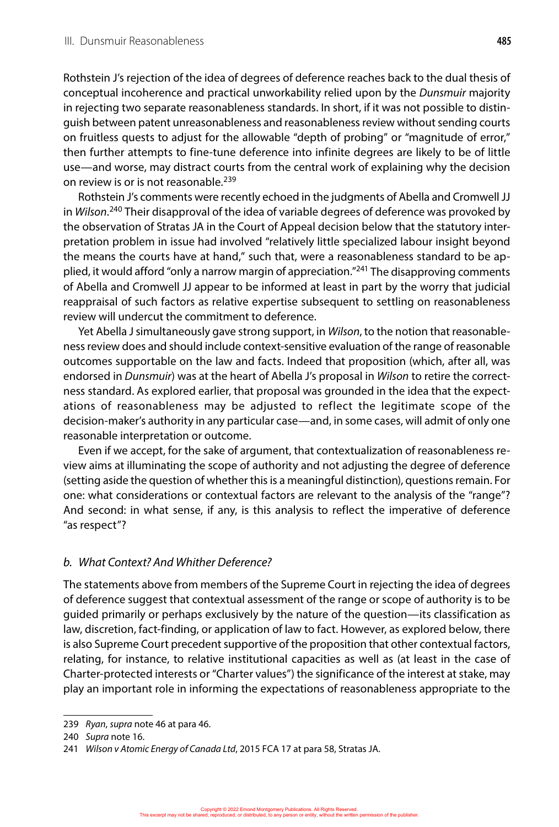Rothstein J's rejection of the idea of degrees of deference reaches back to the dual thesis of conceptual incoherence and practical unworkability relied upon by the *Dunsmuir* majority in rejecting two separate reasonableness standards. In short, if it was not possible to distinguish between patent unreasonableness and reasonableness review without sending courts on fruitless quests to adjust for the allowable "depth of probing" or "magnitude of error," then further attempts to fine-tune deference into infinite degrees are likely to be of little use—and worse, may distract courts from the central work of explaining why the decision on review is or is not reasonable.<sup>239</sup>

Rothstein J's comments were recently echoed in the judgments of Abella and Cromwell JJ in *Wilson*. 240 Their disapproval of the idea of variable degrees of deference was provoked by the observation of Stratas JA in the Court of Appeal decision below that the statutory interpretation problem in issue had involved "relatively little specialized labour insight beyond the means the courts have at hand," such that, were a reasonableness standard to be applied, it would afford "only a narrow margin of appreciation."<sup>241</sup> The disapproving comments of Abella and Cromwell JJ appear to be informed at least in part by the worry that judicial reappraisal of such factors as relative expertise subsequent to settling on reasonableness review will undercut the commitment to deference.

Yet Abella J simultaneously gave strong support, in *Wilson*, to the notion that reasonableness review does and should include context-sensitive evaluation of the range of reasonable outcomes supportable on the law and facts. Indeed that proposition (which, after all, was endorsed in *Dunsmuir*) was at the heart of Abella J's proposal in *Wilson* to retire the correctness standard. As explored earlier, that proposal was grounded in the idea that the expectations of reasonableness may be adjusted to reflect the legitimate scope of the decision-maker's authority in any particular case—and, in some cases, will admit of only one reasonable interpretation or outcome.

Even if we accept, for the sake of argument, that contextualization of reasonableness review aims at illuminating the scope of authority and not adjusting the degree of deference (setting aside the question of whether this is a meaningful distinction), questions remain. For one: what considerations or contextual factors are relevant to the analysis of the "range"? And second: in what sense, if any, is this analysis to reflect the imperative of deference "as respect"?

#### *b. What Context? And Whither Deference?*

The statements above from members of the Supreme Court in rejecting the idea of degrees of deference suggest that contextual assessment of the range or scope of authority is to be guided primarily or perhaps exclusively by the nature of the question—its classification as law, discretion, fact-finding, or application of law to fact. However, as explored below, there is also Supreme Court precedent supportive of the proposition that other contextual factors, relating, for instance, to relative institutional capacities as well as (at least in the case of Charter-protected interests or "Charter values") the significance of the interest at stake, may play an important role in informing the expectations of reasonableness appropriate to the

<sup>239</sup> *Ryan*, *supra* note 46 at para 46.

<sup>240</sup> *Supra* note 16.

<sup>241</sup> *Wilson v Atomic Energy of Canada Ltd*, 2015 FCA 17 at para 58, Stratas JA.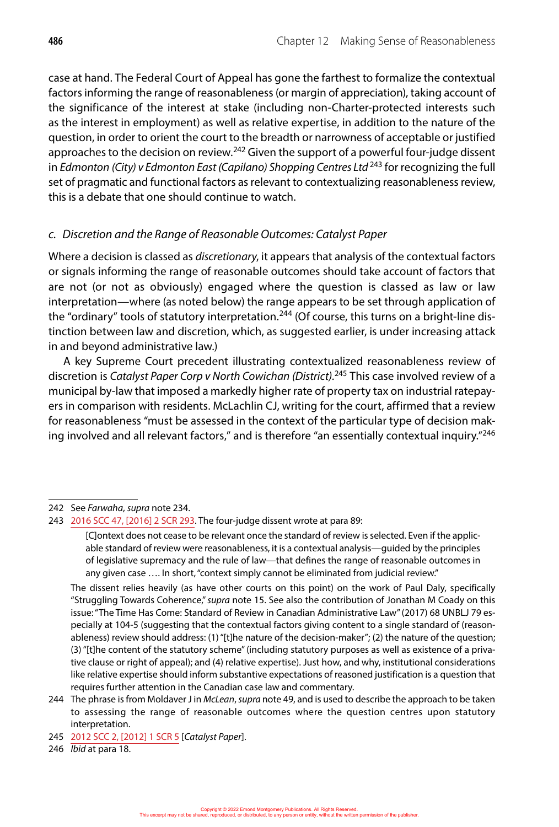case at hand. The Federal Court of Appeal has gone the farthest to formalize the contextual factors informing the range of reasonableness (or margin of appreciation), taking account of the significance of the interest at stake (including non-Charter-protected interests such as the interest in employment) as well as relative expertise, in addition to the nature of the question, in order to orient the court to the breadth or narrowness of acceptable or justified approaches to the decision on review.<sup>242</sup> Given the support of a powerful four-judge dissent in *Edmonton (City) v Edmonton East (Capilano) Shopping Centres Ltd* 243 for recognizing the full set of pragmatic and functional factors as relevant to contextualizing reasonableness review, this is a debate that one should continue to watch.

#### *c. Discretion and the Range of Reasonable Outcomes: Catalyst Paper*

Where a decision is classed as *discretionary*, it appears that analysis of the contextual factors or signals informing the range of reasonable outcomes should take account of factors that are not (or not as obviously) engaged where the question is classed as law or law interpretation—where (as noted below) the range appears to be set through application of the "ordinary" tools of statutory interpretation.<sup>244</sup> (Of course, this turns on a bright-line distinction between law and discretion, which, as suggested earlier, is under increasing attack in and beyond administrative law.)

A key Supreme Court precedent illustrating contextualized reasonableness review of discretion is *Catalyst Paper Corp v North Cowichan (District)*. 245 This case involved review of a municipal by-law that imposed a markedly higher rate of property tax on industrial ratepayers in comparison with residents. McLachlin CJ, writing for the court, affirmed that a review for reasonableness "must be assessed in the context of the particular type of decision making involved and all relevant factors," and is therefore "an essentially contextual inquiry."<sup>246</sup>

 The dissent relies heavily (as have other courts on this point) on the work of Paul Daly, specifically "Struggling Towards Coherence," *supra* note 15. See also the contribution of Jonathan M Coady on this issue: "The Time Has Come: Standard of Review in Canadian Administrative Law" (2017) 68 UNBLJ 79 especially at 104-5 (suggesting that the contextual factors giving content to a single standard of (reasonableness) review should address: (1) "[t]he nature of the decision-maker"; (2) the nature of the question; (3) "[t]he content of the statutory scheme" (including statutory purposes as well as existence of a privative clause or right of appeal); and (4) relative expertise). Just how, and why, institutional considerations like relative expertise should inform substantive expectations of reasoned justification is a question that requires further attention in the Canadian case law and commentary.

<sup>242</sup> See *Farwaha*, *supra* note 234.

<sup>243</sup> [2016 SCC 47, \[2016\] 2 SCR 293.](http://canlii.ca/t/gvjqr) The four-judge dissent wrote at para 89:

<sup>[</sup>C]ontext does not cease to be relevant once the standard of review is selected. Even if the applicable standard of review were reasonableness, it is a contextual analysis—guided by the principles of legislative supremacy and the rule of law—that defines the range of reasonable outcomes in any given case …. In short, "context simply cannot be eliminated from judicial review."

<sup>244</sup> The phrase is from Moldaver J in *McLean*, *supra* note 49, and is used to describe the approach to be taken to assessing the range of reasonable outcomes where the question centres upon statutory interpretation.

<sup>245</sup> [2012 SCC 2, \[2012\] 1 SCR 5](https://www.canlii.org/en/ca/scc/doc/2012/2012scc2/2012scc2.html?autocompleteStr=Catalyst Paper &autocompletePos=1) [*Catalyst Paper*].

<sup>246</sup> *Ibid* at para 18.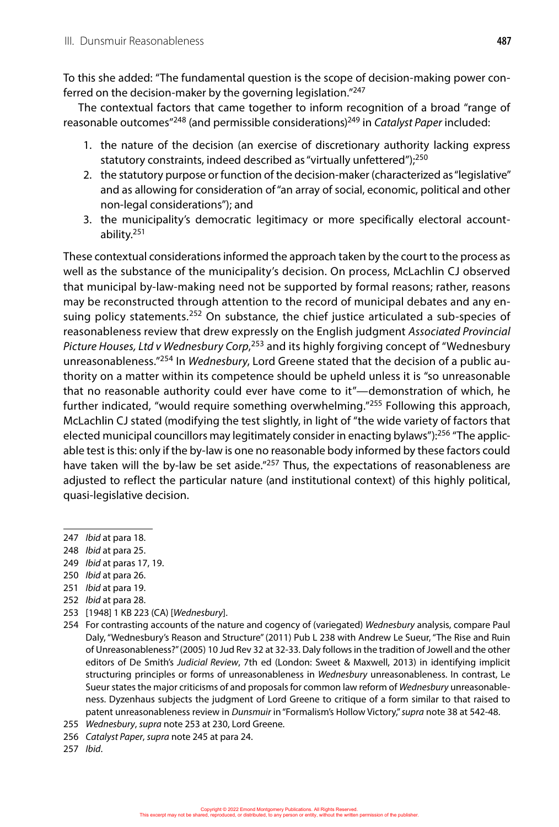To this she added: "The fundamental question is the scope of decision-making power conferred on the decision-maker by the governing legislation."<sup>247</sup>

The contextual factors that came together to inform recognition of a broad "range of reasonable outcomes"248 (and permissible considerations)249 in *Catalyst Paper* included:

- 1. the nature of the decision (an exercise of discretionary authority lacking express statutory constraints, indeed described as "virtually unfettered");<sup>250</sup>
- 2. the statutory purpose or function of the decision-maker (characterized as "legislative" and as allowing for consideration of "an array of social, economic, political and other non-legal considerations"); and
- 3. the municipality's democratic legitimacy or more specifically electoral accountability. 251

These contextual considerations informed the approach taken by the court to the process as well as the substance of the municipality's decision. On process, McLachlin CJ observed that municipal by-law-making need not be supported by formal reasons; rather, reasons may be reconstructed through attention to the record of municipal debates and any ensuing policy statements.<sup>252</sup> On substance, the chief justice articulated a sub-species of reasonableness review that drew expressly on the English judgment *Associated Provincial Picture Houses, Ltd v Wednesbury Corp*, 253 and its highly forgiving concept of "Wednesbury unreasonableness."254 In *Wednesbury*, Lord Greene stated that the decision of a public authority on a matter within its competence should be upheld unless it is "so unreasonable that no reasonable authority could ever have come to it"—demonstration of which, he further indicated, "would require something overwhelming."255 Following this approach, McLachlin CJ stated (modifying the test slightly, in light of "the wide variety of factors that elected municipal councillors may legitimately consider in enacting bylaws"):<sup>256</sup> "The applicable test is this: only if the by-law is one no reasonable body informed by these factors could have taken will the by-law be set aside."<sup>257</sup> Thus, the expectations of reasonableness are adjusted to reflect the particular nature (and institutional context) of this highly political, quasi-legislative decision.

249 *Ibid* at paras 17, 19.

- 251 *Ibid* at para 19.
- 252 *Ibid* at para 28.
- 253 [1948] 1 KB 223 (CA) [*Wednesbury*].
- 254 For contrasting accounts of the nature and cogency of (variegated) *Wednesbury* analysis, compare Paul Daly, "Wednesbury's Reason and Structure" (2011) Pub L 238 with Andrew Le Sueur, "The Rise and Ruin of Unreasonableness?" (2005) 10 Jud Rev 32 at 32-33. Daly follows in the tradition of Jowell and the other editors of De Smith's *Judicial Review*, 7th ed (London: Sweet & Maxwell, 2013) in identifying implicit structuring principles or forms of unreasonableness in *Wednesbury* unreasonableness. In contrast, Le Sueur states the major criticisms of and proposals for common law reform of *Wednesbury* unreasonableness. Dyzenhaus subjects the judgment of Lord Greene to critique of a form similar to that raised to patent unreasonableness review in *Dunsmuir* in "Formalism's Hollow Victory," *supra* note 38 at 542-48.
- 255 *Wednesbury*, *supra* note 253 at 230, Lord Greene.

<sup>247</sup> *Ibid* at para 18.

<sup>248</sup> *Ibid* at para 25.

<sup>250</sup> *Ibid* at para 26.

<sup>256</sup> *Catalyst Paper*, *supra* note 245 at para 24.

<sup>257</sup> *Ibid*.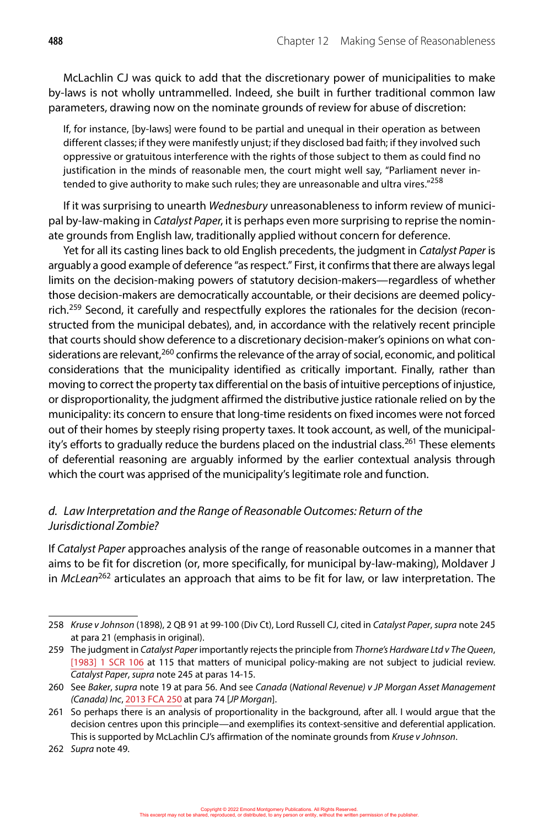McLachlin CJ was quick to add that the discretionary power of municipalities to make by-laws is not wholly untrammelled. Indeed, she built in further traditional common law parameters, drawing now on the nominate grounds of review for abuse of discretion:

If, for instance, [by-laws] were found to be partial and unequal in their operation as between different classes; if they were manifestly unjust; if they disclosed bad faith; if they involved such oppressive or gratuitous interference with the rights of those subject to them as could find no justification in the minds of reasonable men, the court might well say, "Parliament never intended to give authority to make such rules; they are unreasonable and ultra vires."<sup>258</sup>

If it was surprising to unearth *Wednesbury* unreasonableness to inform review of municipal by-law-making in *Catalyst Paper*, it is perhaps even more surprising to reprise the nominate grounds from English law, traditionally applied without concern for deference.

Yet for all its casting lines back to old English precedents, the judgment in *Catalyst Paper* is arguably a good example of deference "as respect." First, it confirms that there are always legal limits on the decision-making powers of statutory decision-makers—regardless of whether those decision-makers are democratically accountable, or their decisions are deemed policyrich.<sup>259</sup> Second, it carefully and respectfully explores the rationales for the decision (reconstructed from the municipal debates), and, in accordance with the relatively recent principle that courts should show deference to a discretionary decision-maker's opinions on what considerations are relevant, $2^{60}$  confirms the relevance of the array of social, economic, and political considerations that the municipality identified as critically important. Finally, rather than moving to correct the property tax differential on the basis of intuitive perceptions of injustice, or disproportionality, the judgment affirmed the distributive justice rationale relied on by the municipality: its concern to ensure that long-time residents on fixed incomes were not forced out of their homes by steeply rising property taxes. It took account, as well, of the municipality's efforts to gradually reduce the burdens placed on the industrial class.<sup>261</sup> These elements of deferential reasoning are arguably informed by the earlier contextual analysis through which the court was apprised of the municipality's legitimate role and function.

## *d. Law Interpretation and the Range of Reasonable Outcomes: Return of the Jurisdictional Zombie?*

If *Catalyst Paper* approaches analysis of the range of reasonable outcomes in a manner that aims to be fit for discretion (or, more specifically, for municipal by-law-making), Moldaver J in *McLean*262 articulates an approach that aims to be fit for law, or law interpretation. The

<sup>258</sup> *Kruse v Johnson* (1898), 2 QB 91 at 99-100 (Div Ct), Lord Russell CJ, cited in *Catalyst Paper*, *supra* note 245 at para 21 (emphasis in original).

<sup>259</sup> The judgment in *Catalyst Paper* importantly rejects the principle from *Thorne's Hardware Ltd v The Queen*, [\[1983\] 1 SCR 106](https://www.canlii.org/en/ca/scc/doc/1983/1983canlii20/1983canlii20.html?autocompleteStr=Thorne%27s Hardware Ltd v The Queen %5B&autocompletePos=1) at 115 that matters of municipal policy-making are not subject to judicial review. *Catalyst Paper*, *supra* note 245 at paras 14-15.

<sup>260</sup> See *Baker*, *supra* note 19 at para 56. And see *Canada* (*National Revenue) v JP Morgan Asset Management (Canada) Inc*, [2013 FCA 250](https://www.canlii.org/en/ca/fca/doc/2013/2013fca250/2013fca250.html?autocompleteStr=JP Morgan Asset Management&autocompletePos=1) at para 74 [*JP Morgan*].

<sup>261</sup> So perhaps there is an analysis of proportionality in the background, after all. I would argue that the decision centres upon this principle—and exemplifies its context-sensitive and deferential application. This is supported by McLachlin CJ's affirmation of the nominate grounds from *Kruse v Johnson*.

<sup>262</sup> *Supra* note 49.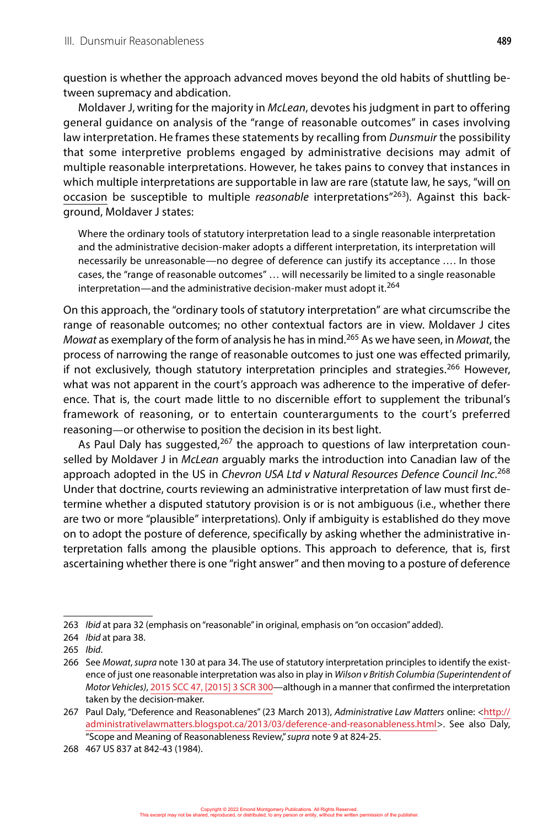question is whether the approach advanced moves beyond the old habits of shuttling between supremacy and abdication.

Moldaver J, writing for the majority in *McLean*, devotes his judgment in part to offering general guidance on analysis of the "range of reasonable outcomes" in cases involving law interpretation. He frames these statements by recalling from *Dunsmuir* the possibility that some interpretive problems engaged by administrative decisions may admit of multiple reasonable interpretations. However, he takes pains to convey that instances in which multiple interpretations are supportable in law are rare (statute law, he says, "will on occasion be susceptible to multiple *reasonable* interpretations"263). Against this background, Moldaver J states:

Where the ordinary tools of statutory interpretation lead to a single reasonable interpretation and the administrative decision-maker adopts a different interpretation, its interpretation will necessarily be unreasonable—no degree of deference can justify its acceptance . . . . In those cases, the "range of reasonable outcomes" … will necessarily be limited to a single reasonable interpretation—and the administrative decision-maker must adopt it.<sup>264</sup>

On this approach, the "ordinary tools of statutory interpretation" are what circumscribe the range of reasonable outcomes; no other contextual factors are in view. Moldaver J cites *Mowat* as exemplary of the form of analysis he has in mind.265 As we have seen, in *Mowat*, the process of narrowing the range of reasonable outcomes to just one was effected primarily, if not exclusively, though statutory interpretation principles and strategies.<sup>266</sup> However, what was not apparent in the court's approach was adherence to the imperative of deference. That is, the court made little to no discernible effort to supplement the tribunal's framework of reasoning, or to entertain counterarguments to the court's preferred reasoning—or otherwise to position the decision in its best light.

As Paul Daly has suggested, $267$  the approach to questions of law interpretation counselled by Moldaver J in *McLean* arguably marks the introduction into Canadian law of the approach adopted in the US in *Chevron USA Ltd v Natural Resources Defence Council Inc*. 268 Under that doctrine, courts reviewing an administrative interpretation of law must first determine whether a disputed statutory provision is or is not ambiguous (i.e., whether there are two or more "plausible" interpretations). Only if ambiguity is established do they move on to adopt the posture of deference, specifically by asking whether the administrative interpretation falls among the plausible options. This approach to deference, that is, first ascertaining whether there is one "right answer" and then moving to a posture of deference

<sup>263</sup> *Ibid* at para 32 (emphasis on "reasonable" in original, emphasis on "on occasion" added).

<sup>264</sup> *Ibid* at para 38.

<sup>265</sup> *Ibid*.

<sup>266</sup> See *Mowat*, *supra* note 130 at para 34. The use of statutory interpretation principles to identify the existence of just one reasonable interpretation was also in play in *Wilson v British Columbia (Superintendent of Motor Vehicles)*, [2015 SCC 47, \[2015\] 3 SCR 300—](https://www.canlii.org/en/ca/scc/doc/2015/2015scc47/2015scc47.html?autocompleteStr=2015 SCC 47 &autocompletePos=1)although in a manner that confirmed the interpretation taken by the decision-maker.

<sup>267</sup> Paul Daly, "Deference and Reasonablenes" (23 March 2013), *Administrative Law Matters* online: <[http://](http://administrativelawmatters.blogspot.ca/2013/03/deference-and-reasonableness.html) [administrativelawmatters.blogspot.ca/2013/03/deference-and-reasonableness.html>](http://administrativelawmatters.blogspot.ca/2013/03/deference-and-reasonableness.html). See also Daly, "Scope and Meaning of Reasonableness Review," *supra* note 9 at 824-25.

<sup>268</sup> 467 US 837 at 842-43 (1984).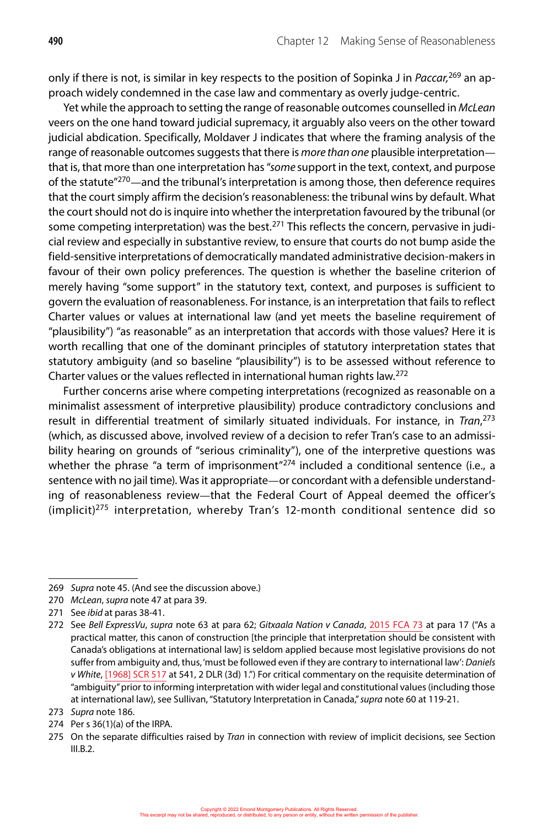only if there is not, is similar in key respects to the position of Sopinka J in *Paccar,*269 an approach widely condemned in the case law and commentary as overly judge-centric.

Yet while the approach to setting the range of reasonable outcomes counselled in *McLean* veers on the one hand toward judicial supremacy, it arguably also veers on the other toward judicial abdication. Specifically, Moldaver J indicates that where the framing analysis of the range of reasonable outcomes suggests that there is *more than one* plausible interpretation that is, that more than one interpretation has "*some* support in the text, context, and purpose of the statute"<sup>270</sup>—and the tribunal's interpretation is among those, then deference requires that the court simply affirm the decision's reasonableness: the tribunal wins by default. What the court should not do is inquire into whether the interpretation favoured by the tribunal (or some competing interpretation) was the best.<sup>271</sup> This reflects the concern, pervasive in judicial review and especially in substantive review, to ensure that courts do not bump aside the field-sensitive interpretations of democratically mandated administrative decision-makers in favour of their own policy preferences. The question is whether the baseline criterion of merely having "some support" in the statutory text, context, and purposes is sufficient to govern the evaluation of reasonableness. For instance, is an interpretation that fails to reflect Charter values or values at international law (and yet meets the baseline requirement of "plausibility") "as reasonable" as an interpretation that accords with those values? Here it is worth recalling that one of the dominant principles of statutory interpretation states that statutory ambiguity (and so baseline "plausibility") is to be assessed without reference to Charter values or the values reflected in international human rights law.272

Further concerns arise where competing interpretations (recognized as reasonable on a minimalist assessment of interpretive plausibility) produce contradictory conclusions and result in differential treatment of similarly situated individuals. For instance, in *Tran*, 273 (which, as discussed above, involved review of a decision to refer Tran's case to an admissibility hearing on grounds of "serious criminality"), one of the interpretive questions was whether the phrase "a term of imprisonment" $274$  included a conditional sentence (i.e., a sentence with no jail time). Was it appropriate—or concordant with a defensible understanding of reasonableness review—that the Federal Court of Appeal deemed the officer's (implicit)275 interpretation, whereby Tran's 12-month conditional sentence did so

<sup>269</sup> *Supra* note 45. (And see the discussion above.)

<sup>270</sup> *McLean*, *supra* note 47 at para 39.

<sup>271</sup> See *ibid* at paras 38-41.

<sup>272</sup> See *Bell ExpressVu*, *supra* note 63 at para 62; *Gitxaala Nation v Canada*, [2015 FCA 73](https://www.canlii.org/en/ca/fca/doc/2015/2015fca73/2015fca73.html?autocompleteStr=Gitxaala Nation v Canada%2C 2015 FCA 73 &autocompletePos=1) at para 17 ("As a practical matter, this canon of construction [the principle that interpretation should be consistent with Canada's obligations at international law] is seldom applied because most legislative provisions do not suffer from ambiguity and, thus, 'must be followed even if they are contrary to international law': *Daniels v White*, [\[1968\] SCR 517](https://www.canlii.org/en/ca/scc/doc/1968/1968canlii67/1968canlii67.html?autocompleteStr=%5B1968%5D SCR 51&autocompletePos=1) at 541, 2 DLR (3d) 1.") For critical commentary on the requisite determination of "ambiguity" prior to informing interpretation with wider legal and constitutional values (including those at international law), see Sullivan, "Statutory Interpretation in Canada," *supra* note 60 at 119-21.

<sup>273</sup> *Supra* note 186.

<sup>274</sup> Per s 36(1)(a) of the IRPA.

<sup>275</sup> On the separate difficulties raised by *Tran* in connection with review of implicit decisions, see Section III.B.2.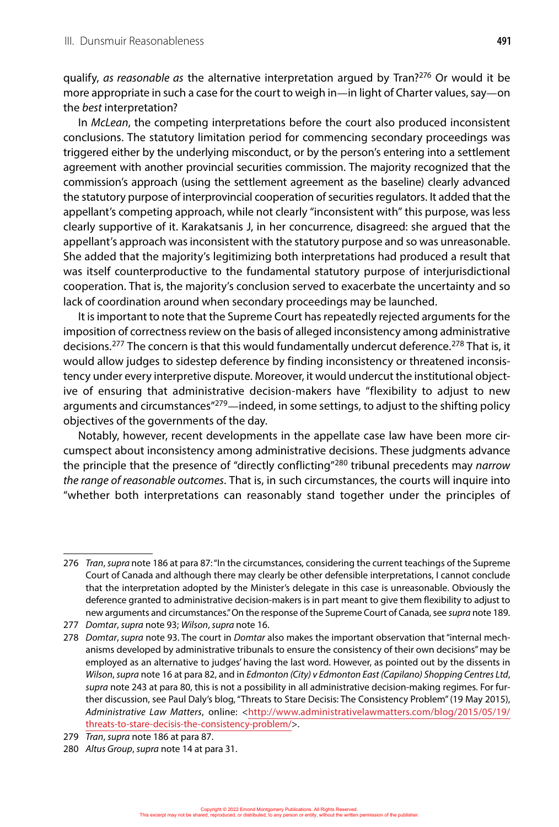qualify, *as reasonable as* the alternative interpretation argued by Tran?276 Or would it be more appropriate in such a case for the court to weigh in—in light of Charter values, say—on the *best* interpretation?

In *McLean*, the competing interpretations before the court also produced inconsistent conclusions. The statutory limitation period for commencing secondary proceedings was triggered either by the underlying misconduct, or by the person's entering into a settlement agreement with another provincial securities commission. The majority recognized that the commission's approach (using the settlement agreement as the baseline) clearly advanced the statutory purpose of interprovincial cooperation of securities regulators. It added that the appellant's competing approach, while not clearly "inconsistent with" this purpose, was less clearly supportive of it. Karakatsanis J, in her concurrence, disagreed: she argued that the appellant's approach was inconsistent with the statutory purpose and so was unreasonable. She added that the majority's legitimizing both interpretations had produced a result that was itself counterproductive to the fundamental statutory purpose of interjurisdictional cooperation. That is, the majority's conclusion served to exacerbate the uncertainty and so lack of coordination around when secondary proceedings may be launched.

It is important to note that the Supreme Court has repeatedly rejected arguments for the imposition of correctness review on the basis of alleged inconsistency among administrative decisions.<sup>277</sup> The concern is that this would fundamentally undercut deference.<sup>278</sup> That is, it would allow judges to sidestep deference by finding inconsistency or threatened inconsistency under every interpretive dispute. Moreover, it would undercut the institutional objective of ensuring that administrative decision-makers have "flexibility to adjust to new arguments and circumstances<sup>"279</sup>—indeed, in some settings, to adjust to the shifting policy objectives of the governments of the day.

Notably, however, recent developments in the appellate case law have been more circumspect about inconsistency among administrative decisions. These judgments advance the principle that the presence of "directly conflicting"280 tribunal precedents may *narrow the range of reasonable outcomes*. That is, in such circumstances, the courts will inquire into "whether both interpretations can reasonably stand together under the principles of

<sup>276</sup> *Tran*, *supra* note 186 at para 87: "In the circumstances, considering the current teachings of the Supreme Court of Canada and although there may clearly be other defensible interpretations, I cannot conclude that the interpretation adopted by the Minister's delegate in this case is unreasonable. Obviously the deference granted to administrative decision-makers is in part meant to give them flexibility to adjust to new arguments and circumstances." On the response of the Supreme Court of Canada, see *supra* note 189.

<sup>277</sup> *Domtar*, *supra* note 93; *Wilson*, *supra* note 16.

<sup>278</sup> *Domtar*, *supra* note 93. The court in *Domtar* also makes the important observation that "internal mechanisms developed by administrative tribunals to ensure the consistency of their own decisions" may be employed as an alternative to judges' having the last word. However, as pointed out by the dissents in *Wilson*, *supra* note 16 at para 82, and in *Edmonton (City) v Edmonton East (Capilano) Shopping Centres Ltd*, *supra* note 243 at para 80, this is not a possibility in all administrative decision-making regimes. For further discussion, see Paul Daly's blog, "Threats to Stare Decisis: The Consistency Problem" (19 May 2015), Administrative Law Matters, online: <[http://www.administrativelawmatters.com/blog/2015/05/19/](http://www.administrativelawmatters.com/blog/2015/05/19/threats-to-stare-decisis-the-consistency-problem/) [threats-to-stare-decisis-the-consistency-problem/>](http://www.administrativelawmatters.com/blog/2015/05/19/threats-to-stare-decisis-the-consistency-problem/).

<sup>279</sup> *Tran*, *supra* note 186 at para 87.

<sup>280</sup> *Altus Group*, *supra* note 14 at para 31.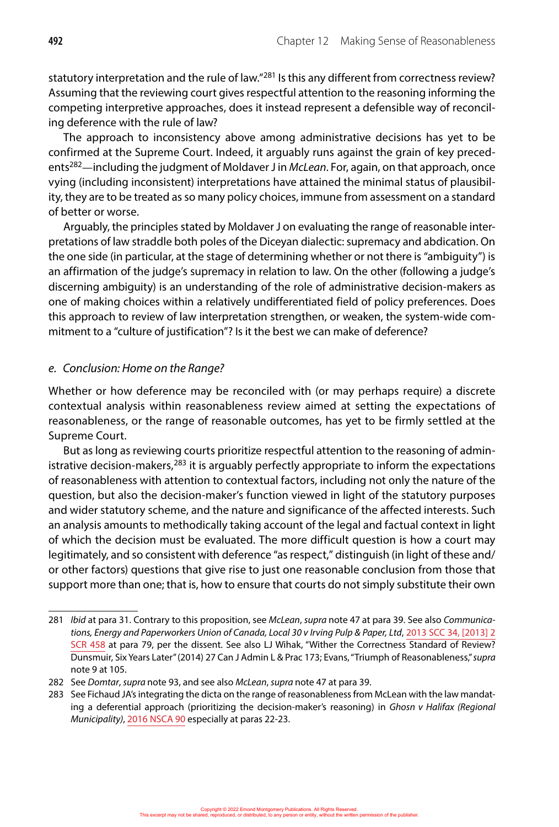statutory interpretation and the rule of law."<sup>281</sup> Is this any different from correctness review? Assuming that the reviewing court gives respectful attention to the reasoning informing the competing interpretive approaches, does it instead represent a defensible way of reconciling deference with the rule of law?

The approach to inconsistency above among administrative decisions has yet to be confirmed at the Supreme Court. Indeed, it arguably runs against the grain of key precedents282—including the judgment of Moldaver J in *McLean*. For, again, on that approach, once vying (including inconsistent) interpretations have attained the minimal status of plausibility, they are to be treated as so many policy choices, immune from assessment on a standard of better or worse.

Arguably, the principles stated by Moldaver J on evaluating the range of reasonable interpretations of law straddle both poles of the Diceyan dialectic: supremacy and abdication. On the one side (in particular, at the stage of determining whether or not there is "ambiguity") is an affirmation of the judge's supremacy in relation to law. On the other (following a judge's discerning ambiguity) is an understanding of the role of administrative decision-makers as one of making choices within a relatively undifferentiated field of policy preferences. Does this approach to review of law interpretation strengthen, or weaken, the system-wide commitment to a "culture of justification"? Is it the best we can make of deference?

#### *e. Conclusion: Home on the Range?*

Whether or how deference may be reconciled with (or may perhaps require) a discrete contextual analysis within reasonableness review aimed at setting the expectations of reasonableness, or the range of reasonable outcomes, has yet to be firmly settled at the Supreme Court.

But as long as reviewing courts prioritize respectful attention to the reasoning of administrative decision-makers,<sup>283</sup> it is arguably perfectly appropriate to inform the expectations of reasonableness with attention to contextual factors, including not only the nature of the question, but also the decision-maker's function viewed in light of the statutory purposes and wider statutory scheme, and the nature and significance of the affected interests. Such an analysis amounts to methodically taking account of the legal and factual context in light of which the decision must be evaluated. The more difficult question is how a court may legitimately, and so consistent with deference "as respect," distinguish (in light of these and/ or other factors) questions that give rise to just one reasonable conclusion from those that support more than one; that is, how to ensure that courts do not simply substitute their own

<sup>281</sup> *Ibid* at para 31. Contrary to this proposition, see *McLean*, *supra* note 47 at para 39. See also *Communications, Energy and Paperworkers Union of Canada, Local 30 v Irving Pulp & Paper, Ltd*, [2013 SCC 34, \[2013\] 2](https://www.canlii.org/en/ca/scc/doc/2013/2013scc34/2013scc34.html?autocompleteStr=Irving Pulp %26 Paper Ltd v &autocompletePos=1)  [SCR 458](https://www.canlii.org/en/ca/scc/doc/2013/2013scc34/2013scc34.html?autocompleteStr=Irving Pulp %26 Paper Ltd v &autocompletePos=1) at para 79, per the dissent. See also LJ Wihak, "Wither the Correctness Standard of Review? Dunsmuir, Six Years Later" (2014) 27 Can J Admin L & Prac 173; Evans, "Triumph of Reasonableness," *supra* note 9 at 105.

<sup>282</sup> See *Domtar*, *supra* note 93, and see also *McLean*, *supra* note 47 at para 39.

<sup>283</sup> See Fichaud JA's integrating the dicta on the range of reasonableness from McLean with the law mandating a deferential approach (prioritizing the decision-maker's reasoning) in *Ghosn v Halifax (Regional Municipality)*, [2016 NSCA 90](https://www.canlii.org/en/ns/nsca/doc/2016/2016nsca90/2016nsca90.html?autocompleteStr=Ghosn v Halifax (Regional Municipality&autocompletePos=1) especially at paras 22-23.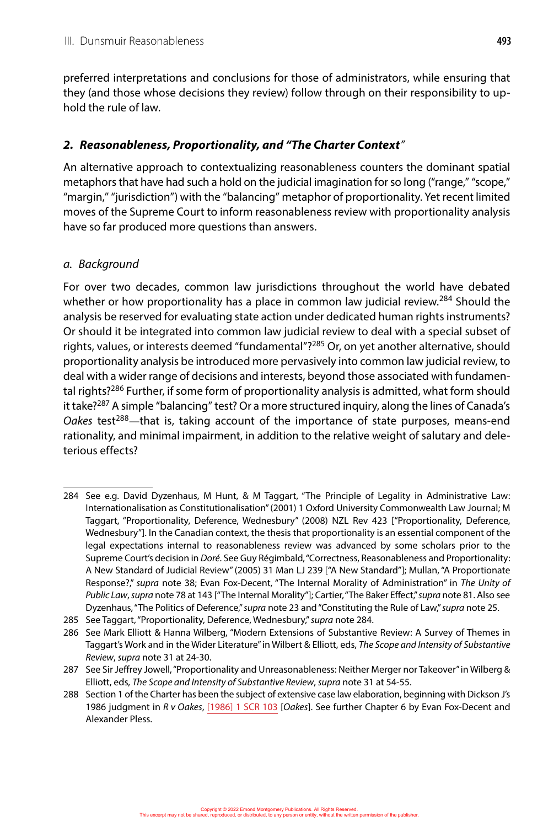preferred interpretations and conclusions for those of administrators, while ensuring that they (and those whose decisions they review) follow through on their responsibility to uphold the rule of law.

# *2. Reasonableness, Proportionality, and "The Charter Context"*

An alternative approach to contextualizing reasonableness counters the dominant spatial metaphors that have had such a hold on the judicial imagination for so long ("range," "scope," "margin," "jurisdiction") with the "balancing" metaphor of proportionality. Yet recent limited moves of the Supreme Court to inform reasonableness review with proportionality analysis have so far produced more questions than answers.

## *a. Background*

For over two decades, common law jurisdictions throughout the world have debated whether or how proportionality has a place in common law judicial review.<sup>284</sup> Should the analysis be reserved for evaluating state action under dedicated human rights instruments? Or should it be integrated into common law judicial review to deal with a special subset of rights, values, or interests deemed "fundamental"?<sup>285</sup> Or, on yet another alternative, should proportionality analysis be introduced more pervasively into common law judicial review, to deal with a wider range of decisions and interests, beyond those associated with fundamental rights?<sup>286</sup> Further, if some form of proportionality analysis is admitted, what form should it take?287 A simple "balancing" test? Or a more structured inquiry, along the lines of Canada's *Oakes* test<sup>288</sup>—that is, taking account of the importance of state purposes, means-end rationality, and minimal impairment, in addition to the relative weight of salutary and deleterious effects?

<sup>284</sup> See e.g. David Dyzenhaus, M Hunt, & M Taggart, "The Principle of Legality in Administrative Law: Internationalisation as Constitutionalisation" (2001) 1 Oxford University Commonwealth Law Journal; M Taggart, "Proportionality, Deference, Wednesbury" (2008) NZL Rev 423 ["Proportionality, Deference, Wednesbury"]. In the Canadian context, the thesis that proportionality is an essential component of the legal expectations internal to reasonableness review was advanced by some scholars prior to the Supreme Court's decision in *Doré*. See Guy Régimbald, "Correctness, Reasonableness and Proportionality: A New Standard of Judicial Review" (2005) 31 Man LJ 239 ["A New Standard"]; Mullan, "A Proportionate Response?," *supra* note 38; Evan Fox-Decent, "The Internal Morality of Administration" in *The Unity of Public Law*, *supra* note 78 at 143 ["The Internal Morality"]; Cartier, "The Baker Effect," *supra* note 81. Also see Dyzenhaus, "The Politics of Deference," *supra* note 23 and "Constituting the Rule of Law," *supra* note 25.

<sup>285</sup> See Taggart, "Proportionality, Deference, Wednesbury," *supra* note 284.

<sup>286</sup> See Mark Elliott & Hanna Wilberg, "Modern Extensions of Substantive Review: A Survey of Themes in Taggart's Work and in the Wider Literature" in Wilbert & Elliott, eds, *The Scope and Intensity of Substantive Review*, *supra* note 31 at 24-30.

<sup>287</sup> See Sir Jeffrey Jowell, "Proportionality and Unreasonableness: Neither Merger nor Takeover" in Wilberg & Elliott, eds, *The Scope and Intensity of Substantive Review*, *supra* note 31 at 54-55.

<sup>288</sup> Section 1 of the Charter has been the subject of extensive case law elaboration, beginning with Dickson J's 1986 judgment in *R v Oakes*, [\[1986\] 1 SCR 103](https://www.canlii.org/en/ca/scc/doc/1986/1986canlii46/1986canlii46.html?autocompleteStr=R v Oakes%2C &autocompletePos=1) [*Oakes*]. See further Chapter 6 by Evan Fox-Decent and Alexander Pless.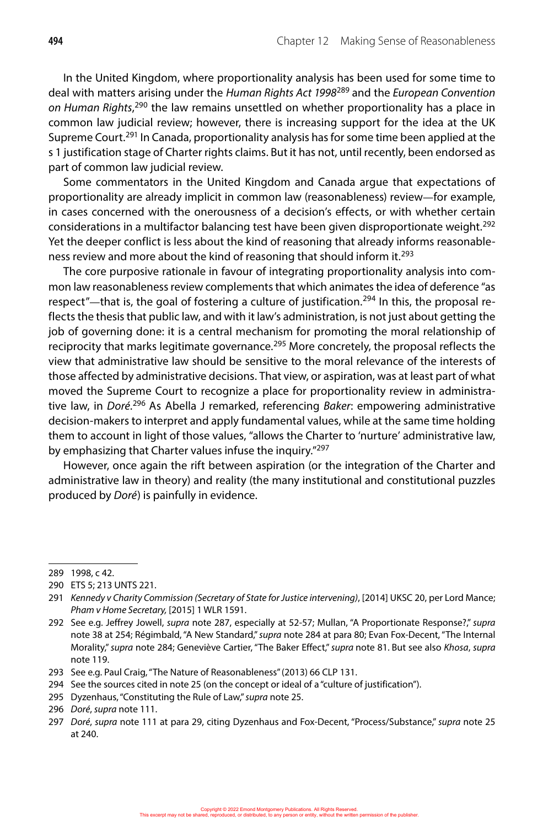In the United Kingdom, where proportionality analysis has been used for some time to deal with matters arising under the *Human Rights Act 1998*<sup>289</sup> and the *European Convention*  on Human Rights,<sup>290</sup> the law remains unsettled on whether proportionality has a place in common law judicial review; however, there is increasing support for the idea at the UK Supreme Court.<sup>291</sup> In Canada, proportionality analysis has for some time been applied at the s 1 justification stage of Charter rights claims. But it has not, until recently, been endorsed as part of common law judicial review.

Some commentators in the United Kingdom and Canada argue that expectations of proportionality are already implicit in common law (reasonableness) review—for example, in cases concerned with the onerousness of a decision's effects, or with whether certain considerations in a multifactor balancing test have been given disproportionate weight.<sup>292</sup> Yet the deeper conflict is less about the kind of reasoning that already informs reasonableness review and more about the kind of reasoning that should inform it.<sup>293</sup>

The core purposive rationale in favour of integrating proportionality analysis into common law reasonableness review complements that which animates the idea of deference "as respect"—that is, the goal of fostering a culture of justification.<sup>294</sup> In this, the proposal reflects the thesis that public law, and with it law's administration, is not just about getting the job of governing done: it is a central mechanism for promoting the moral relationship of reciprocity that marks legitimate governance.<sup>295</sup> More concretely, the proposal reflects the view that administrative law should be sensitive to the moral relevance of the interests of those affected by administrative decisions. That view, or aspiration, was at least part of what moved the Supreme Court to recognize a place for proportionality review in administrative law, in *Doré*. <sup>296</sup> As Abella J remarked, referencing *Baker*: empowering administrative decision-makers to interpret and apply fundamental values, while at the same time holding them to account in light of those values, "allows the [Charter](https://zoupio.lexum.com/calegis/schedule-b-to-the-canada-act-1982-uk-1982-c-11-en) to 'nurture' administrative law, by emphasizing that [Charter v](https://zoupio.lexum.com/calegis/schedule-b-to-the-canada-act-1982-uk-1982-c-11-en)alues infuse the inquiry."297

However, once again the rift between aspiration (or the integration of the Charter and administrative law in theory) and reality (the many institutional and constitutional puzzles produced by *Doré*) is painfully in evidence.

Copyright © 2022 Emond Montgomery Publications. All Rights Reserved. This excerpt may not be shared, reproduced, or distributed, to any person or entity, without the written permission of the publisher.

<sup>289</sup> 1998, c 42.

<sup>290</sup> ETS 5; 213 UNTS 221.

<sup>291</sup> *Kennedy v Charity Commission (Secretary of State for Justice intervening)*, [2014] UKSC 20, per Lord Mance; *Pham v Home Secretary,* [2015] 1 WLR 1591.

<sup>292</sup> See e.g. Jeffrey Jowell, *supra* note 287, especially at 52-57; Mullan, "A Proportionate Response?," *supra* note 38 at 254; Régimbald, "A New Standard," *supra* note 284 at para 80; Evan Fox-Decent, "The Internal Morality," *supra* note 284; Geneviève Cartier, "The Baker Effect," *supra* note 81. But see also *Khosa*, *supra* note 119.

<sup>293</sup> See e.g. Paul Craig, "The Nature of Reasonableness" (2013) 66 CLP 131.

<sup>294</sup> See the sources cited in note 25 (on the concept or ideal of a "culture of justification").

<sup>295</sup> Dyzenhaus, "Constituting the Rule of Law," *supra* note 25.

<sup>296</sup> *Doré*, *supra* note 111.

<sup>297</sup> *Doré*, *supra* note 111 at para 29, citing Dyzenhaus and Fox-Decent, "Process/Substance," *supra* note 25 at 240.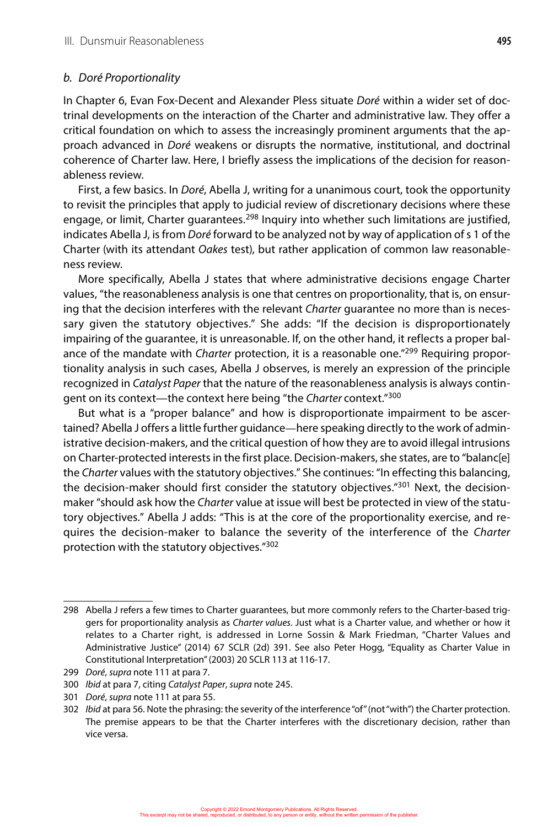#### *b. Doré Proportionality*

In Chapter 6, Evan Fox-Decent and Alexander Pless situate *Doré* within a wider set of doctrinal developments on the interaction of the Charter and administrative law. They offer a critical foundation on which to assess the increasingly prominent arguments that the approach advanced in *Doré* weakens or disrupts the normative, institutional, and doctrinal coherence of Charter law. Here, I briefly assess the implications of the decision for reasonableness review.

First, a few basics. In *Doré*, Abella J, writing for a unanimous court, took the opportunity to revisit the principles that apply to judicial review of discretionary decisions where these engage, or limit, Charter guarantees.<sup>298</sup> Inquiry into whether such limitations are justified, indicates Abella J, is from *Doré* forward to be analyzed not by way of application of s 1 of the Charter (with its attendant *Oakes* test), but rather application of common law reasonableness review.

More specifically, Abella J states that where administrative decisions engage Charter values, "the reasonableness analysis is one that centres on proportionality, that is, on ensuring that the decision interferes with the relevant *Charter* guarantee no more than is necessary given the statutory objectives." She adds: "If the decision is disproportionately impairing of the guarantee, it is unreasonable. If, on the other hand, it reflects a proper balance of the mandate with *Charter* protection, it is a reasonable one."299 Requiring proportionality analysis in such cases, Abella J observes, is merely an expression of the principle recognized in *Catalyst Paper* that the nature of the reasonableness analysis is always contingent on its context—the context here being "the *Charter* context."300

But what is a "proper balance" and how is disproportionate impairment to be ascertained? Abella J offers a little further guidance—here speaking directly to the work of administrative decision-makers, and the critical question of how they are to avoid illegal intrusions on Charter-protected interests in the first place. Decision-makers, she states, are to "balanc[e] the *Charter* values with the statutory objectives." She continues: "In effecting this balancing, the decision-maker should first consider the statutory objectives."<sup>301</sup> Next, the decisionmaker "should ask how the *Charter* value at issue will best be protected in view of the statutory objectives." Abella J adds: "This is at the core of the proportionality exercise, and requires the decision-maker to balance the severity of the interference of the *Charter* protection with the statutory objectives."302

<sup>298</sup> Abella J refers a few times to Charter guarantees, but more commonly refers to the Charter-based triggers for proportionality analysis as *Charter values*. Just what is a Charter value, and whether or how it relates to a Charter right, is addressed in Lorne Sossin & Mark Friedman, "Charter Values and Administrative Justice" (2014) 67 SCLR (2d) 391. See also Peter Hogg, "Equality as Charter Value in Constitutional Interpretation" (2003) 20 SCLR 113 at 116-17.

<sup>299</sup> *Doré*, *supra* note 111 at para 7.

<sup>300</sup> *Ibid* at para 7, citing *Catalyst Paper*, *supra* note 245.

<sup>301</sup> *Doré*, *supra* note 111 at para 55.

<sup>302</sup> *Ibid* at para 56. Note the phrasing: the severity of the interference "of" (not "with") the Charter protection. The premise appears to be that the Charter interferes with the discretionary decision, rather than vice versa.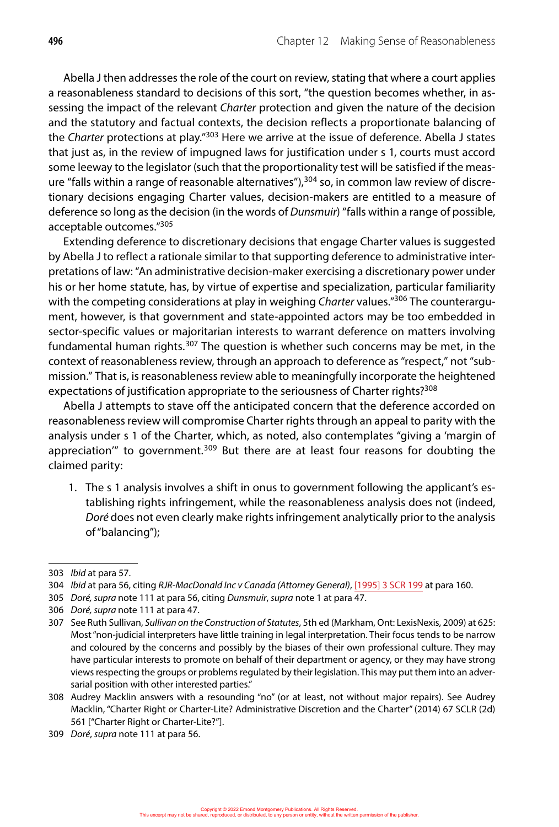Abella J then addresses the role of the court on review, stating that where a court applies a reasonableness standard to decisions of this sort, "the question becomes whether, in assessing the impact of the relevant *Charter* protection and given the nature of the decision and the statutory and factual contexts, the decision reflects a proportionate balancing of the *Charter* protections at play."303 Here we arrive at the issue of deference. Abella J states that just as, in the review of impugned laws for justification under s 1, courts must accord some leeway to the legislator (such that the proportionality test will be satisfied if the measure "falls within a range of reasonable alternatives"),<sup>304</sup> so, in common law review of discretionary decisions engaging Charter values, decision-makers are entitled to a measure of deference so long as the decision (in the words of *Dunsmuir*) "falls within a range of possible, acceptable outcomes."305

Extending deference to discretionary decisions that engage Charter values is suggested by Abella J to reflect a rationale similar to that supporting deference to administrative interpretations of law: "An administrative decision-maker exercising a discretionary power under his or her home statute, has, by virtue of expertise and specialization, particular familiarity with the competing considerations at play in weighing *Charter* values."306 The counterargument, however, is that government and state-appointed actors may be too embedded in sector-specific values or majoritarian interests to warrant deference on matters involving fundamental human rights. $307$  The question is whether such concerns may be met, in the context of reasonableness review, through an approach to deference as "respect," not "submission." That is, is reasonableness review able to meaningfully incorporate the heightened expectations of justification appropriate to the seriousness of Charter rights?<sup>308</sup>

Abella J attempts to stave off the anticipated concern that the deference accorded on reasonableness review will compromise Charter rights through an appeal to parity with the analysis under s 1 of the Charter, which, as noted, also contemplates "giving a 'margin of appreciation'" to government.<sup>309</sup> But there are at least four reasons for doubting the claimed parity:

1. The s 1 analysis involves a shift in onus to government following the applicant's establishing rights infringement, while the reasonableness analysis does not (indeed, *Doré* does not even clearly make rights infringement analytically prior to the analysis of "balancing");

<sup>303</sup> *Ibid* at para 57.

<sup>304</sup> *Ibid* at para 56, citing *RJR-MacDonald Inc v Canada (Attorney General)*, [\[1995\] 3 SCR 199](https://www.canlii.org/en/ca/scc/doc/1995/1995canlii64/1995canlii64.html?autocompleteStr=RJR-MacDonald Inc v Canada (Attorney General)%2C &autocompletePos=2) at para 160.

<sup>305</sup> *Doré, supra* note 111 at para 56, citing *Dunsmuir*, *supra* note 1 at para 47.

<sup>306</sup> *Doré, supra* note 111 at para 47.

<sup>307</sup> See Ruth Sullivan, *Sullivan on the Construction of Statutes*, 5th ed (Markham, Ont: LexisNexis, 2009) at 625: Most "non-judicial interpreters have little training in legal interpretation. Their focus tends to be narrow and coloured by the concerns and possibly by the biases of their own professional culture. They may have particular interests to promote on behalf of their department or agency, or they may have strong views respecting the groups or problems regulated by their legislation. This may put them into an adversarial position with other interested parties."

<sup>308</sup> Audrey Macklin answers with a resounding "no" (or at least, not without major repairs). See Audrey Macklin, "Charter Right or Charter-Lite? Administrative Discretion and the Charter" (2014) 67 SCLR (2d) 561 ["Charter Right or Charter-Lite?"].

<sup>309</sup> *Doré*, *supra* note 111 at para 56.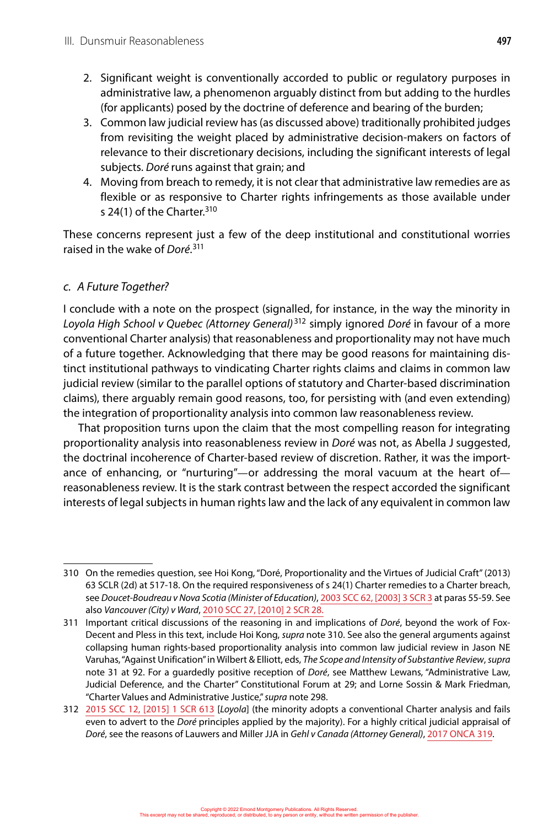- 2. Significant weight is conventionally accorded to public or regulatory purposes in administrative law, a phenomenon arguably distinct from but adding to the hurdles (for applicants) posed by the doctrine of deference and bearing of the burden;
- 3. Common law judicial review has (as discussed above) traditionally prohibited judges from revisiting the weight placed by administrative decision-makers on factors of relevance to their discretionary decisions, including the significant interests of legal subjects. *Doré* runs against that grain; and
- 4. Moving from breach to remedy, it is not clear that administrative law remedies are as flexible or as responsive to Charter rights infringements as those available under s 24(1) of the Charter.<sup>310</sup>

These concerns represent just a few of the deep institutional and constitutional worries raised in the wake of *Doré*. 311

# *c. A Future Together?*

I conclude with a note on the prospect (signalled, for instance, in the way the minority in *Loyola High School v Quebec (Attorney General)*312 simply ignored *Doré* in favour of a more conventional Charter analysis) that reasonableness and proportionality may not have much of a future together. Acknowledging that there may be good reasons for maintaining distinct institutional pathways to vindicating Charter rights claims and claims in common law judicial review (similar to the parallel options of statutory and Charter-based discrimination claims), there arguably remain good reasons, too, for persisting with (and even extending) the integration of proportionality analysis into common law reasonableness review.

That proposition turns upon the claim that the most compelling reason for integrating proportionality analysis into reasonableness review in *Doré* was not, as Abella J suggested, the doctrinal incoherence of Charter*-*based review of discretion. Rather, it was the importance of enhancing, or "nurturing"—or addressing the moral vacuum at the heart of reasonableness review. It is the stark contrast between the respect accorded the significant interests of legal subjects in human rights law and the lack of any equivalent in common law

<sup>310</sup> On the remedies question, see Hoi Kong, "Doré, Proportionality and the Virtues of Judicial Craft" (2013) 63 SCLR (2d) at 517-18. On the required responsiveness of s 24(1) Charter remedies to a Charter breach, see *Doucet-Boudreau v Nova Scotia (Minister of Education)*, [2003 SCC 62, \[2003\] 3 SCR 3](https://www.canlii.org/en/ca/scc/doc/2003/2003scc62/2003scc62.html?autocompleteStr=Doucet-Boudreau v Nova Scotia (Minister of Education)%2C &autocompletePos=1) at paras 55-59. See also *Vancouver (City) v Ward*, [2010 SCC 27, \[2010\] 2 SCR 28.](https://www.canlii.org/en/ca/scc/doc/2010/2010scc27/2010scc27.html?autocompleteStr=Vancouver (City) v Ward%2C 2010 &autocompletePos=1)

<sup>311</sup> Important critical discussions of the reasoning in and implications of *Doré*, beyond the work of Fox-Decent and Pless in this text, include Hoi Kong, *supra* note 310. See also the general arguments against collapsing human rights-based proportionality analysis into common law judicial review in Jason NE Varuhas, "Against Unification" in Wilbert & Elliott, eds, *The Scope and Intensity of Substantive Review*, *supra*  note 31 at 92. For a guardedly positive reception of *Doré*, see Matthew Lewans, "Administrative Law, Judicial Deference, and the Charter" Constitutional Forum at 29; and Lorne Sossin & Mark Friedman, "Charter Values and Administrative Justice," *supra* note 298.

<sup>312</sup> [2015 SCC 12, \[2015\] 1 SCR 613](https://www.canlii.org/en/ca/scc/doc/2015/2015scc12/2015scc12.html?autocompleteStr=2015 SCC 12%2C %5B2015%5D 1 SCR 613 (&autocompletePos=1) [*Loyola*] (the minority adopts a conventional Charter analysis and fails even to advert to the *Doré* principles applied by the majority). For a highly critical judicial appraisal of *Doré*, see the reasons of Lauwers and Miller JJA in *Gehl v Canada (Attorney General)*, [2017 ONCA 319.](https://www.canlii.org/en/on/onca/doc/2017/2017onca319/2017onca319.html?autocompleteStr=Gehl v Canada (Attorney General)%2C 2017 ONCA 319. &autocompletePos=1)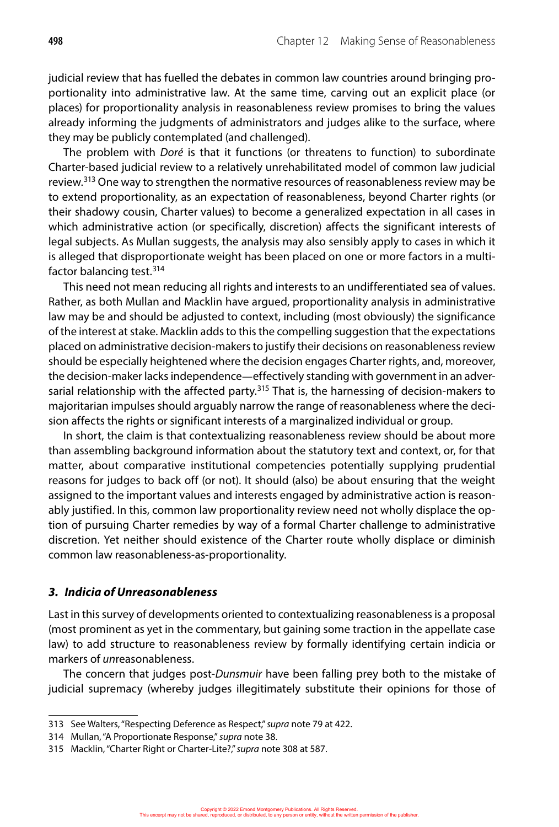judicial review that has fuelled the debates in common law countries around bringing proportionality into administrative law. At the same time, carving out an explicit place (or places) for proportionality analysis in reasonableness review promises to bring the values already informing the judgments of administrators and judges alike to the surface, where they may be publicly contemplated (and challenged).

The problem with *Doré* is that it functions (or threatens to function) to subordinate Charter-based judicial review to a relatively unrehabilitated model of common law judicial review.<sup>313</sup> One way to strengthen the normative resources of reasonableness review may be to extend proportionality, as an expectation of reasonableness, beyond Charter rights (or their shadowy cousin, Charter values) to become a generalized expectation in all cases in which administrative action (or specifically, discretion) affects the significant interests of legal subjects. As Mullan suggests, the analysis may also sensibly apply to cases in which it is alleged that disproportionate weight has been placed on one or more factors in a multifactor balancing test.314

This need not mean reducing all rights and interests to an undifferentiated sea of values. Rather, as both Mullan and Macklin have argued, proportionality analysis in administrative law may be and should be adjusted to context, including (most obviously) the significance of the interest at stake. Macklin adds to this the compelling suggestion that the expectations placed on administrative decision-makers to justify their decisions on reasonableness review should be especially heightened where the decision engages Charter rights, and, moreover, the decision-maker lacks independence—effectively standing with government in an adversarial relationship with the affected party. $315$  That is, the harnessing of decision-makers to majoritarian impulses should arguably narrow the range of reasonableness where the decision affects the rights or significant interests of a marginalized individual or group.

In short, the claim is that contextualizing reasonableness review should be about more than assembling background information about the statutory text and context, or, for that matter, about comparative institutional competencies potentially supplying prudential reasons for judges to back off (or not). It should (also) be about ensuring that the weight assigned to the important values and interests engaged by administrative action is reasonably justified. In this, common law proportionality review need not wholly displace the option of pursuing Charter remedies by way of a formal Charter challenge to administrative discretion. Yet neither should existence of the Charter route wholly displace or diminish common law reasonableness-as-proportionality.

#### *3. Indicia of Unreasonableness*

Last in this survey of developments oriented to contextualizing reasonableness is a proposal (most prominent as yet in the commentary, but gaining some traction in the appellate case law) to add structure to reasonableness review by formally identifying certain indicia or markers of *un*reasonableness.

The concern that judges post-*Dunsmuir* have been falling prey both to the mistake of judicial supremacy (whereby judges illegitimately substitute their opinions for those of

<sup>313</sup> See Walters, "Respecting Deference as Respect," *supra* note 79 at 422.

<sup>314</sup> Mullan, "A Proportionate Response," *supra* note 38.

<sup>315</sup> Macklin, "Charter Right or Charter-Lite?," *supra* note 308 at 587.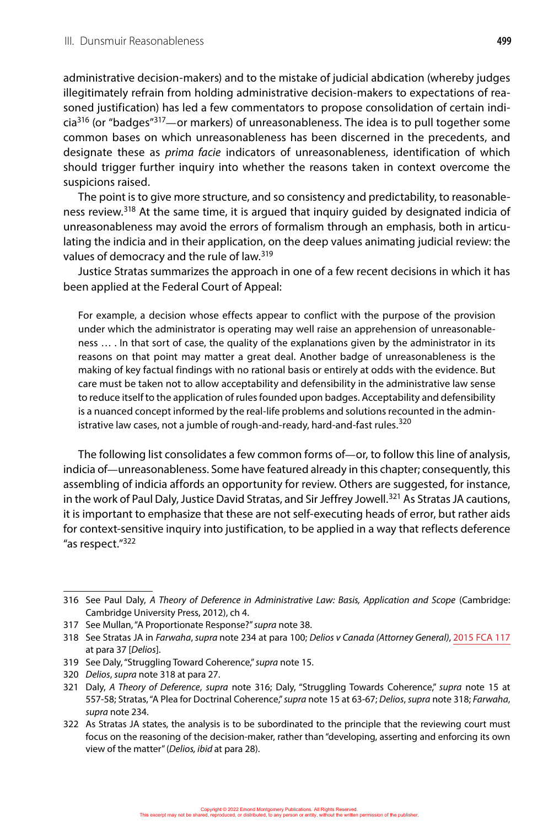administrative decision-makers) and to the mistake of judicial abdication (whereby judges illegitimately refrain from holding administrative decision-makers to expectations of reasoned justification) has led a few commentators to propose consolidation of certain indicia316 (or "badges"317—or markers) of unreasonableness. The idea is to pull together some common bases on which unreasonableness has been discerned in the precedents, and designate these as *prima facie* indicators of unreasonableness, identification of which should trigger further inquiry into whether the reasons taken in context overcome the suspicions raised.

The point is to give more structure, and so consistency and predictability, to reasonableness review.<sup>318</sup> At the same time, it is argued that inquiry quided by designated indicia of unreasonableness may avoid the errors of formalism through an emphasis, both in articulating the indicia and in their application, on the deep values animating judicial review: the values of democracy and the rule of law.<sup>319</sup>

Justice Stratas summarizes the approach in one of a few recent decisions in which it has been applied at the Federal Court of Appeal:

For example, a decision whose effects appear to conflict with the purpose of the provision under which the administrator is operating may well raise an apprehension of unreasonableness … . In that sort of case, the quality of the explanations given by the administrator in its reasons on that point may matter a great deal. Another badge of unreasonableness is the making of key factual findings with no rational basis or entirely at odds with the evidence. But care must be taken not to allow acceptability and defensibility in the administrative law sense to reduce itself to the application of rules founded upon badges. Acceptability and defensibility is a nuanced concept informed by the real-life problems and solutions recounted in the administrative law cases, not a jumble of rough-and-ready, hard-and-fast rules.<sup>320</sup>

The following list consolidates a few common forms of—or, to follow this line of analysis, indicia of—unreasonableness. Some have featured already in this chapter; consequently, this assembling of indicia affords an opportunity for review. Others are suggested, for instance, in the work of Paul Daly, Justice David Stratas, and Sir Jeffrey Jowell.<sup>321</sup> As Stratas JA cautions, it is important to emphasize that these are not self-executing heads of error, but rather aids for context-sensitive inquiry into justification, to be applied in a way that reflects deference "as respect."322

<sup>316</sup> See Paul Daly, *A Theory of Deference in Administrative Law: Basis, Application and Scope* (Cambridge: Cambridge University Press, 2012), ch 4.

<sup>317</sup> See Mullan, "A Proportionate Response?" *supra* note 38.

<sup>318</sup> See Stratas JA in *Farwaha*, *supra* note 234 at para 100; *Delios v Canada (Attorney General)*, [2015 FCA 117](https://www.canlii.org/en/ca/fca/doc/2015/2015fca117/2015fca117.html?autocompleteStr=Delios v Canada &autocompletePos=1) at para 37 [*Delios*].

<sup>319</sup> See Daly, "Struggling Toward Coherence," *supra* note 15.

<sup>320</sup> *Delios*, *supra* note 318 at para 27.

<sup>321</sup> Daly, *A Theory of Deference*, *supra* note 316; Daly, "Struggling Towards Coherence," *supra* note 15 at 557-58; Stratas, "A Plea for Doctrinal Coherence," *supra* note 15 at 63-67; *Delios*, *supra* note 318; *Farwaha*, *supra* note 234.

<sup>322</sup> As Stratas JA states, the analysis is to be subordinated to the principle that the reviewing court must focus on the reasoning of the decision-maker, rather than "developing, asserting and enforcing its own view of the matter" (*Delios, ibid* at para 28).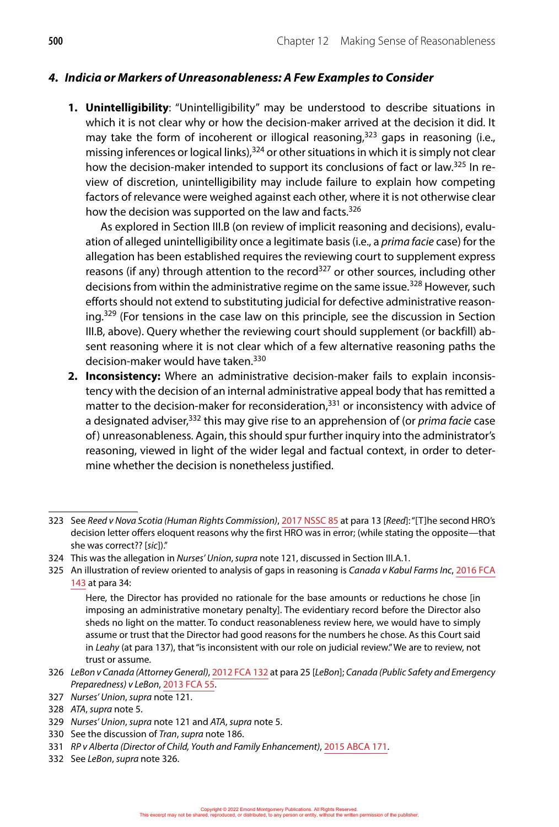## *4. Indicia or Markers of Unreasonableness: A Few Examples to Consider*

**1. Unintelligibility**: "Unintelligibility" may be understood to describe situations in which it is not clear why or how the decision-maker arrived at the decision it did. It may take the form of incoherent or illogical reasoning, $323$  gaps in reasoning (i.e., missing inferences or logical links), $324$  or other situations in which it is simply not clear how the decision-maker intended to support its conclusions of fact or law.<sup>325</sup> In review of discretion, unintelligibility may include failure to explain how competing factors of relevance were weighed against each other, where it is not otherwise clear how the decision was supported on the law and facts.<sup>326</sup>

As explored in Section III.B (on review of implicit reasoning and decisions), evaluation of alleged unintelligibility once a legitimate basis (i.e., a *prima facie* case) for the allegation has been established requires the reviewing court to supplement express reasons (if any) through attention to the record<sup>327</sup> or other sources, including other decisions from within the administrative regime on the same issue.<sup>328</sup> However, such efforts should not extend to substituting judicial for defective administrative reason $ing.<sup>329</sup>$  (For tensions in the case law on this principle, see the discussion in Section III.B, above). Query whether the reviewing court should supplement (or backfill) absent reasoning where it is not clear which of a few alternative reasoning paths the decision-maker would have taken.<sup>330</sup>

**2. Inconsistency:** Where an administrative decision-maker fails to explain inconsistency with the decision of an internal administrative appeal body that has remitted a matter to the decision-maker for reconsideration, $331$  or inconsistency with advice of a designated adviser,332 this may give rise to an apprehension of (or *prima facie* case of) unreasonableness. Again, this should spur further inquiry into the administrator's reasoning, viewed in light of the wider legal and factual context, in order to determine whether the decision is nonetheless justified.

<sup>323</sup> See *Reed v Nova Scotia (Human Rights Commission)*, [2017 NSSC 85](https://www.canlii.org/en/ns/nssc/doc/2017/2017nssc85/2017nssc85.html?autocompleteStr=Reed v Nova Scotia (Human Rights Commission)%2C &autocompletePos=1) at para 13 [*Reed*]: "[T]he second HRO's decision letter offers eloquent reasons why the first HRO was in error; (while stating the opposite—that she was correct?? [*sic*])."

<sup>324</sup> This was the allegation in *Nurses' Union*, *supra* note 121, discussed in Section III.A.1.

<sup>325</sup> An illustration of review oriented to analysis of gaps in reasoning is *Canada v Kabul Farms Inc*, [2016 FCA](https://www.canlii.org/en/ca/fca/doc/2016/2016fca143/2016fca143.html?autocompleteStr=Canada v Kabul Farms Inc%2C 2016 FCA 14&autocompletePos=1) [143](https://www.canlii.org/en/ca/fca/doc/2016/2016fca143/2016fca143.html?autocompleteStr=Canada v Kabul Farms Inc%2C 2016 FCA 14&autocompletePos=1) at para 34:

Here, the Director has provided no rationale for the base amounts or reductions he chose [in imposing an administrative monetary penalty]. The evidentiary record before the Director also sheds no light on the matter. To conduct reasonableness review here, we would have to simply assume or trust that the Director had good reasons for the numbers he chose. As this Court said in *Leahy* (at para 137), that "is inconsistent with our role on judicial review." We are to review, not trust or assume.

<sup>326</sup> *LeBon v Canada (Attorney General)*, [2012 FCA 132](https://www.canlii.org/en/ca/fca/doc/2012/2012fca132/2012fca132.html?autocompleteStr=LeBon v Canada (Attorney General)%2C 2012 FCA 132 &autocompletePos=1) at para 25 [*LeBon*]; *Canada (Public Safety and Emergency Preparedness) v LeBon*, [2013 FCA 55.](https://www.canlii.org/en/ca/fca/doc/2013/2013fca55/2013fca55.html?resultIndex=1)

<sup>327</sup> *Nurses' Union*, *supra* note 121.

<sup>328</sup> *ATA*, *supra* note 5.

<sup>329</sup> *Nurses' Union*, *supra* note 121 and *ATA*, *supra* note 5.

<sup>330</sup> See the discussion of *Tran*, *supra* note 186.

<sup>331</sup> *RP v Alberta (Director of Child, Youth and Family Enhancement)*, [2015 ABCA 171](https://www.canlii.org/en/ab/abca/doc/2015/2015abca171/2015abca171.html?autocompleteStr=RP v Alberta (Director of Child%2C Youth and Family Enhancement)%2C 2015 ABCA 171. &autocompletePos=1).

<sup>332</sup> See *LeBon*, *supra* note 326.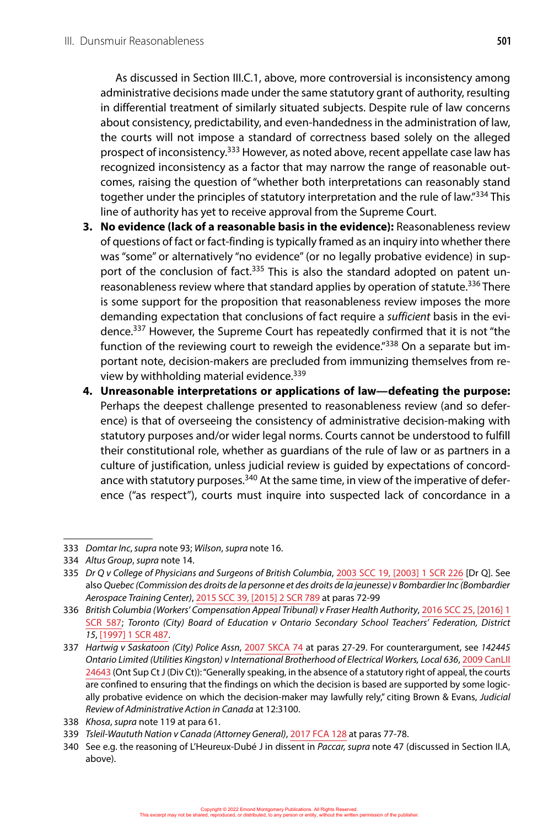As discussed in Section III.C.1, above, more controversial is inconsistency among administrative decisions made under the same statutory grant of authority, resulting in differential treatment of similarly situated subjects. Despite rule of law concerns about consistency, predictability, and even-handedness in the administration of law, the courts will not impose a standard of correctness based solely on the alleged prospect of inconsistency.<sup>333</sup> However, as noted above, recent appellate case law has recognized inconsistency as a factor that may narrow the range of reasonable outcomes, raising the question of "whether both interpretations can reasonably stand together under the principles of statutory interpretation and the rule of law."<sup>334</sup> This line of authority has yet to receive approval from the Supreme Court.

- **3. No evidence (lack of a reasonable basis in the evidence):** Reasonableness review of questions of fact or fact-finding is typically framed as an inquiry into whether there was "some" or alternatively "no evidence" (or no legally probative evidence) in support of the conclusion of fact.<sup>335</sup> This is also the standard adopted on patent unreasonableness review where that standard applies by operation of statute.<sup>336</sup> There is some support for the proposition that reasonableness review imposes the more demanding expectation that conclusions of fact require a *sufficient* basis in the evidence.337 However, the Supreme Court has repeatedly confirmed that it is not "the function of the reviewing court to reweigh the evidence.<sup>"338</sup> On a separate but important note, decision-makers are precluded from immunizing themselves from review by withholding material evidence.<sup>339</sup>
- **4. Unreasonable interpretations or applications of law—defeating the purpose:**  Perhaps the deepest challenge presented to reasonableness review (and so deference) is that of overseeing the consistency of administrative decision-making with statutory purposes and/or wider legal norms. Courts cannot be understood to fulfill their constitutional role, whether as guardians of the rule of law or as partners in a culture of justification, unless judicial review is guided by expectations of concordance with statutory purposes.<sup>340</sup> At the same time, in view of the imperative of deference ("as respect"), courts must inquire into suspected lack of concordance in a

<sup>333</sup> *Domtar Inc*, *supra* note 93; *Wilson*, *supra* note 16.

<sup>334</sup> *Altus Group*, *supra* note 14.

<sup>335</sup> *Dr Q v College of Physicians and Surgeons of British Columbia*, [2003 SCC 19, \[2003\] 1 SCR 226 \[Dr Q\].](https://www.canlii.org/en/ca/scc/doc/2003/2003scc19/2003scc19.html) See also *Quebec (Commission des droits de la personne et des droits de la jeunesse) v Bombardier Inc (Bombardier Aerospace Training Center)*, [2015 SCC 39, \[2015\] 2 SCR 789](https://www.canlii.org/en/ca/scc/doc/2015/2015scc39/2015scc39.html?autocompleteStr=Quebec (Commission des droits de la personne et des droits de la jeunesse) v Bombardier Inc (Bombardier Aerospace Training Center)%2C 2015 SCC 39 &autocompletePos=1) at paras 72-99

<sup>336</sup> *British Columbia (Workers' Compensation Appeal Tribunal) v Fraser Health Authority*, [2016 SCC 25, \[2016\] 1](https://www.canlii.org/en/ca/scc/doc/2016/2016scc25/2016scc25.html?autocompleteStr=British Columbia (Workers%E2%80%99 Compensation Appeal Tribunal) v Fraser Health Authority%2C 2016 SCC 25%2C &autocompletePos=1)  [SCR 587;](https://www.canlii.org/en/ca/scc/doc/2016/2016scc25/2016scc25.html?autocompleteStr=British Columbia (Workers%E2%80%99 Compensation Appeal Tribunal) v Fraser Health Authority%2C 2016 SCC 25%2C &autocompletePos=1) *Toronto (City) Board of Education v Ontario Secondary School Teachers' Federation, District 15*, [\[1997\] 1 SCR 487.](https://www.canlii.org/en/ca/scc/doc/1997/1997canlii378/1997canlii378.html?autocompleteStr=%5B1997%5D 1 SCR 487&autocompletePos=1)

<sup>337</sup> *Hartwig v Saskatoon (City) Police Assn*, [2007 SKCA 74](https://www.canlii.org/en/sk/skca/doc/2007/2007skca74/2007skca74.html) at paras 27-29. For counterargument, see *142445 Ontario Limited (Utilities Kingston) v International Brotherhood of Electrical Workers, Local 636*, [2009 CanLII](https://www.canlii.org/en/on/onscdc/doc/2009/2009canlii24643/2009canlii24643.html?autocompleteStr=142445 Ontario Limited (Utilities Kingston) v International Brotherhood of Electrical Workers&autocompletePos=1) [24643](https://www.canlii.org/en/on/onscdc/doc/2009/2009canlii24643/2009canlii24643.html?autocompleteStr=142445 Ontario Limited (Utilities Kingston) v International Brotherhood of Electrical Workers&autocompletePos=1) (Ont Sup Ct J (Div Ct)): "Generally speaking, in the absence of a statutory right of appeal, the courts are confined to ensuring that the findings on which the decision is based are supported by some logically probative evidence on which the decision-maker may lawfully rely," citing Brown & Evans, *Judicial Review of Administrative Action in Canada* at 12:3100.

<sup>338</sup> *Khosa*, *supra* note 119 at para 61.

<sup>339</sup> *Tsleil-Waututh Nation v Canada (Attorney General)*, [2017 FCA 128](https://www.canlii.org/en/ca/fca/doc/2017/2017fca128/2017fca128.html?autocompleteStr=Tsleil-Waututh Nation v Canada &autocompletePos=2) at paras 77-78.

<sup>340</sup> See e.g. the reasoning of L'Heureux-Dubé J in dissent in *Paccar, supra* note 47 (discussed in Section II.A, above).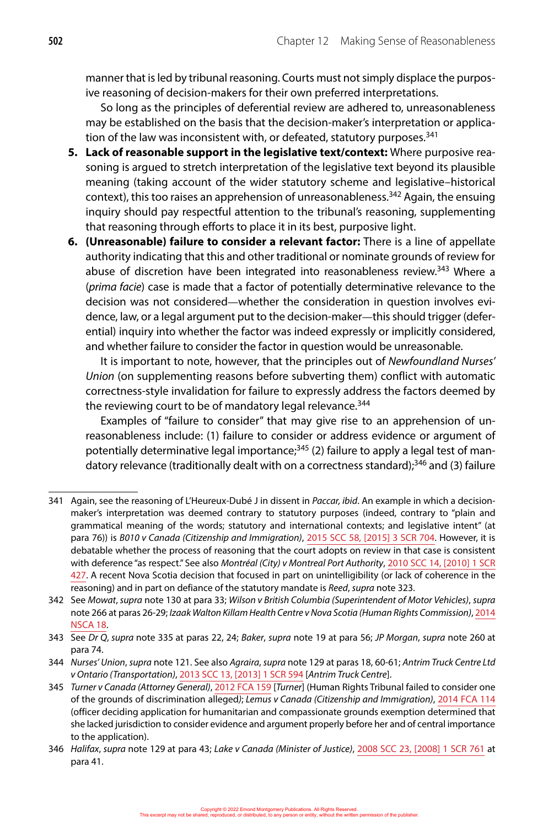manner that is led by tribunal reasoning. Courts must not simply displace the purposive reasoning of decision-makers for their own preferred interpretations.

So long as the principles of deferential review are adhered to, unreasonableness may be established on the basis that the decision-maker's interpretation or application of the law was inconsistent with, or defeated, statutory purposes.<sup>341</sup>

- **5. Lack of reasonable support in the legislative text/context:** Where purposive reasoning is argued to stretch interpretation of the legislative text beyond its plausible meaning (taking account of the wider statutory scheme and legislative–historical context), this too raises an apprehension of unreasonableness.<sup>342</sup> Again, the ensuing inquiry should pay respectful attention to the tribunal's reasoning, supplementing that reasoning through efforts to place it in its best, purposive light.
- **6. (Unreasonable) failure to consider a relevant factor:** There is a line of appellate authority indicating that this and other traditional or nominate grounds of review for abuse of discretion have been integrated into reasonableness review.<sup>343</sup> Where a (*prima facie*) case is made that a factor of potentially determinative relevance to the decision was not considered—whether the consideration in question involves evidence, law, or a legal argument put to the decision-maker—this should trigger (deferential) inquiry into whether the factor was indeed expressly or implicitly considered, and whether failure to consider the factor in question would be unreasonable.

It is important to note, however, that the principles out of *Newfoundland Nurses' Union* (on supplementing reasons before subverting them) conflict with automatic correctness-style invalidation for failure to expressly address the factors deemed by the reviewing court to be of mandatory legal relevance.<sup>344</sup>

Examples of "failure to consider" that may give rise to an apprehension of unreasonableness include: (1) failure to consider or address evidence or argument of potentially determinative legal importance;<sup>345</sup> (2) failure to apply a legal test of mandatory relevance (traditionally dealt with on a correctness standard);<sup>346</sup> and (3) failure

<sup>341</sup> Again, see the reasoning of L'Heureux-Dubé J in dissent in *Paccar, ibid*. An example in which a decisionmaker's interpretation was deemed contrary to statutory purposes (indeed, contrary to "plain and grammatical meaning of the words; statutory and international contexts; and legislative intent" (at para 76)) is *B010 v Canada (Citizenship and Immigration)*, [2015 SCC 58, \[2015\] 3 SCR 704](https://www.canlii.org/en/ca/scc/doc/2015/2015scc58/2015scc58.html?autocompleteStr=%5B2015%5D 3 SCR 704%2C 2015 SCC&autocompletePos=1). However, it is debatable whether the process of reasoning that the court adopts on review in that case is consistent with deference "as respect." See also *Montréal (City) v Montreal Port Authority*, [2010 SCC 14, \[2010\] 1 SCR](https://www.canlii.org/en/ca/scc/doc/2010/2010scc14/2010scc14.html?autocompleteStr=Montr%C3%A9al (City) v Montreal Port Authority &autocompletePos=1)  [427](https://www.canlii.org/en/ca/scc/doc/2010/2010scc14/2010scc14.html?autocompleteStr=Montr%C3%A9al (City) v Montreal Port Authority &autocompletePos=1). A recent Nova Scotia decision that focused in part on unintelligibility (or lack of coherence in the reasoning) and in part on defiance of the statutory mandate is *Reed*, *supra* note 323.

<sup>342</sup> See *Mowat*, *supra* note 130 at para 33; *Wilson v British Columbia (Superintendent of Motor Vehicles)*, *supra* note 266 at paras 26-29; *Izaak Walton Killam Health Centre v Nova Scotia (Human Rights Commission)*, [2014](https://www.canlii.org/en/ns/nsca/doc/2014/2014nsca18/2014nsca18.html?autocompleteStr=Izaak Walton Killam Health Centre v Nova Scotia (&autocompletePos=1) [NSCA 18.](https://www.canlii.org/en/ns/nsca/doc/2014/2014nsca18/2014nsca18.html?autocompleteStr=Izaak Walton Killam Health Centre v Nova Scotia (&autocompletePos=1)

<sup>343</sup> See *Dr Q*, *supra* note 335 at paras 22, 24; *Baker*, *supra* note 19 at para 56; *JP Morgan*, *supra* note 260 at para 74.

<sup>344</sup> *Nurses' Union*, *supra* note 121. See also *Agraira*, *supra* note 129 at paras 18, 60-61; *Antrim Truck Centre Ltd v Ontario (Transportation)*, [2013 SCC 13, \[2013\] 1 SCR 594](https://www.canlii.org/en/ca/scc/doc/2013/2013scc13/2013scc13.html?autocompleteStr=Antrim Truck Centre Ltd v Ontario (Transportation)%2C 2013 SCC 13 &autocompletePos=1) [*Antrim Truck Centre*].

<sup>345</sup> *Turner v Canada (Attorney General)*, [2012 FCA 159](https://www.canlii.org/en/ca/fca/doc/2012/2012fca159/2012fca159.html?autocompleteStr=Turner v Canada (Attorney General)%2C 2012 FCA 159 &autocompletePos=1) [*Turner*] (Human Rights Tribunal failed to consider one of the grounds of discrimination alleged*)*; *Lemus v Canada (Citizenship and Immigration)*, [2014 FCA 114](https://www.canlii.org/en/ca/fca/doc/2014/2014fca114/2014fca114.html?autocompleteStr=Lemus v Canada%2C 2014 FCA &autocompletePos=1) (officer deciding application for humanitarian and compassionate grounds exemption determined that she lacked jurisdiction to consider evidence and argument properly before her and of central importance to the application).

<sup>346</sup> *Halifax*, *supra* note 129 at para 43; *Lake v Canada (Minister of Justice)*, [2008 SCC 23, \[2008\] 1 SCR 761](https://www.canlii.org/en/ca/scc/doc/2008/2008scc23/2008scc23.html?autocompleteStr=Lake v Canada (Minister of Justice)%2C 2008 SCC &autocompletePos=1) at para 41.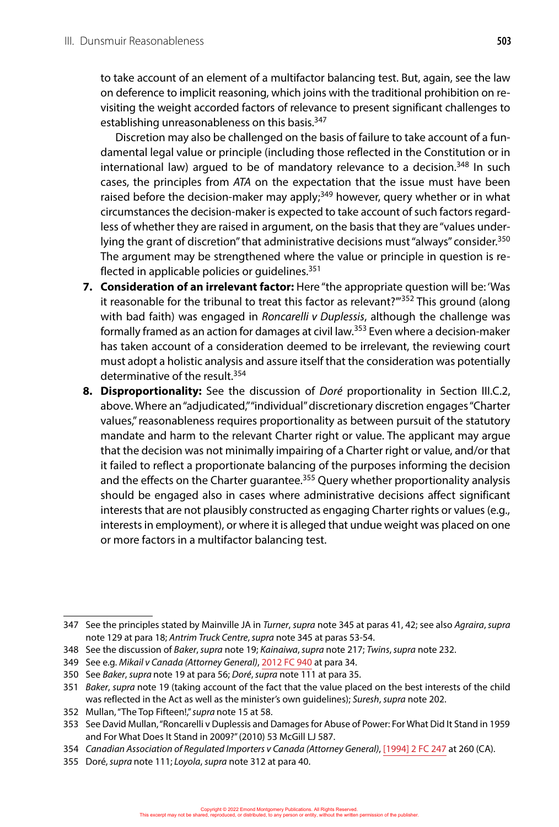to take account of an element of a multifactor balancing test. But, again, see the law on deference to implicit reasoning, which joins with the traditional prohibition on revisiting the weight accorded factors of relevance to present significant challenges to establishing unreasonableness on this basis.<sup>347</sup>

Discretion may also be challenged on the basis of failure to take account of a fundamental legal value or principle (including those reflected in the Constitution or in international law) argued to be of mandatory relevance to a decision.<sup>348</sup> In such cases, the principles from *ATA* on the expectation that the issue must have been raised before the decision-maker may apply;<sup>349</sup> however, query whether or in what circumstances the decision-maker is expected to take account of such factors regardless of whether they are raised in argument, on the basis that they are "values underlying the grant of discretion" that administrative decisions must "always" consider.<sup>350</sup> The argument may be strengthened where the value or principle in question is reflected in applicable policies or quidelines.<sup>351</sup>

- **7. Consideration of an irrelevant factor:** Here "the appropriate question will be: 'Was it reasonable for the tribunal to treat this factor as relevant?"<sup>352</sup> This ground (along with bad faith) was engaged in *Roncarelli v Duplessis*, although the challenge was formally framed as an action for damages at civil law.353 Even where a decision-maker has taken account of a consideration deemed to be irrelevant, the reviewing court must adopt a holistic analysis and assure itself that the consideration was potentially determinative of the result.<sup>354</sup>
- **8. Disproportionality:** See the discussion of *Doré* proportionality in Section III.C.2, above. Where an "adjudicated," "individual" discretionary discretion engages "Charter values," reasonableness requires proportionality as between pursuit of the statutory mandate and harm to the relevant Charter right or value. The applicant may argue that the decision was not minimally impairing of a Charter right or value, and/or that it failed to reflect a proportionate balancing of the purposes informing the decision and the effects on the Charter quarantee.<sup>355</sup> Query whether proportionality analysis should be engaged also in cases where administrative decisions affect significant interests that are not plausibly constructed as engaging Charter rights or values (e.g., interests in employment), or where it is alleged that undue weight was placed on one or more factors in a multifactor balancing test.

<sup>347</sup> See the principles stated by Mainville JA in *Turner*, *supra* note 345 at paras 41, 42; see also *Agraira*, *supra* note 129 at para 18; *Antrim Truck Centre*, *supra* note 345 at paras 53-54.

<sup>348</sup> See the discussion of *Baker*, *supra* note 19; *Kainaiwa*, *supra* note 217; *Twins*, *supra* note 232.

<sup>349</sup> See e.g. *Mikail v Canada (Attorney General)*, [2012 FC 940](https://www.canlii.org/en/ca/fct/doc/2012/2012fc940/2012fc940.html?autocompleteStr=Mikail v Canada (Attorney General)%2C 2012 FC 940&autocompletePos=1) at para 34.

<sup>350</sup> See *Baker*, *supra* note 19 at para 56; *Doré*, *supra* note 111 at para 35.

<sup>351</sup> *Baker*, *supra* note 19 (taking account of the fact that the value placed on the best interests of the child was reflected in the Act as well as the minister's own guidelines); *Suresh*, *supra* note 202.

<sup>352</sup> Mullan, "The Top Fifteen!," *supra* note 15 at 58.

<sup>353</sup> See David Mullan, "Roncarelli v Duplessis and Damages for Abuse of Power: For What Did It Stand in 1959 and For What Does It Stand in 2009?" (2010) 53 McGill LJ 587.

<sup>354</sup> *Canadian Association of Regulated Importers v Canada (Attorney General)*, [\[1994\] 2 FC 247](https://www.canlii.org/en/ca/fca/doc/1994/1994canlii3460/1994canlii3460.html?autocompleteStr=Canadian Association of Regulated Importers v Canada &autocompletePos=1) at 260 (CA).

<sup>355</sup> Doré, *supra* note 111; *Loyola*, *supra* note 312 at para 40.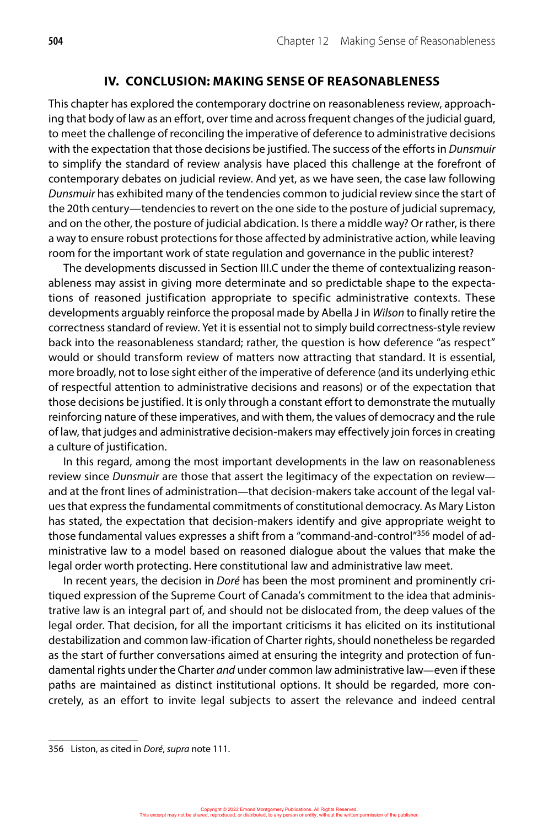#### **IV. CONCLUSION: MAKING SENSE OF REASONABLENESS**

This chapter has explored the contemporary doctrine on reasonableness review, approaching that body of law as an effort, over time and across frequent changes of the judicial guard, to meet the challenge of reconciling the imperative of deference to administrative decisions with the expectation that those decisions be justified. The success of the efforts in *Dunsmuir* to simplify the standard of review analysis have placed this challenge at the forefront of contemporary debates on judicial review. And yet, as we have seen, the case law following *Dunsmuir* has exhibited many of the tendencies common to judicial review since the start of the 20th century—tendencies to revert on the one side to the posture of judicial supremacy, and on the other, the posture of judicial abdication. Is there a middle way? Or rather, is there a way to ensure robust protections for those affected by administrative action, while leaving room for the important work of state regulation and governance in the public interest?

The developments discussed in Section III.C under the theme of contextualizing reasonableness may assist in giving more determinate and so predictable shape to the expectations of reasoned justification appropriate to specific administrative contexts. These developments arguably reinforce the proposal made by Abella J in *Wilson* to finally retire the correctness standard of review. Yet it is essential not to simply build correctness-style review back into the reasonableness standard; rather, the question is how deference "as respect" would or should transform review of matters now attracting that standard. It is essential, more broadly, not to lose sight either of the imperative of deference (and its underlying ethic of respectful attention to administrative decisions and reasons) or of the expectation that those decisions be justified. It is only through a constant effort to demonstrate the mutually reinforcing nature of these imperatives, and with them, the values of democracy and the rule of law, that judges and administrative decision-makers may effectively join forces in creating a culture of justification.

In this regard, among the most important developments in the law on reasonableness review since *Dunsmuir* are those that assert the legitimacy of the expectation on review and at the front lines of administration—that decision-makers take account of the legal values that express the fundamental commitments of constitutional democracy. As Mary Liston has stated, the expectation that decision-makers identify and give appropriate weight to those fundamental values expresses a shift from a "command-and-control"<sup>356</sup> model of administrative law to a model based on reasoned dialogue about the values that make the legal order worth protecting. Here constitutional law and administrative law meet.

In recent years, the decision in *Doré* has been the most prominent and prominently critiqued expression of the Supreme Court of Canada's commitment to the idea that administrative law is an integral part of, and should not be dislocated from, the deep values of the legal order. That decision, for all the important criticisms it has elicited on its institutional destabilization and common law-ification of Charter rights, should nonetheless be regarded as the start of further conversations aimed at ensuring the integrity and protection of fundamental rights under the Charter *and* under common law administrative law—even if these paths are maintained as distinct institutional options. It should be regarded, more concretely, as an effort to invite legal subjects to assert the relevance and indeed central

<sup>356</sup> Liston, as cited in *Doré*, *supra* note 111.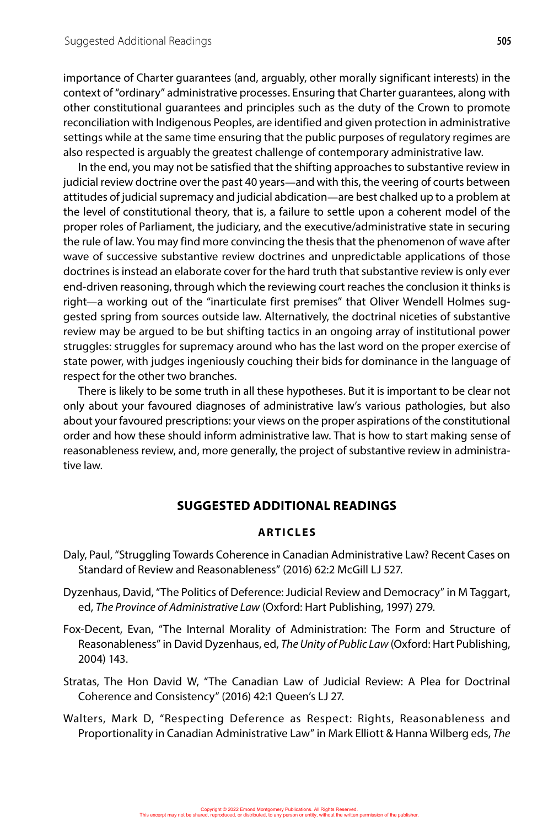importance of Charter guarantees (and, arguably, other morally significant interests) in the context of "ordinary" administrative processes. Ensuring that Charter guarantees, along with other constitutional guarantees and principles such as the duty of the Crown to promote reconciliation with Indigenous Peoples, are identified and given protection in administrative settings while at the same time ensuring that the public purposes of regulatory regimes are also respected is arguably the greatest challenge of contemporary administrative law.

In the end, you may not be satisfied that the shifting approaches to substantive review in judicial review doctrine over the past 40 years—and with this, the veering of courts between attitudes of judicial supremacy and judicial abdication—are best chalked up to a problem at the level of constitutional theory, that is, a failure to settle upon a coherent model of the proper roles of Parliament, the judiciary, and the executive/administrative state in securing the rule of law. You may find more convincing the thesis that the phenomenon of wave after wave of successive substantive review doctrines and unpredictable applications of those doctrines is instead an elaborate cover for the hard truth that substantive review is only ever end-driven reasoning, through which the reviewing court reaches the conclusion it thinks is right—a working out of the "inarticulate first premises" that Oliver Wendell Holmes suggested spring from sources outside law. Alternatively, the doctrinal niceties of substantive review may be argued to be but shifting tactics in an ongoing array of institutional power struggles: struggles for supremacy around who has the last word on the proper exercise of state power, with judges ingeniously couching their bids for dominance in the language of respect for the other two branches.

There is likely to be some truth in all these hypotheses. But it is important to be clear not only about your favoured diagnoses of administrative law's various pathologies, but also about your favoured prescriptions: your views on the proper aspirations of the constitutional order and how these should inform administrative law. That is how to start making sense of reasonableness review, and, more generally, the project of substantive review in administrative law.

## **SUGGESTED ADDITIONAL READINGS**

#### **ARTICLES**

- Daly, Paul, "Struggling Towards Coherence in Canadian Administrative Law? Recent Cases on Standard of Review and Reasonableness" (2016) 62:2 McGill LJ 527.
- Dyzenhaus, David, "The Politics of Deference: Judicial Review and Democracy" in M Taggart, ed, *The Province of Administrative Law* (Oxford: Hart Publishing, 1997) 279.
- Fox-Decent, Evan, "The Internal Morality of Administration: The Form and Structure of Reasonableness" in David Dyzenhaus, ed, *The Unity of Public Law* (Oxford: Hart Publishing, 2004) 143.
- Stratas, The Hon David W, "The Canadian Law of Judicial Review: A Plea for Doctrinal Coherence and Consistency" (2016) 42:1 Queen's LJ 27.
- Walters, Mark D, "Respecting Deference as Respect: Rights, Reasonableness and Proportionality in Canadian Administrative Law" in Mark Elliott & Hanna Wilberg eds, *The*